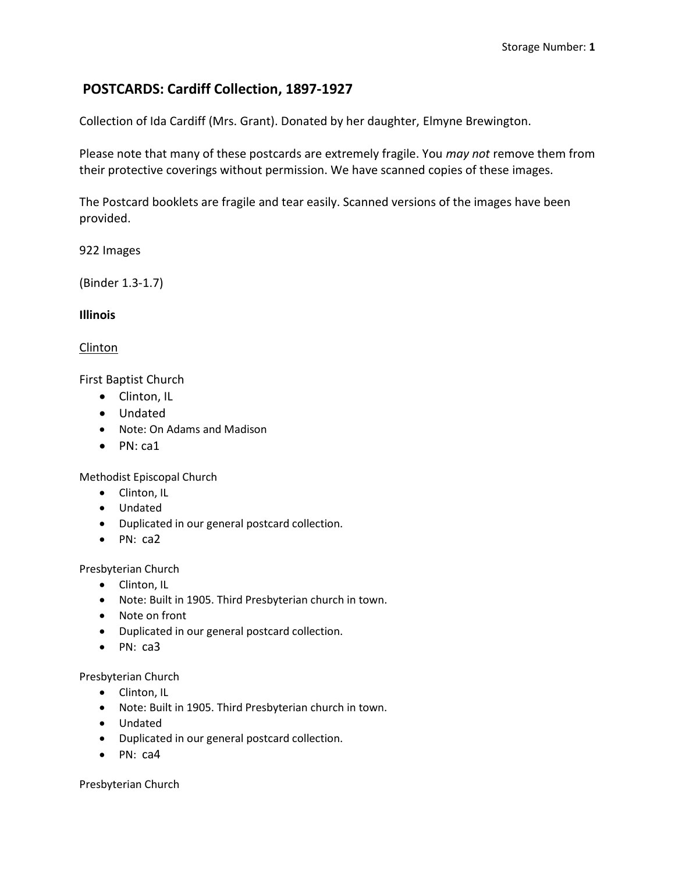# **POSTCARDS: Cardiff Collection, 1897-1927**

Collection of Ida Cardiff (Mrs. Grant). Donated by her daughter, Elmyne Brewington.

Please note that many of these postcards are extremely fragile. You *may not* remove them from their protective coverings without permission. We have scanned copies of these images.

The Postcard booklets are fragile and tear easily. Scanned versions of the images have been provided.

922 Images

(Binder 1.3-1.7)

**Illinois**

Clinton

First Baptist Church

- Clinton, IL
- Undated
- Note: On Adams and Madison
- PN: ca1

Methodist Episcopal Church

- Clinton, IL
- Undated
- Duplicated in our general postcard collection.
- $\bullet$  PN: ca2

Presbyterian Church

- Clinton, IL
- Note: Built in 1905. Third Presbyterian church in town.
- Note on front
- Duplicated in our general postcard collection.
- $\bullet$  PN: ca3

Presbyterian Church

- Clinton, IL
- Note: Built in 1905. Third Presbyterian church in town.
- Undated
- Duplicated in our general postcard collection.
- PN: ca4

Presbyterian Church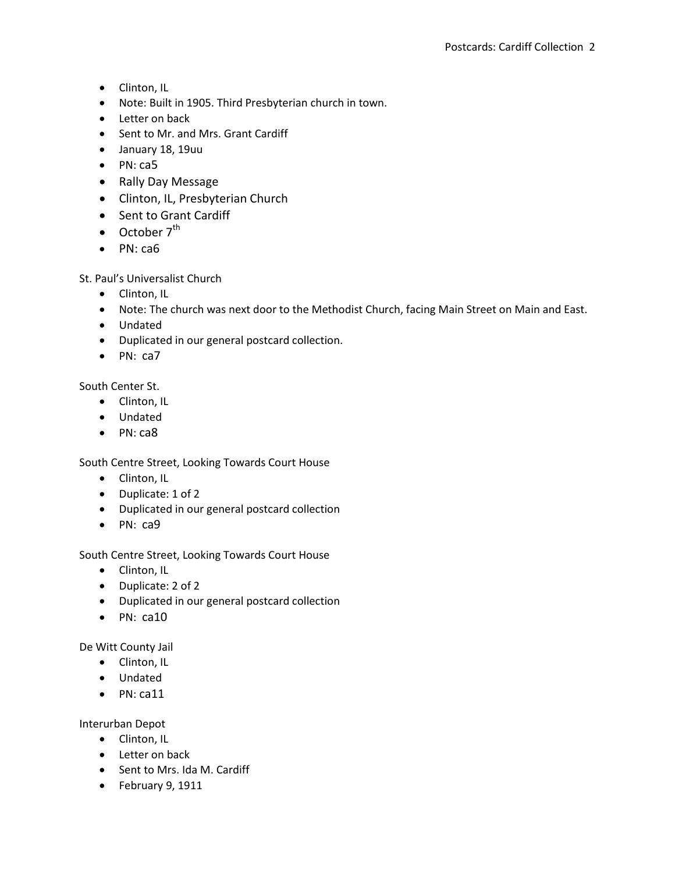- Clinton, IL
- Note: Built in 1905. Third Presbyterian church in town.
- Letter on back
- Sent to Mr. and Mrs. Grant Cardiff
- January 18, 19uu
- PN: ca5
- Rally Day Message
- Clinton, IL, Presbyterian Church
- Sent to Grant Cardiff
- $\bullet$  October  $7^{\text{th}}$
- PN: ca6

### St. Paul's Universalist Church

- Clinton, IL
- Note: The church was next door to the Methodist Church, facing Main Street on Main and East.
- Undated
- Duplicated in our general postcard collection.
- PN: ca7

South Center St.

- Clinton, IL
- Undated
- PN: ca8

South Centre Street, Looking Towards Court House

- Clinton, IL
- Duplicate: 1 of 2
- Duplicated in our general postcard collection
- PN: ca9

### South Centre Street, Looking Towards Court House

- Clinton, IL
- Duplicate: 2 of 2
- Duplicated in our general postcard collection
- $\bullet$  PN: ca10

De Witt County Jail

- Clinton, IL
- Undated
- $\bullet$  PN: ca11

Interurban Depot

- Clinton, IL
- Letter on back
- Sent to Mrs. Ida M. Cardiff
- February 9, 1911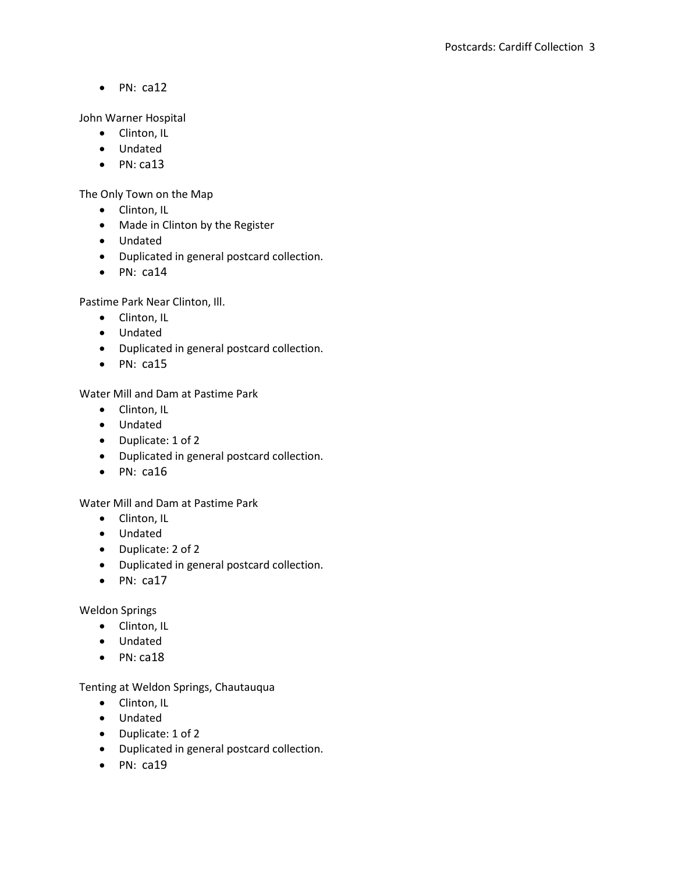John Warner Hospital

- Clinton, IL
- Undated
- $\bullet$  PN: ca13

The Only Town on the Map

- Clinton, IL
- Made in Clinton by the Register
- Undated
- Duplicated in general postcard collection.
- $\bullet$  PN: ca14

Pastime Park Near Clinton, Ill.

- Clinton, IL
- Undated
- Duplicated in general postcard collection.
- $\bullet$  PN: ca15

Water Mill and Dam at Pastime Park

- Clinton, IL
- Undated
- Duplicate: 1 of 2
- Duplicated in general postcard collection.
- $\bullet$  PN: ca16

Water Mill and Dam at Pastime Park

- Clinton, IL
- Undated
- Duplicate: 2 of 2
- Duplicated in general postcard collection.
- $\bullet$  PN: ca17

Weldon Springs

- Clinton, IL
- Undated
- $\bullet$  PN: ca18

Tenting at Weldon Springs, Chautauqua

- Clinton, IL
- Undated
- Duplicate: 1 of 2
- Duplicated in general postcard collection.
- $\bullet$  PN: ca19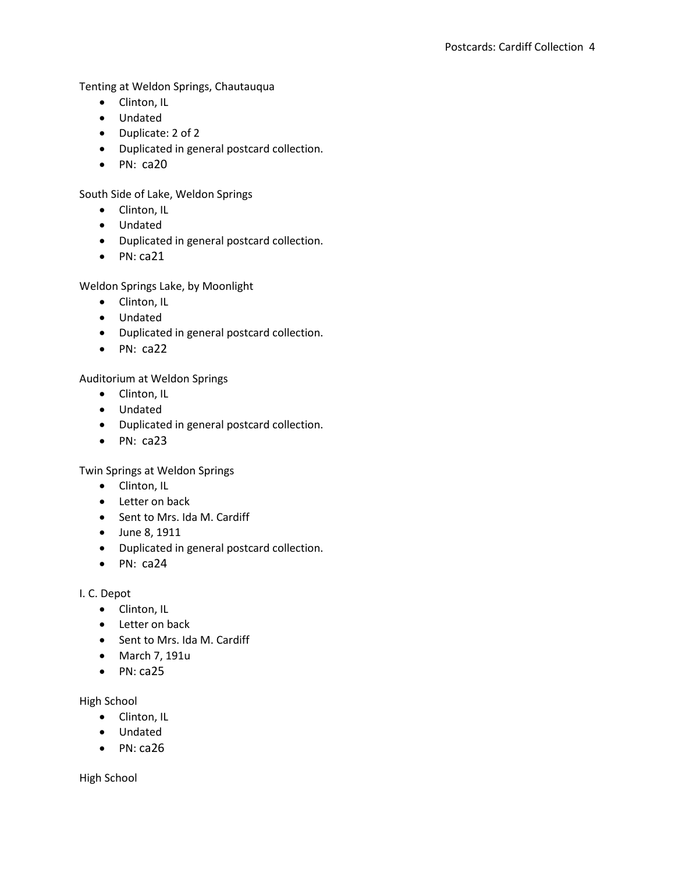Tenting at Weldon Springs, Chautauqua

- Clinton, IL
- Undated
- Duplicate: 2 of 2
- Duplicated in general postcard collection.
- $\bullet$  PN: ca20

South Side of Lake, Weldon Springs

- Clinton, IL
- Undated
- Duplicated in general postcard collection.
- $\bullet$  PN: ca21

Weldon Springs Lake, by Moonlight

- Clinton, IL
- Undated
- Duplicated in general postcard collection.
- $\bullet$  PN: ca22

Auditorium at Weldon Springs

- Clinton, IL
- Undated
- Duplicated in general postcard collection.
- $\bullet$  PN: ca23

Twin Springs at Weldon Springs

- Clinton, IL
- Letter on back
- Sent to Mrs. Ida M. Cardiff
- June 8, 1911
- Duplicated in general postcard collection.
- $\bullet$  PN: ca24

I. C. Depot

- Clinton, IL
- Letter on back
- Sent to Mrs. Ida M. Cardiff
- March 7, 191u
- $\bullet$  PN: ca25

High School

- Clinton, IL
- Undated
- $\bullet$  PN: ca26

High School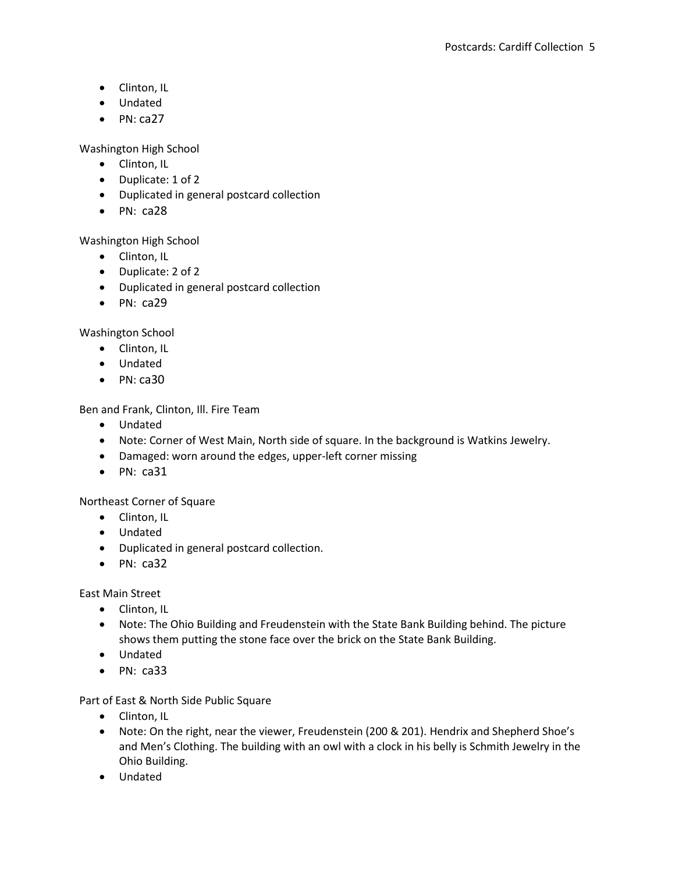- Clinton, IL
- Undated
- $\bullet$  PN: ca27

Washington High School

- Clinton, IL
- Duplicate: 1 of 2
- Duplicated in general postcard collection
- $\bullet$  PN: ca28

Washington High School

- Clinton, IL
- Duplicate: 2 of 2
- Duplicated in general postcard collection
- $\bullet$  PN: ca29

Washington School

- Clinton, IL
- Undated
- $\bullet$  PN: ca30

Ben and Frank, Clinton, Ill. Fire Team

- Undated
- Note: Corner of West Main, North side of square. In the background is Watkins Jewelry.
- Damaged: worn around the edges, upper-left corner missing
- $\bullet$  PN: ca31

Northeast Corner of Square

- Clinton, IL
- Undated
- Duplicated in general postcard collection.
- $\bullet$  PN: ca32

East Main Street

- Clinton, IL
- Note: The Ohio Building and Freudenstein with the State Bank Building behind. The picture shows them putting the stone face over the brick on the State Bank Building.
- Undated
- $\bullet$  PN: ca33

Part of East & North Side Public Square

- Clinton, IL
- Note: On the right, near the viewer, Freudenstein (200 & 201). Hendrix and Shepherd Shoe's and Men's Clothing. The building with an owl with a clock in his belly is Schmith Jewelry in the Ohio Building.
- Undated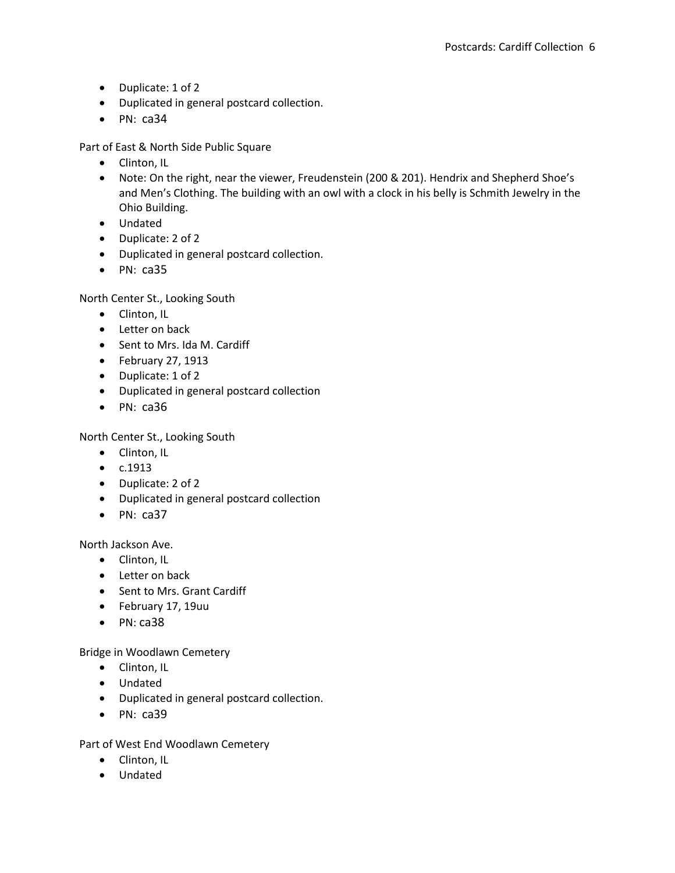- Duplicate: 1 of 2
- Duplicated in general postcard collection.
- $\bullet$  PN: ca34

Part of East & North Side Public Square

- Clinton, IL
- Note: On the right, near the viewer, Freudenstein (200 & 201). Hendrix and Shepherd Shoe's and Men's Clothing. The building with an owl with a clock in his belly is Schmith Jewelry in the Ohio Building.
- Undated
- Duplicate: 2 of 2
- Duplicated in general postcard collection.
- $\bullet$  PN: ca35

North Center St., Looking South

- Clinton, IL
- Letter on back
- Sent to Mrs. Ida M. Cardiff
- $\bullet$  February 27, 1913
- Duplicate: 1 of 2
- Duplicated in general postcard collection
- $\bullet$  PN: ca36

North Center St., Looking South

- Clinton, IL
- $\bullet$   $c.1913$
- Duplicate: 2 of 2
- Duplicated in general postcard collection
- $\bullet$  PN: ca37

North Jackson Ave.

- Clinton, IL
- Letter on back
- Sent to Mrs. Grant Cardiff
- February 17, 19uu
- $\bullet$  PN: ca38

Bridge in Woodlawn Cemetery

- Clinton, IL
- Undated
- Duplicated in general postcard collection.
- $\bullet$  PN:  $ca39$

Part of West End Woodlawn Cemetery

- Clinton, IL
- Undated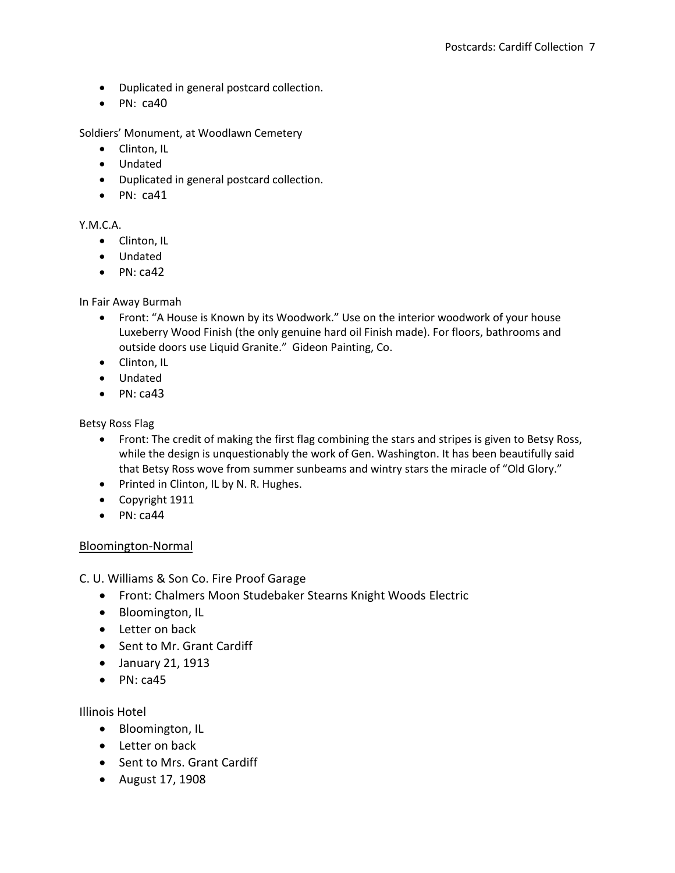- Duplicated in general postcard collection.
- $\bullet$  PN: ca40

Soldiers' Monument, at Woodlawn Cemetery

- Clinton, IL
- Undated
- Duplicated in general postcard collection.
- $\bullet$  PN: ca41

#### Y.M.C.A.

- Clinton, IL
- Undated
- $\bullet$  PN: ca42

### In Fair Away Burmah

- Front: "A House is Known by its Woodwork." Use on the interior woodwork of your house Luxeberry Wood Finish (the only genuine hard oil Finish made). For floors, bathrooms and outside doors use Liquid Granite." Gideon Painting, Co.
- Clinton, IL
- Undated
- $\bullet$  PN: ca43

Betsy Ross Flag

- Front: The credit of making the first flag combining the stars and stripes is given to Betsy Ross, while the design is unquestionably the work of Gen. Washington. It has been beautifully said that Betsy Ross wove from summer sunbeams and wintry stars the miracle of "Old Glory."
- Printed in Clinton, IL by N. R. Hughes.
- Copyright 1911
- $\bullet$  PN: ca44

### Bloomington-Normal

C. U. Williams & Son Co. Fire Proof Garage

- Front: Chalmers Moon Studebaker Stearns Knight Woods Electric
- Bloomington, IL
- Letter on back
- Sent to Mr. Grant Cardiff
- January 21, 1913
- $\bullet$  PN: ca45

Illinois Hotel

- Bloomington, IL
- Letter on back
- Sent to Mrs. Grant Cardiff
- August 17, 1908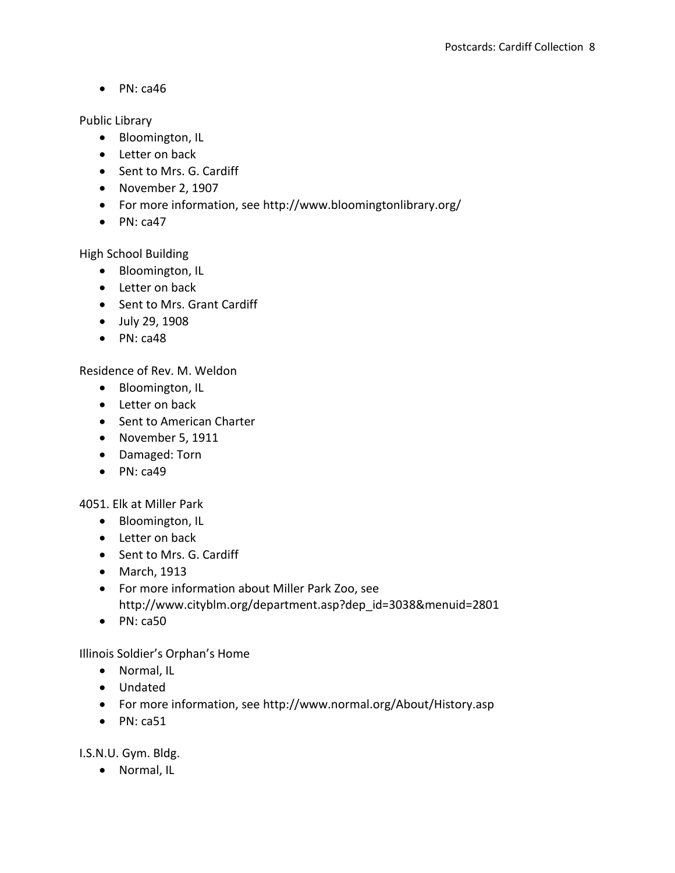Public Library

- Bloomington, IL
- Letter on back
- Sent to Mrs. G. Cardiff
- November 2, 1907
- For more information, see http://www.bloomingtonlibrary.org/
- $\bullet$  PN: ca47

High School Building

- Bloomington, IL
- Letter on back
- Sent to Mrs. Grant Cardiff
- July 29, 1908
- $\bullet$  PN: ca48

Residence of Rev. M. Weldon

- Bloomington, IL
- Letter on back
- Sent to American Charter
- November 5, 1911
- Damaged: Torn
- $\bullet$  PN: ca49

4051. Elk at Miller Park

- Bloomington, IL
- Letter on back
- Sent to Mrs. G. Cardiff
- March, 1913
- For more information about Miller Park Zoo, see http://www.cityblm.org/department.asp?dep\_id=3038&menuid=2801
- $\bullet$  PN: ca50

Illinois Soldier's Orphan's Home

- Normal, IL
- Undated
- For more information, see http://www.normal.org/About/History.asp
- $\bullet$  PN: ca51

I.S.N.U. Gym. Bldg.

Normal, IL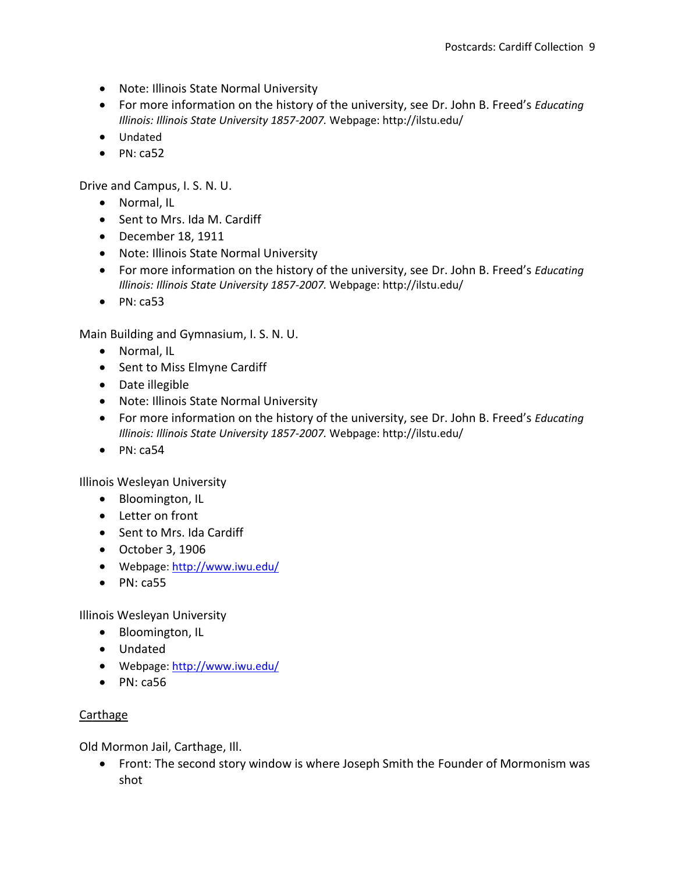- Note: Illinois State Normal University
- For more information on the history of the university, see Dr. John B. Freed's *Educating Illinois: Illinois State University 1857-2007.* Webpage: http://ilstu.edu/
- Undated
- $\bullet$  PN: ca52

Drive and Campus, I. S. N. U.

- Normal, IL
- Sent to Mrs. Ida M. Cardiff
- December 18, 1911
- Note: Illinois State Normal University
- For more information on the history of the university, see Dr. John B. Freed's *Educating Illinois: Illinois State University 1857-2007.* Webpage: http://ilstu.edu/
- $\bullet$  PN: ca53

Main Building and Gymnasium, I. S. N. U.

- Normal, IL
- Sent to Miss Elmyne Cardiff
- Date illegible
- Note: Illinois State Normal University
- For more information on the history of the university, see Dr. John B. Freed's *Educating Illinois: Illinois State University 1857-2007.* Webpage: http://ilstu.edu/
- $\bullet$  PN: ca54

Illinois Wesleyan University

- Bloomington, IL
- Letter on front
- Sent to Mrs. Ida Cardiff
- October 3, 1906
- Webpage:<http://www.iwu.edu/>
- $\bullet$  PN: ca55

Illinois Wesleyan University

- Bloomington, IL
- Undated
- Webpage:<http://www.iwu.edu/>
- $\bullet$  PN: ca56

## Carthage

Old Mormon Jail, Carthage, Ill.

 Front: The second story window is where Joseph Smith the Founder of Mormonism was shot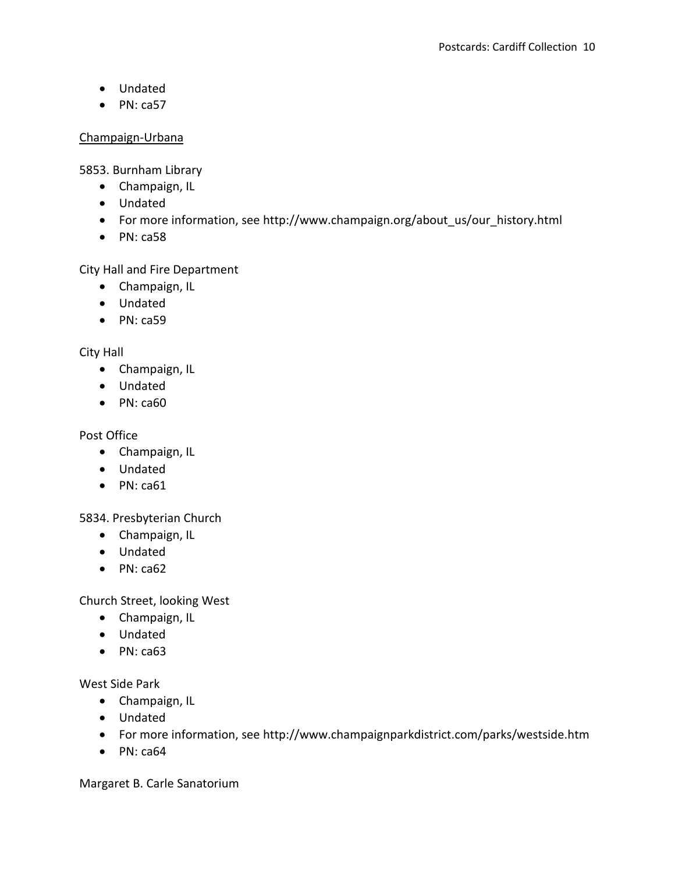- Undated
- $\bullet$  PN: ca57

### Champaign-Urbana

5853. Burnham Library

- Champaign, IL
- Undated
- For more information, see http://www.champaign.org/about\_us/our\_history.html
- $\bullet$  PN: ca58

City Hall and Fire Department

- Champaign, IL
- Undated
- $\bullet$  PN: ca59

City Hall

- Champaign, IL
- Undated
- $\bullet$  PN: ca60

Post Office

- Champaign, IL
- Undated
- $\bullet$  PN: ca61

5834. Presbyterian Church

- Champaign, IL
- Undated
- $\bullet$  PN: ca62

Church Street, looking West

- Champaign, IL
- Undated
- $\bullet$  PN: ca63

West Side Park

- Champaign, IL
- Undated
- For more information, see http://www.champaignparkdistrict.com/parks/westside.htm
- $\bullet$  PN: ca64

Margaret B. Carle Sanatorium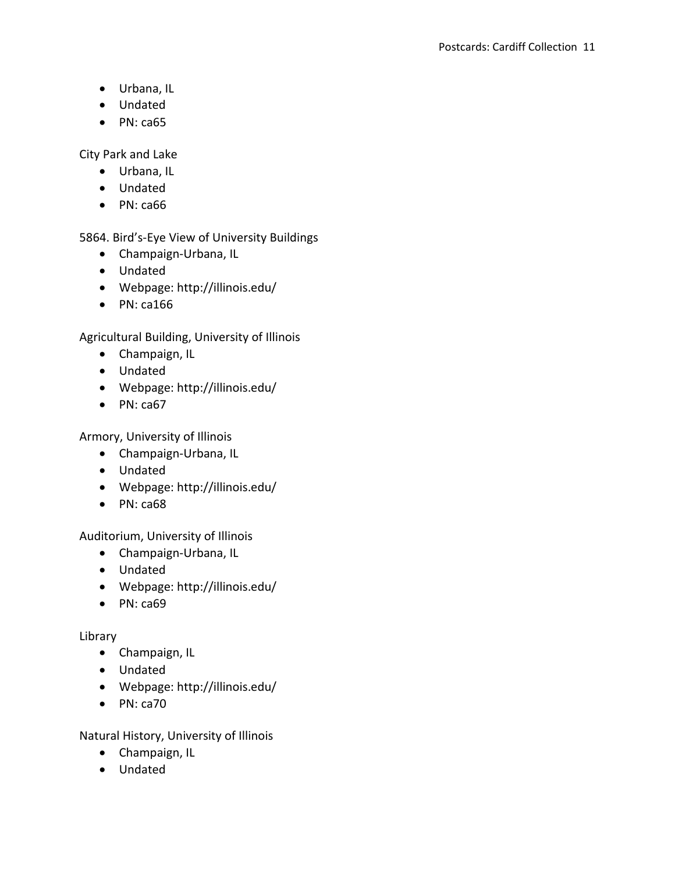- Urbana, IL
- Undated
- $\bullet$  PN: ca65

City Park and Lake

- Urbana, IL
- Undated
- $\bullet$  PN: ca66

5864. Bird's-Eye View of University Buildings

- Champaign-Urbana, IL
- Undated
- Webpage: http://illinois.edu/
- $\bullet$  PN: ca166

Agricultural Building, University of Illinois

- Champaign, IL
- Undated
- Webpage: http://illinois.edu/
- $\bullet$  PN: ca67

Armory, University of Illinois

- Champaign-Urbana, IL
- Undated
- Webpage: http://illinois.edu/
- $\bullet$  PN: ca68

Auditorium, University of Illinois

- Champaign-Urbana, IL
- Undated
- Webpage: http://illinois.edu/
- $\bullet$  PN: ca69

## Library

- Champaign, IL
- Undated
- Webpage: http://illinois.edu/
- $\bullet$  PN: ca70

Natural History, University of Illinois

- Champaign, IL
- Undated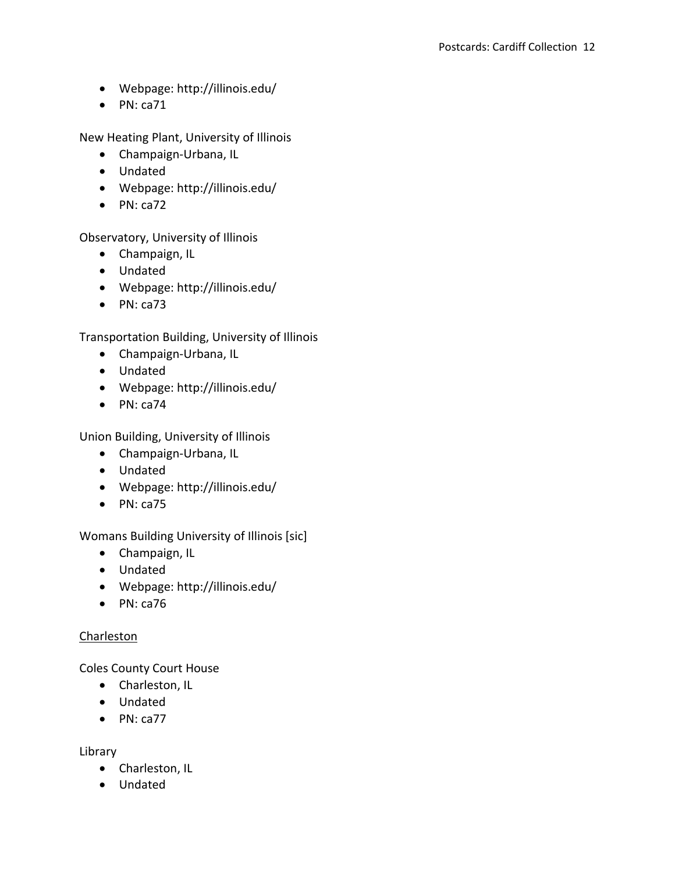- Webpage: http://illinois.edu/
- $\bullet$  PN: ca71

New Heating Plant, University of Illinois

- Champaign-Urbana, IL
- Undated
- Webpage: http://illinois.edu/
- $\bullet$  PN: ca72

Observatory, University of Illinois

- Champaign, IL
- Undated
- Webpage: http://illinois.edu/
- $\bullet$  PN: ca73

Transportation Building, University of Illinois

- Champaign-Urbana, IL
- Undated
- Webpage: http://illinois.edu/
- $\bullet$  PN: ca74

Union Building, University of Illinois

- Champaign-Urbana, IL
- Undated
- Webpage: http://illinois.edu/
- $\bullet$  PN: ca75

Womans Building University of Illinois [sic]

- Champaign, IL
- Undated
- Webpage: http://illinois.edu/
- $\bullet$  PN: ca76

## **Charleston**

Coles County Court House

- Charleston, IL
- Undated
- $\bullet$  PN: ca77

Library

- Charleston, IL
- Undated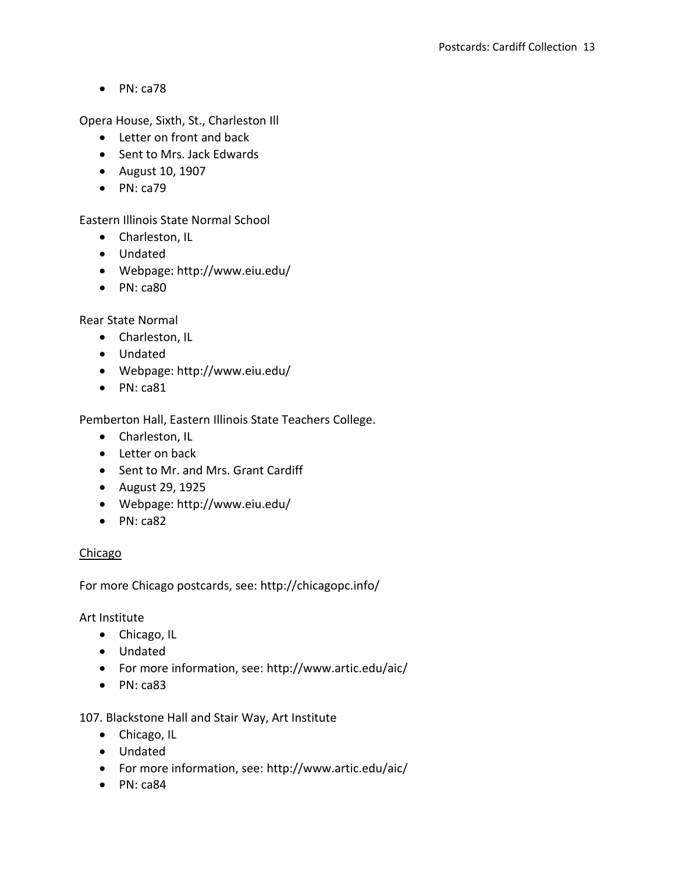Opera House, Sixth, St., Charleston Ill

- Letter on front and back
- Sent to Mrs. Jack Edwards
- August 10, 1907
- $\bullet$  PN: ca79

Eastern Illinois State Normal School

- Charleston, IL
- Undated
- Webpage: http://www.eiu.edu/
- $\bullet$  PN: ca80

Rear State Normal

- Charleston, IL
- Undated
- Webpage: http://www.eiu.edu/
- $\bullet$  PN: ca81

Pemberton Hall, Eastern Illinois State Teachers College.

- Charleston, IL
- Letter on back
- Sent to Mr. and Mrs. Grant Cardiff
- August 29, 1925
- Webpage: http://www.eiu.edu/
- $\bullet$  PN: ca82

### Chicago

For more Chicago postcards, see: http://chicagopc.info/

Art Institute

- Chicago, IL
- Undated
- For more information, see: http://www.artic.edu/aic/
- $\bullet$  PN: ca83

107. Blackstone Hall and Stair Way, Art Institute

- Chicago, IL
- Undated
- For more information, see: http://www.artic.edu/aic/
- PN: ca84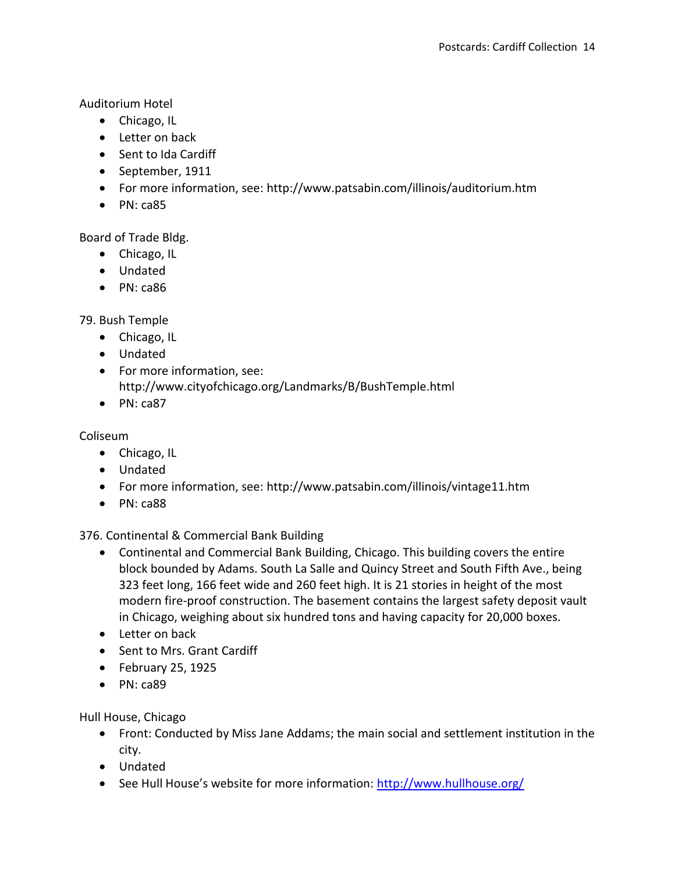Auditorium Hotel

- Chicago, IL
- Letter on back
- Sent to Ida Cardiff
- September, 1911
- For more information, see: http://www.patsabin.com/illinois/auditorium.htm
- $\bullet$  PN: ca85

Board of Trade Bldg.

- Chicago, IL
- Undated
- $\bullet$  PN: ca86

79. Bush Temple

- Chicago, IL
- Undated
- For more information, see: http://www.cityofchicago.org/Landmarks/B/BushTemple.html
- $\bullet$  PN: ca87

Coliseum

- Chicago, IL
- Undated
- For more information, see: http://www.patsabin.com/illinois/vintage11.htm
- $\bullet$  PN: ca88

376. Continental & Commercial Bank Building

- Continental and Commercial Bank Building, Chicago. This building covers the entire block bounded by Adams. South La Salle and Quincy Street and South Fifth Ave., being 323 feet long, 166 feet wide and 260 feet high. It is 21 stories in height of the most modern fire-proof construction. The basement contains the largest safety deposit vault in Chicago, weighing about six hundred tons and having capacity for 20,000 boxes.
- Letter on back
- Sent to Mrs. Grant Cardiff
- $\bullet$  February 25, 1925
- $\bullet$  PN: ca89

Hull House, Chicago

- Front: Conducted by Miss Jane Addams; the main social and settlement institution in the city.
- Undated
- See Hull House's website for more information: <http://www.hullhouse.org/>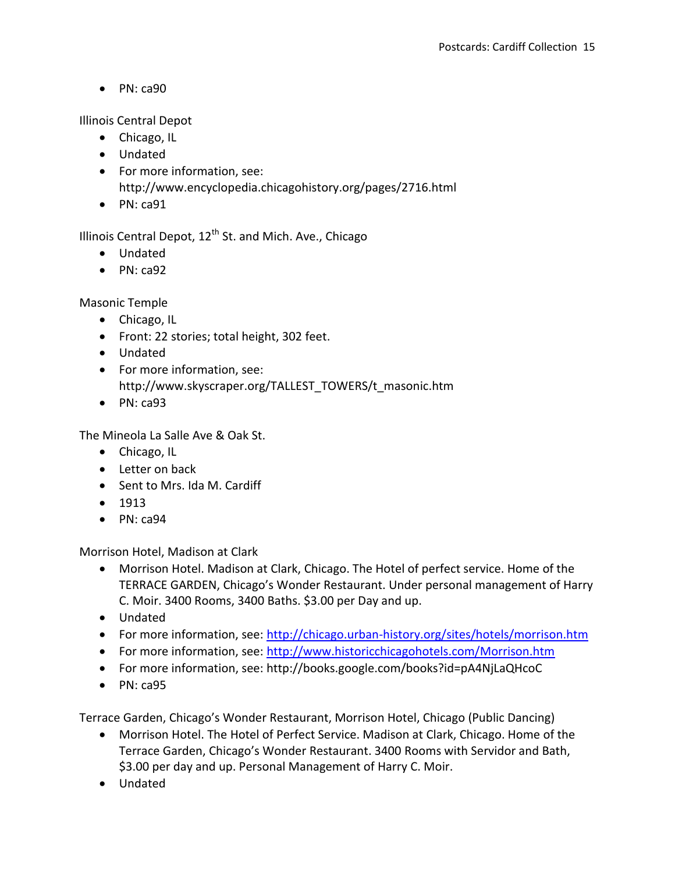Illinois Central Depot

- Chicago, IL
- Undated
- For more information, see: http://www.encyclopedia.chicagohistory.org/pages/2716.html
- $\bullet$  PN: ca91

Illinois Central Depot,  $12^{th}$  St. and Mich. Ave., Chicago

- Undated
- $\bullet$  PN: ca92

Masonic Temple

- Chicago, IL
- Front: 22 stories; total height, 302 feet.
- Undated
- For more information, see: http://www.skyscraper.org/TALLEST\_TOWERS/t\_masonic.htm
- $\bullet$  PN: ca93

The Mineola La Salle Ave & Oak St.

- Chicago, IL
- Letter on back
- Sent to Mrs. Ida M. Cardiff
- $1913$
- PN: ca94

Morrison Hotel, Madison at Clark

- Morrison Hotel. Madison at Clark, Chicago. The Hotel of perfect service. Home of the TERRACE GARDEN, Chicago's Wonder Restaurant. Under personal management of Harry C. Moir. 3400 Rooms, 3400 Baths. \$3.00 per Day and up.
- Undated
- For more information, see:<http://chicago.urban-history.org/sites/hotels/morrison.htm>
- For more information, see:<http://www.historicchicagohotels.com/Morrison.htm>
- For more information, see: http://books.google.com/books?id=pA4NjLaQHcoC
- $\bullet$  PN: ca95

Terrace Garden, Chicago's Wonder Restaurant, Morrison Hotel, Chicago (Public Dancing)

- Morrison Hotel. The Hotel of Perfect Service. Madison at Clark, Chicago. Home of the Terrace Garden, Chicago's Wonder Restaurant. 3400 Rooms with Servidor and Bath, \$3.00 per day and up. Personal Management of Harry C. Moir.
- Undated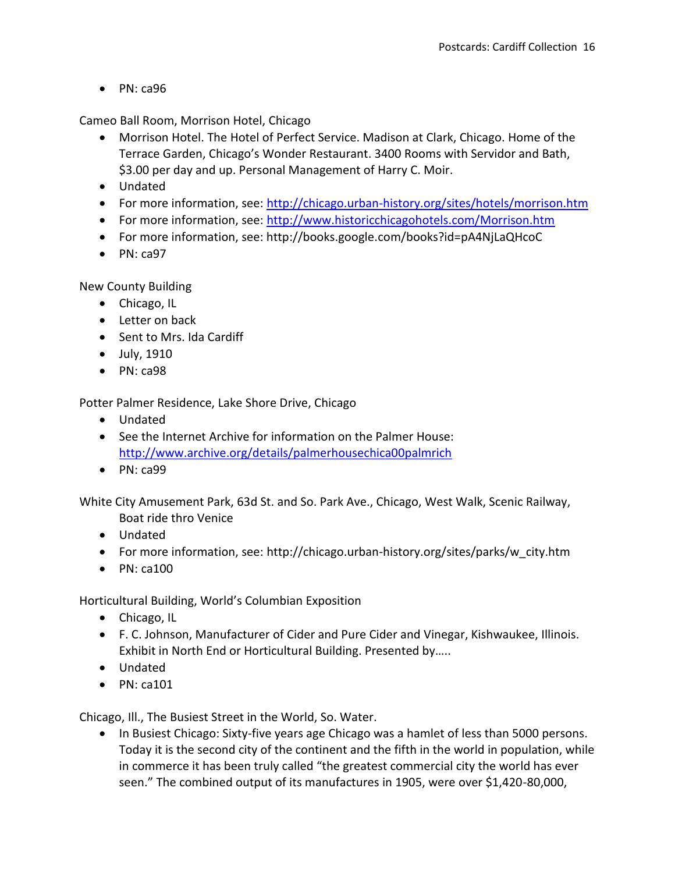Cameo Ball Room, Morrison Hotel, Chicago

- Morrison Hotel. The Hotel of Perfect Service. Madison at Clark, Chicago. Home of the Terrace Garden, Chicago's Wonder Restaurant. 3400 Rooms with Servidor and Bath, \$3.00 per day and up. Personal Management of Harry C. Moir.
- Undated
- For more information, see:<http://chicago.urban-history.org/sites/hotels/morrison.htm>
- For more information, see:<http://www.historicchicagohotels.com/Morrison.htm>
- For more information, see: http://books.google.com/books?id=pA4NjLaQHcoC
- $\bullet$  PN: ca97

New County Building

- Chicago, IL
- Letter on back
- Sent to Mrs. Ida Cardiff
- July, 1910
- $\bullet$  PN: ca98

Potter Palmer Residence, Lake Shore Drive, Chicago

- Undated
- See the Internet Archive for information on the Palmer House: <http://www.archive.org/details/palmerhousechica00palmrich>
- $\bullet$  PN: ca99

White City Amusement Park, 63d St. and So. Park Ave., Chicago, West Walk, Scenic Railway, Boat ride thro Venice

- Undated
- For more information, see: http://chicago.urban-history.org/sites/parks/w\_city.htm
- $\bullet$  PN: ca100

Horticultural Building, World's Columbian Exposition

- Chicago, IL
- F. C. Johnson, Manufacturer of Cider and Pure Cider and Vinegar, Kishwaukee, Illinois. Exhibit in North End or Horticultural Building. Presented by…..
- Undated
- $\bullet$  PN: ca101

Chicago, Ill., The Busiest Street in the World, So. Water.

• In Busiest Chicago: Sixty-five years age Chicago was a hamlet of less than 5000 persons. Today it is the second city of the continent and the fifth in the world in population, while in commerce it has been truly called "the greatest commercial city the world has ever seen." The combined output of its manufactures in 1905, were over \$1,420-80,000,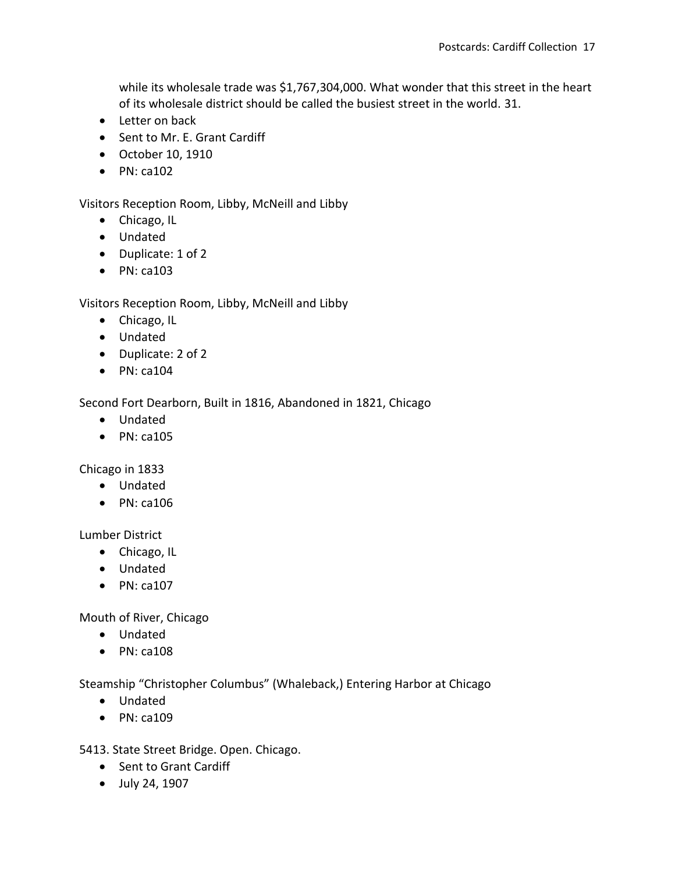while its wholesale trade was \$1,767,304,000. What wonder that this street in the heart of its wholesale district should be called the busiest street in the world. 31.

- Letter on back
- Sent to Mr. E. Grant Cardiff
- October 10, 1910
- $\bullet$  PN: ca102

Visitors Reception Room, Libby, McNeill and Libby

- Chicago, IL
- Undated
- Duplicate: 1 of 2
- $\bullet$  PN: ca103

Visitors Reception Room, Libby, McNeill and Libby

- Chicago, IL
- Undated
- Duplicate: 2 of 2
- $\bullet$  PN: ca104

Second Fort Dearborn, Built in 1816, Abandoned in 1821, Chicago

- Undated
- $\bullet$  PN: ca105

Chicago in 1833

- Undated
- $\bullet$  PN: ca106

Lumber District

- Chicago, IL
- Undated
- $\bullet$  PN: ca107

Mouth of River, Chicago

- Undated
- $\bullet$  PN: ca108

Steamship "Christopher Columbus" (Whaleback,) Entering Harbor at Chicago

- Undated
- $\bullet$  PN: ca109

5413. State Street Bridge. Open. Chicago.

- Sent to Grant Cardiff
- July 24, 1907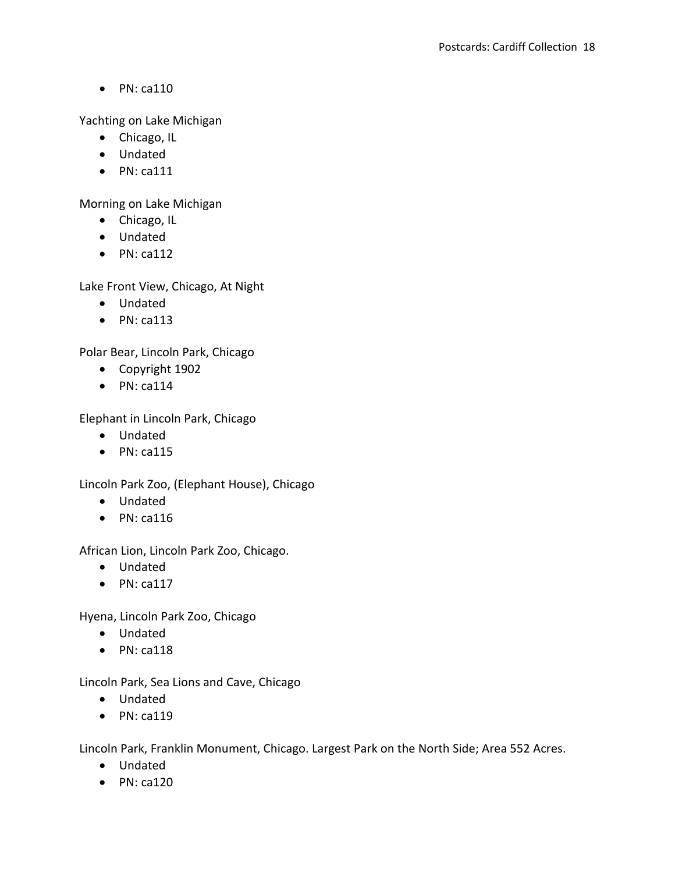Yachting on Lake Michigan

- Chicago, IL
- Undated
- $\bullet$  PN: ca111

Morning on Lake Michigan

- Chicago, IL
- Undated
- $\bullet$  PN: ca112

Lake Front View, Chicago, At Night

- Undated
- $\bullet$  PN: ca113

Polar Bear, Lincoln Park, Chicago

- Copyright 1902
- $\bullet$  PN: ca114

Elephant in Lincoln Park, Chicago

- Undated
- $\bullet$  PN: ca115

Lincoln Park Zoo, (Elephant House), Chicago

- Undated
- $\bullet$  PN: ca116

African Lion, Lincoln Park Zoo, Chicago.

- Undated
- $\bullet$  PN: ca117

Hyena, Lincoln Park Zoo, Chicago

- Undated
- $\bullet$  PN: ca118

Lincoln Park, Sea Lions and Cave, Chicago

- Undated
- $\bullet$  PN: ca119

Lincoln Park, Franklin Monument, Chicago. Largest Park on the North Side; Area 552 Acres.

- Undated
- $\bullet$  PN: ca120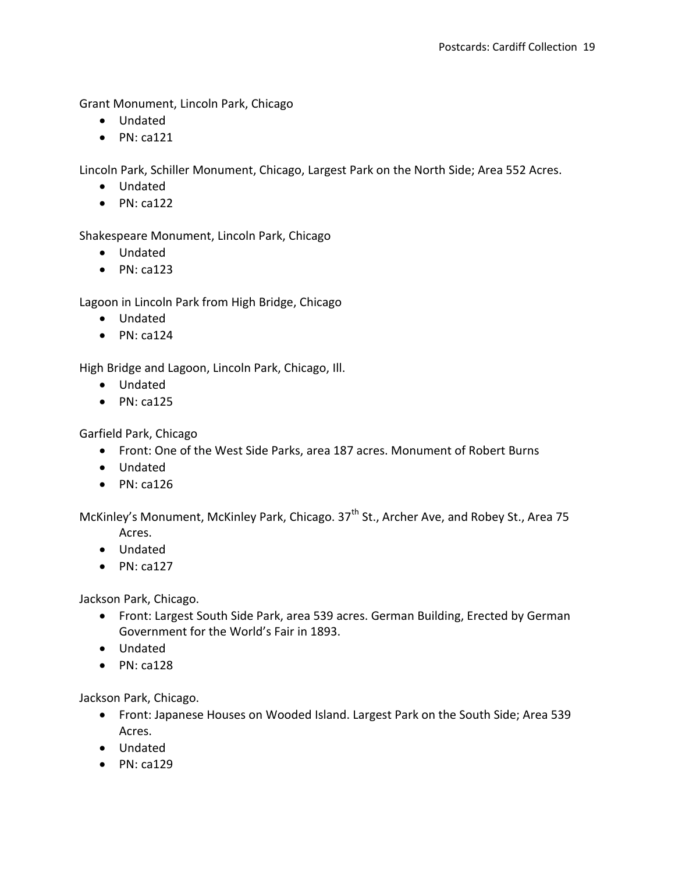Grant Monument, Lincoln Park, Chicago

- Undated
- $\bullet$  PN: ca121

Lincoln Park, Schiller Monument, Chicago, Largest Park on the North Side; Area 552 Acres.

- Undated
- $\bullet$  PN: ca122

Shakespeare Monument, Lincoln Park, Chicago

- Undated
- $\bullet$  PN: ca123

Lagoon in Lincoln Park from High Bridge, Chicago

- Undated
- $\bullet$  PN: ca124

High Bridge and Lagoon, Lincoln Park, Chicago, Ill.

- Undated
- $\bullet$  PN: ca125

Garfield Park, Chicago

- Front: One of the West Side Parks, area 187 acres. Monument of Robert Burns
- Undated
- $\bullet$  PN: ca126

McKinley's Monument, McKinley Park, Chicago. 37<sup>th</sup> St., Archer Ave, and Robey St., Area 75

- Acres.
- Undated
- $\bullet$  PN: ca127

Jackson Park, Chicago.

- Front: Largest South Side Park, area 539 acres. German Building, Erected by German Government for the World's Fair in 1893.
- Undated
- $\bullet$  PN: ca128

Jackson Park, Chicago.

- Front: Japanese Houses on Wooded Island. Largest Park on the South Side; Area 539 Acres.
- Undated
- $\bullet$  PN: ca129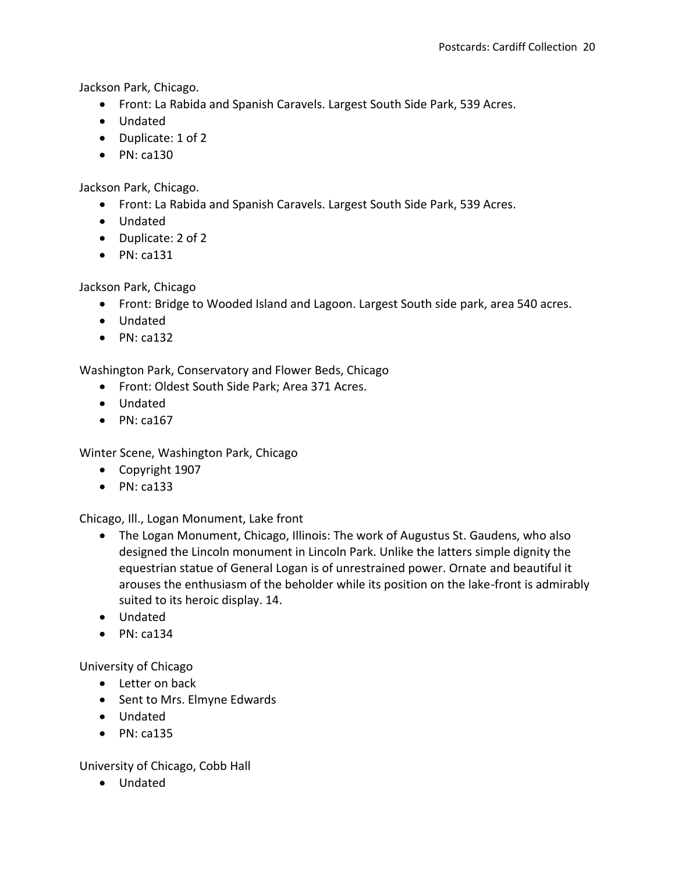Jackson Park, Chicago.

- Front: La Rabida and Spanish Caravels. Largest South Side Park, 539 Acres.
- Undated
- Duplicate: 1 of 2
- $\bullet$  PN: ca130

Jackson Park, Chicago.

- Front: La Rabida and Spanish Caravels. Largest South Side Park, 539 Acres.
- Undated
- Duplicate: 2 of 2
- $\bullet$  PN: ca131

Jackson Park, Chicago

- Front: Bridge to Wooded Island and Lagoon. Largest South side park, area 540 acres.
- Undated
- $\bullet$  PN: ca132

Washington Park, Conservatory and Flower Beds, Chicago

- Front: Oldest South Side Park; Area 371 Acres.
- Undated
- $\bullet$  PN: ca167

Winter Scene, Washington Park, Chicago

- Copyright 1907
- $\bullet$  PN: ca133

Chicago, Ill., Logan Monument, Lake front

- The Logan Monument, Chicago, Illinois: The work of Augustus St. Gaudens, who also designed the Lincoln monument in Lincoln Park. Unlike the latters simple dignity the equestrian statue of General Logan is of unrestrained power. Ornate and beautiful it arouses the enthusiasm of the beholder while its position on the lake-front is admirably suited to its heroic display. 14.
- Undated
- $\bullet$  PN: ca134

University of Chicago

- Letter on back
- Sent to Mrs. Elmyne Edwards
- Undated
- $\bullet$  PN: ca135

University of Chicago, Cobb Hall

Undated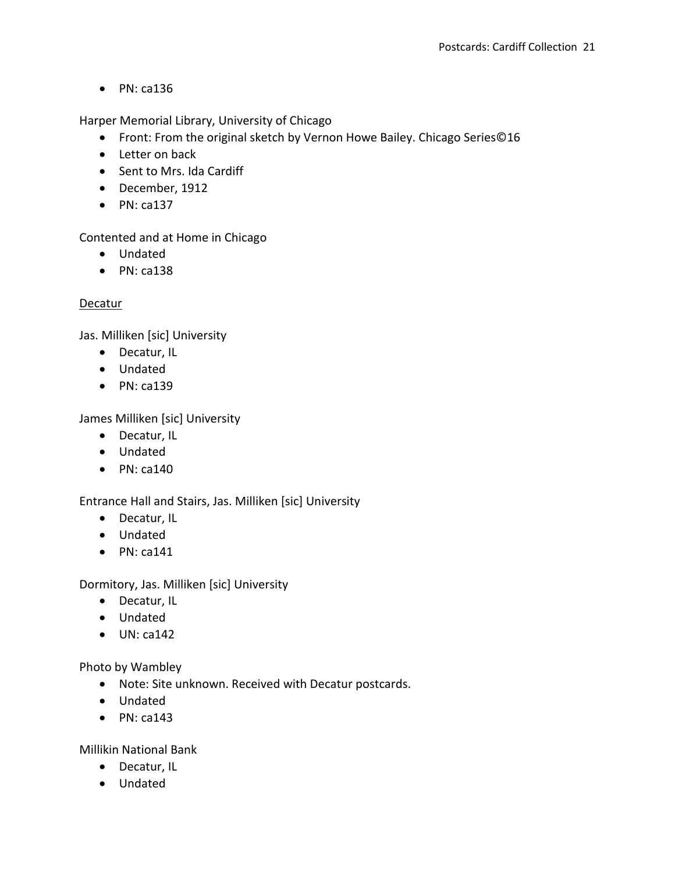Harper Memorial Library, University of Chicago

- Front: From the original sketch by Vernon Howe Bailey. Chicago Series©16
- Letter on back
- Sent to Mrs. Ida Cardiff
- December, 1912
- $\bullet$  PN: ca137

Contented and at Home in Chicago

- Undated
- $\bullet$  PN: ca138

## **Decatur**

Jas. Milliken [sic] University

- Decatur, IL
- Undated
- $\bullet$  PN: ca139

James Milliken [sic] University

- Decatur, IL
- Undated
- $\bullet$  PN: ca140

Entrance Hall and Stairs, Jas. Milliken [sic] University

- Decatur, IL
- Undated
- $\bullet$  PN: ca141

Dormitory, Jas. Milliken [sic] University

- Decatur, IL
- Undated
- $\bullet$  UN: ca142

Photo by Wambley

- Note: Site unknown. Received with Decatur postcards.
- Undated
- $\bullet$  PN: ca143

Millikin National Bank

- Decatur, IL
- Undated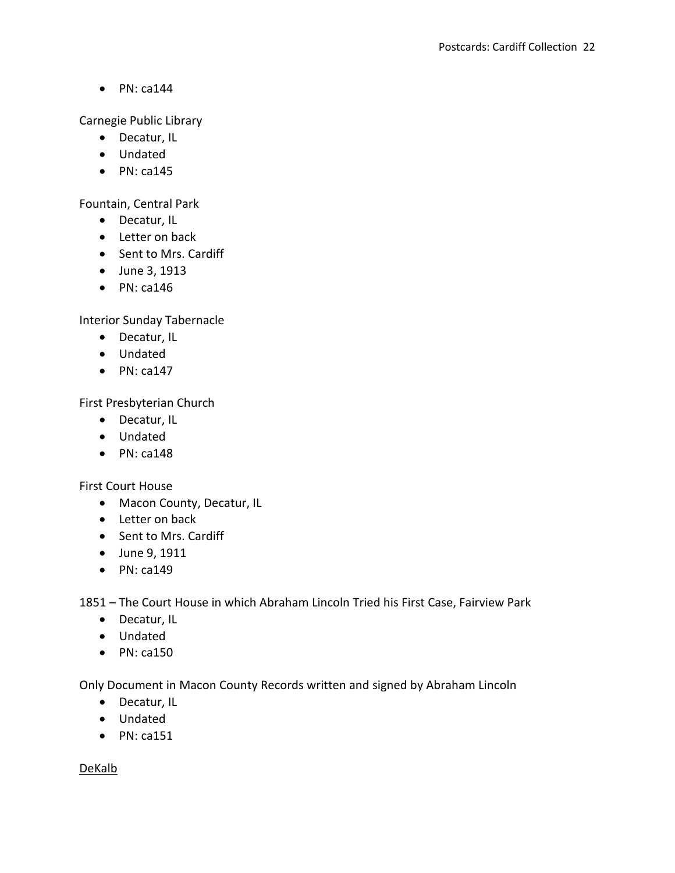Carnegie Public Library

- Decatur, IL
- Undated
- $\bullet$  PN: ca145

Fountain, Central Park

- Decatur, IL
- Letter on back
- Sent to Mrs. Cardiff
- June 3, 1913
- $\bullet$  PN: ca146

Interior Sunday Tabernacle

- Decatur, IL
- Undated
- $\bullet$  PN: ca147

First Presbyterian Church

- Decatur, IL
- Undated
- $\bullet$  PN: ca148

First Court House

- Macon County, Decatur, IL
- Letter on back
- Sent to Mrs. Cardiff
- June 9, 1911
- $\bullet$  PN: ca149

1851 – The Court House in which Abraham Lincoln Tried his First Case, Fairview Park

- Decatur, IL
- Undated
- $\bullet$  PN: ca150

Only Document in Macon County Records written and signed by Abraham Lincoln

- Decatur, IL
- Undated
- $\bullet$  PN: ca151

DeKalb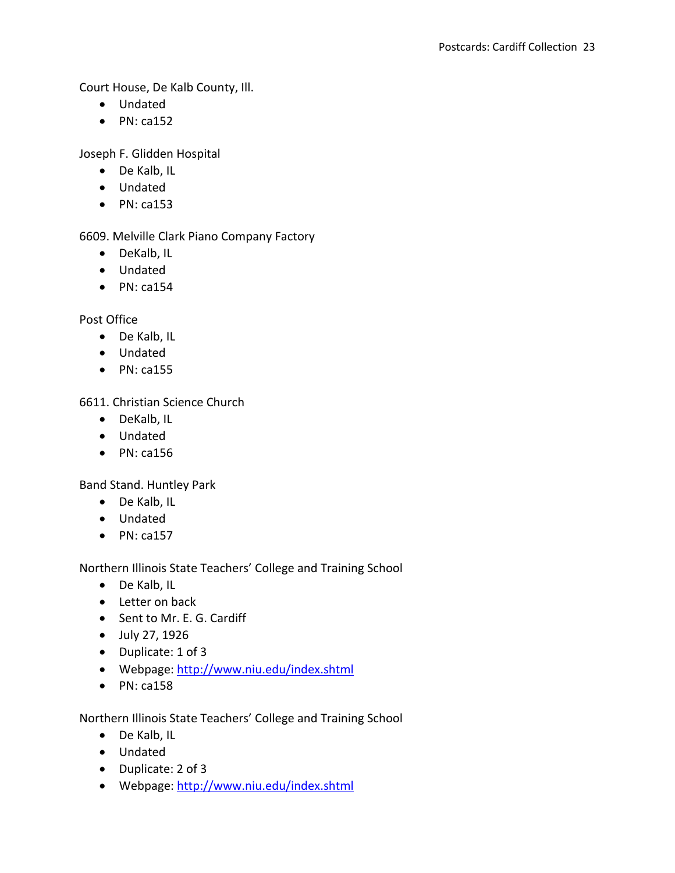Court House, De Kalb County, Ill.

- Undated
- $\bullet$  PN: ca152

Joseph F. Glidden Hospital

- De Kalb, IL
- Undated
- $\bullet$  PN: ca153

6609. Melville Clark Piano Company Factory

- DeKalb, IL
- Undated
- $\bullet$  PN: ca154

Post Office

- De Kalb, IL
- Undated
- $\bullet$  PN: ca155

6611. Christian Science Church

- DeKalb, IL
- Undated
- $\bullet$  PN: ca156

Band Stand. Huntley Park

- De Kalb, IL
- Undated
- $\bullet$  PN: ca157

Northern Illinois State Teachers' College and Training School

- De Kalb, IL
- Letter on back
- Sent to Mr. E. G. Cardiff
- July 27, 1926
- Duplicate: 1 of 3
- Webpage:<http://www.niu.edu/index.shtml>
- $\bullet$  PN: ca158

Northern Illinois State Teachers' College and Training School

- De Kalb, IL
- Undated
- Duplicate: 2 of 3
- Webpage:<http://www.niu.edu/index.shtml>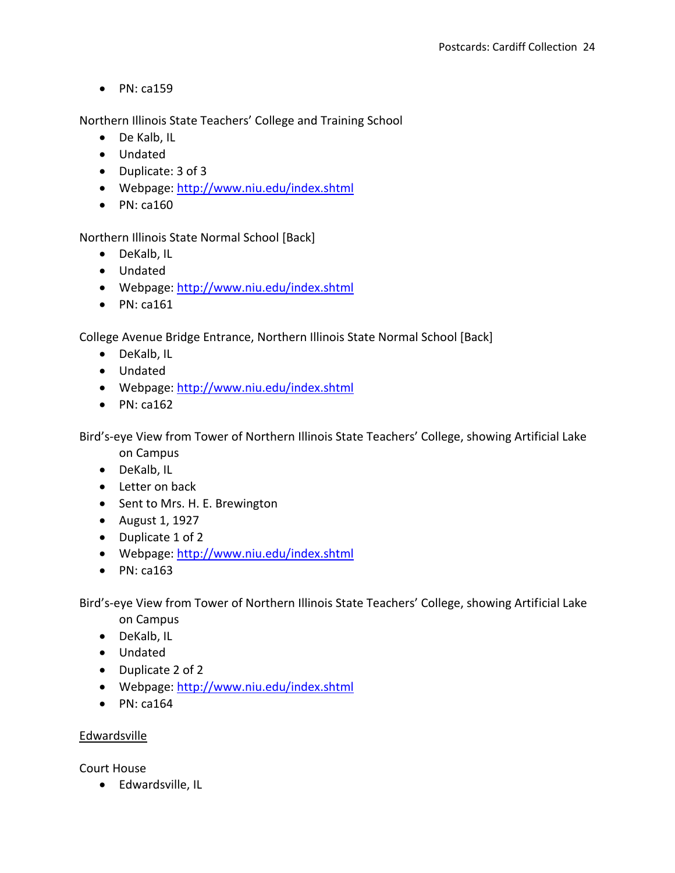Northern Illinois State Teachers' College and Training School

- De Kalb, IL
- Undated
- Duplicate: 3 of 3
- Webpage:<http://www.niu.edu/index.shtml>
- $\bullet$  PN: ca160

Northern Illinois State Normal School [Back]

- DeKalb, IL
- Undated
- Webpage:<http://www.niu.edu/index.shtml>
- $\bullet$  PN: ca161

College Avenue Bridge Entrance, Northern Illinois State Normal School [Back]

- DeKalb, IL
- Undated
- Webpage:<http://www.niu.edu/index.shtml>
- $\bullet$  PN: ca162

Bird's-eye View from Tower of Northern Illinois State Teachers' College, showing Artificial Lake

- on Campus
- DeKalb, IL
- Letter on back
- Sent to Mrs. H. E. Brewington
- August 1, 1927
- Duplicate 1 of 2
- Webpage:<http://www.niu.edu/index.shtml>
- $\bullet$  PN: ca163

Bird's-eye View from Tower of Northern Illinois State Teachers' College, showing Artificial Lake on Campus

- DeKalb, IL
- Undated
- Duplicate 2 of 2
- Webpage:<http://www.niu.edu/index.shtml>
- $\bullet$  PN: ca164

## Edwardsville

Court House

• Edwardsville, IL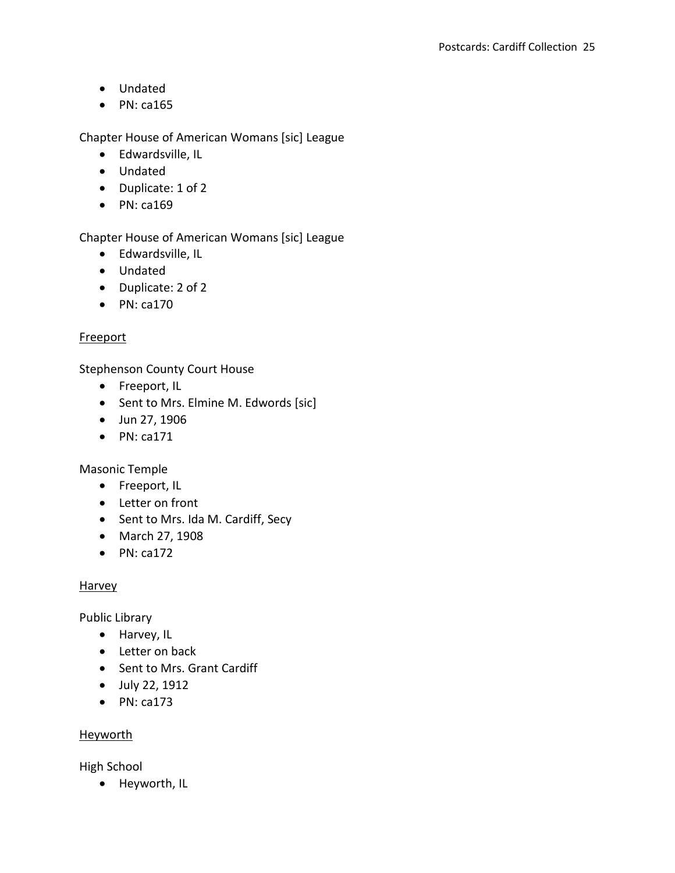- Undated
- $\bullet$  PN: ca165

Chapter House of American Womans [sic] League

- Edwardsville, IL
- Undated
- Duplicate: 1 of 2
- $\bullet$  PN: ca169

Chapter House of American Womans [sic] League

- Edwardsville, IL
- Undated
- Duplicate: 2 of 2
- $\bullet$  PN: ca170

## **Freeport**

Stephenson County Court House

- Freeport, IL
- Sent to Mrs. Elmine M. Edwords [sic]
- Jun 27, 1906
- $\bullet$  PN: ca171

Masonic Temple

- Freeport, IL
- Letter on front
- Sent to Mrs. Ida M. Cardiff, Secy
- March 27, 1908
- $\bullet$  PN: ca172

## **Harvey**

Public Library

- Harvey, IL
- Letter on back
- Sent to Mrs. Grant Cardiff
- July 22, 1912
- $\bullet$  PN: ca173

## Heyworth

High School

• Heyworth, IL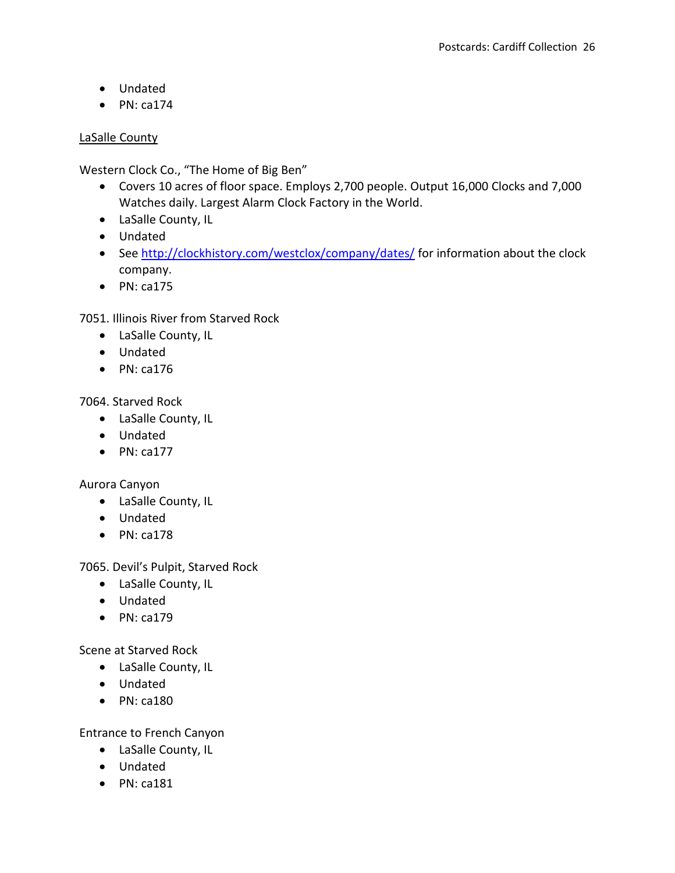- Undated
- $\bullet$  PN: ca174

## LaSalle County

Western Clock Co., "The Home of Big Ben"

- Covers 10 acres of floor space. Employs 2,700 people. Output 16,000 Clocks and 7,000 Watches daily. Largest Alarm Clock Factory in the World.
- LaSalle County, IL
- Undated
- See<http://clockhistory.com/westclox/company/dates/> for information about the clock company.
- $\bullet$  PN: ca175

7051. Illinois River from Starved Rock

- LaSalle County, IL
- Undated
- $\bullet$  PN: ca176

7064. Starved Rock

- LaSalle County, IL
- Undated
- $\bullet$  PN: ca177

Aurora Canyon

- LaSalle County, IL
- Undated
- $\bullet$  PN: ca178

7065. Devil's Pulpit, Starved Rock

- LaSalle County, IL
- Undated
- $\bullet$  PN: ca179

Scene at Starved Rock

- LaSalle County, IL
- Undated
- $\bullet$  PN: ca180

Entrance to French Canyon

- LaSalle County, IL
- Undated
- $\bullet$  PN: ca181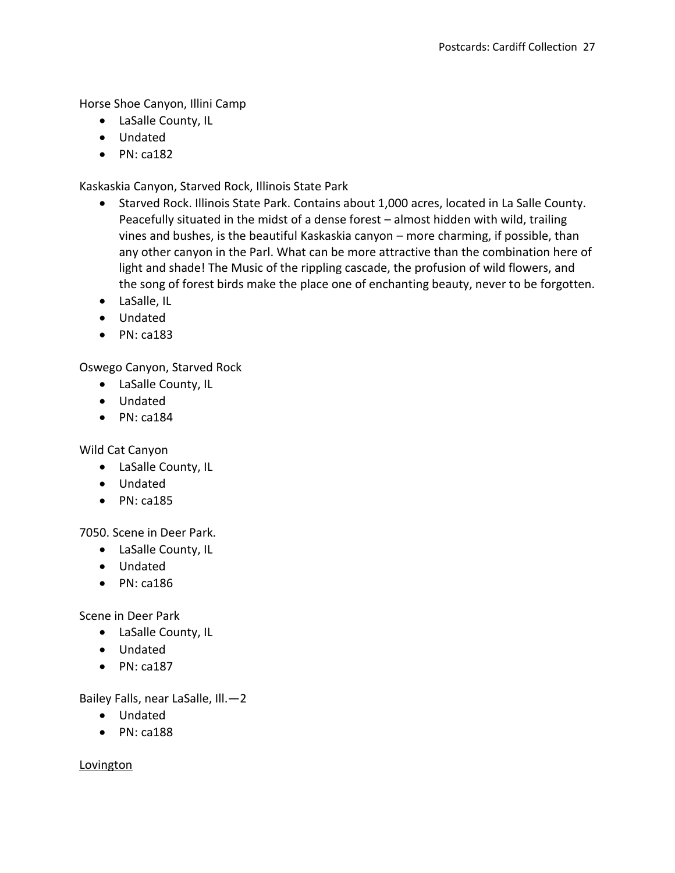Horse Shoe Canyon, Illini Camp

- LaSalle County, IL
- Undated
- $\bullet$  PN: ca182

Kaskaskia Canyon, Starved Rock, Illinois State Park

- Starved Rock. Illinois State Park. Contains about 1,000 acres, located in La Salle County. Peacefully situated in the midst of a dense forest – almost hidden with wild, trailing vines and bushes, is the beautiful Kaskaskia canyon – more charming, if possible, than any other canyon in the Parl. What can be more attractive than the combination here of light and shade! The Music of the rippling cascade, the profusion of wild flowers, and the song of forest birds make the place one of enchanting beauty, never to be forgotten.
- LaSalle, IL
- Undated
- $\bullet$  PN: ca183

Oswego Canyon, Starved Rock

- LaSalle County, IL
- Undated
- $\bullet$  PN: ca184

Wild Cat Canyon

- LaSalle County, IL
- Undated
- $\bullet$  PN: ca185

7050. Scene in Deer Park.

- LaSalle County, IL
- Undated
- $\bullet$  PN: ca186

Scene in Deer Park

- LaSalle County, IL
- Undated
- $\bullet$  PN: ca187

Bailey Falls, near LaSalle, Ill.—2

- Undated
- $\bullet$  PN: ca188

Lovington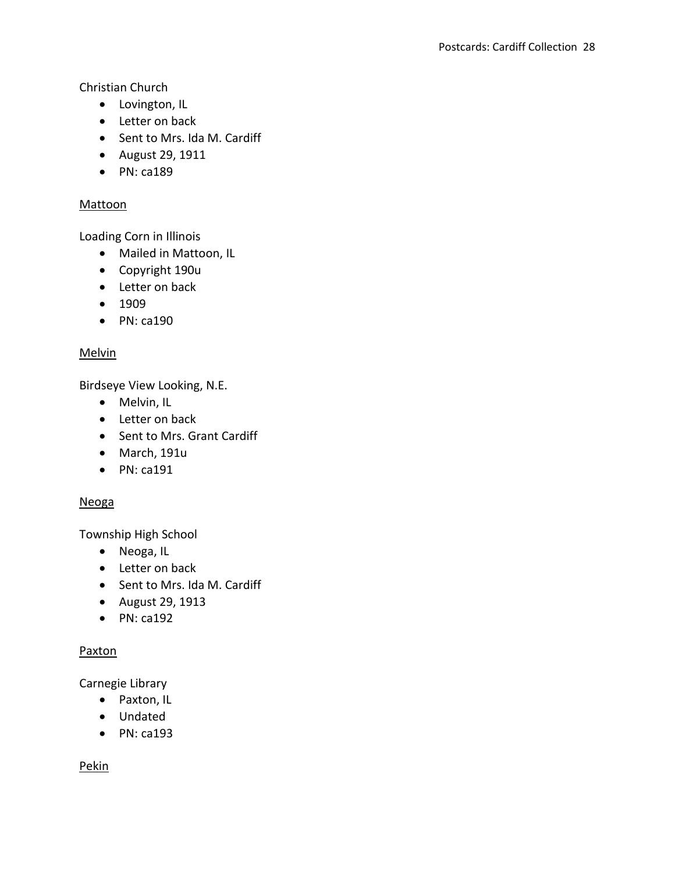Christian Church

- Lovington, IL
- Letter on back
- Sent to Mrs. Ida M. Cardiff
- August 29, 1911
- $\bullet$  PN: ca189

## Mattoon

Loading Corn in Illinois

- Mailed in Mattoon, IL
- Copyright 190u
- Letter on back
- $1909$
- $\bullet$  PN: ca190

# Melvin

Birdseye View Looking, N.E.

- Melvin, IL
- Letter on back
- Sent to Mrs. Grant Cardiff
- March, 191u
- $\bullet$  PN: ca191

# Neoga

Township High School

- Neoga, IL
- Letter on back
- Sent to Mrs. Ida M. Cardiff
- August 29, 1913
- $\bullet$  PN: ca192

# Paxton

Carnegie Library

- Paxton, IL
- Undated
- $\bullet$  PN: ca193

Pekin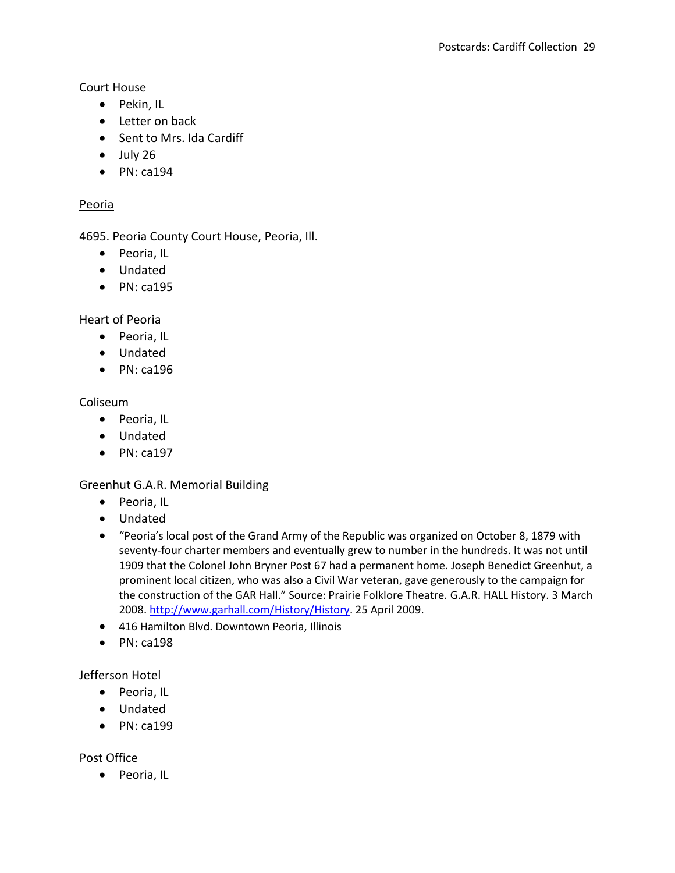Court House

- Pekin, IL
- Letter on back
- Sent to Mrs. Ida Cardiff
- $\bullet$  July 26
- $\bullet$  PN: ca194

### Peoria

4695. Peoria County Court House, Peoria, Ill.

- Peoria, IL
- Undated
- $\bullet$  PN: ca195

Heart of Peoria

- Peoria, IL
- Undated
- $\bullet$  PN: ca196

### Coliseum

- Peoria, IL
- Undated
- $\bullet$  PN: ca197

Greenhut G.A.R. Memorial Building

- Peoria, IL
- Undated
- "Peoria's local post of the Grand Army of the Republic was organized on October 8, 1879 with seventy-four charter members and eventually grew to number in the hundreds. It was not until 1909 that the Colonel John Bryner Post 67 had a permanent home. Joseph Benedict Greenhut, a prominent local citizen, who was also a Civil War veteran, gave generously to the campaign for the construction of the GAR Hall." Source: Prairie Folklore Theatre. G.A.R. HALL History. 3 March 2008. [http://www.garhall.com/History/History.](http://www.garhall.com/History/History) 25 April 2009.
- 416 Hamilton Blvd. Downtown Peoria, Illinois
- $\bullet$  PN: ca198

### Jefferson Hotel

- Peoria, IL
- Undated
- $\bullet$  PN: ca199

### Post Office

• Peoria, IL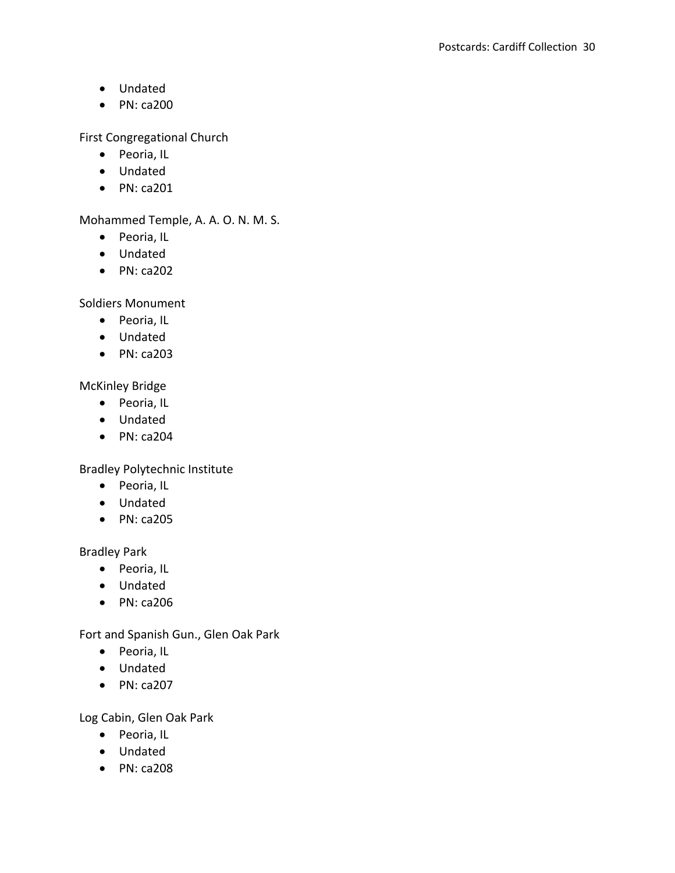- Undated
- $\bullet$  PN: ca200

First Congregational Church

- Peoria, IL
- Undated
- PN: ca201

Mohammed Temple, A. A. O. N. M. S.

- Peoria, IL
- Undated
- $\bullet$  PN: ca202

Soldiers Monument

- Peoria, IL
- Undated
- $\bullet$  PN: ca203

McKinley Bridge

- Peoria, IL
- Undated
- $\bullet$  PN: ca204

Bradley Polytechnic Institute

- Peoria, IL
- Undated
- PN: ca205

Bradley Park

- Peoria, IL
- Undated
- PN: ca206

Fort and Spanish Gun., Glen Oak Park

- Peoria, IL
- Undated
- $\bullet$  PN: ca207

Log Cabin, Glen Oak Park

- Peoria, IL
- Undated
- $\bullet$  PN: ca208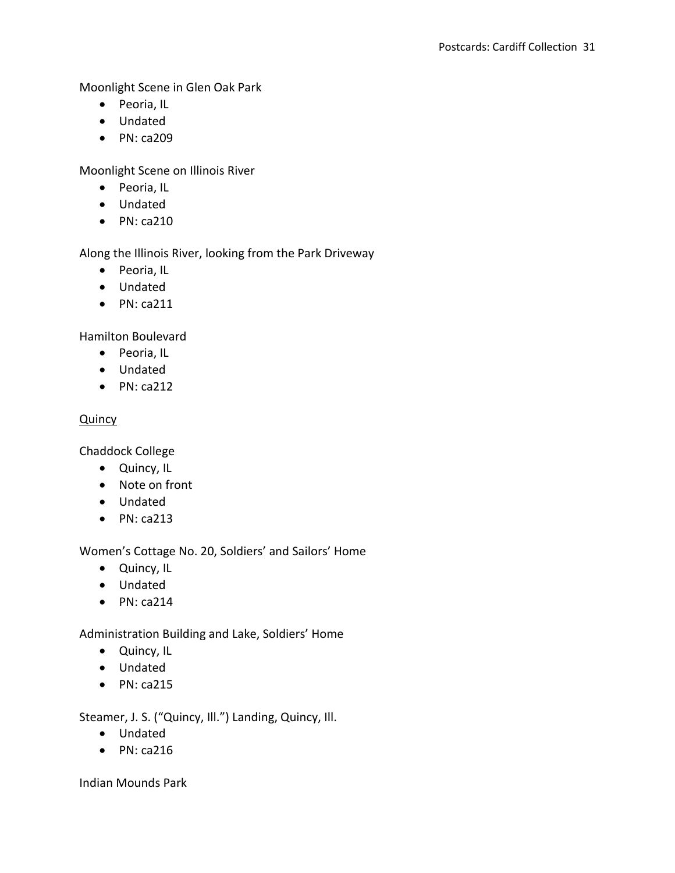Moonlight Scene in Glen Oak Park

- Peoria, IL
- Undated
- PN: ca209

Moonlight Scene on Illinois River

- Peoria, IL
- Undated
- $\bullet$  PN: ca210

Along the Illinois River, looking from the Park Driveway

- Peoria, IL
- Undated
- $\bullet$  PN: ca211

Hamilton Boulevard

- Peoria, IL
- Undated
- $\bullet$  PN: ca212

### **Quincy**

Chaddock College

- Quincy, IL
- Note on front
- Undated
- $\bullet$  PN: ca213

Women's Cottage No. 20, Soldiers' and Sailors' Home

- Quincy, IL
- Undated
- $\bullet$  PN: ca214

Administration Building and Lake, Soldiers' Home

- Quincy, IL
- Undated
- $\bullet$  PN: ca215

Steamer, J. S. ("Quincy, Ill.") Landing, Quincy, Ill.

- Undated
- $\bullet$  PN: ca216

Indian Mounds Park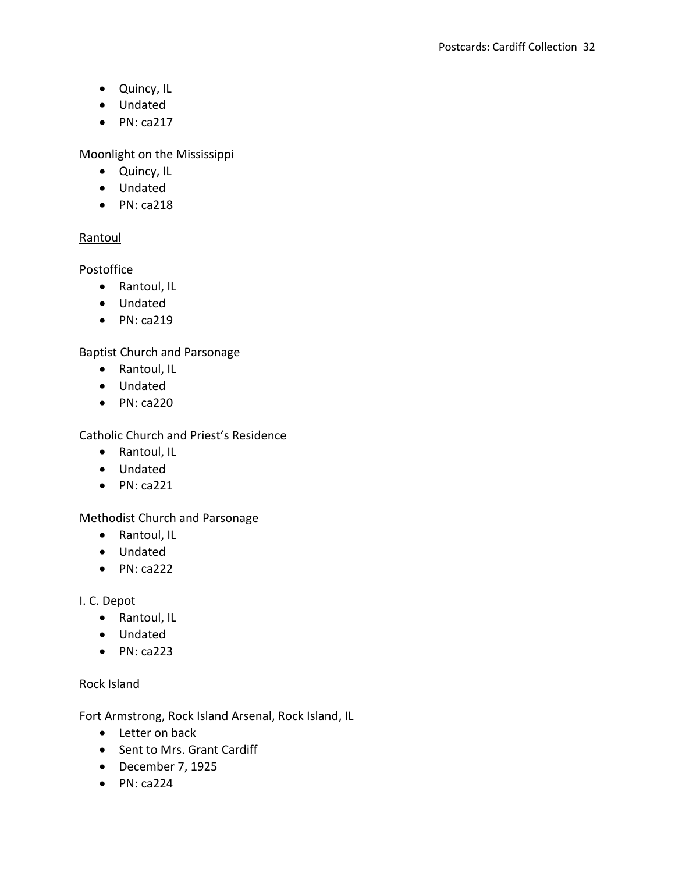- Quincy, IL
- Undated
- $\bullet$  PN: ca217

Moonlight on the Mississippi

- Quincy, IL
- Undated
- $\bullet$  PN: ca218

# Rantoul

Postoffice

- Rantoul, IL
- Undated
- $\bullet$  PN: ca219

Baptist Church and Parsonage

- Rantoul, IL
- Undated
- $\bullet$  PN: ca220

Catholic Church and Priest's Residence

- Rantoul, IL
- Undated
- $\bullet$  PN: ca221

Methodist Church and Parsonage

- Rantoul, IL
- Undated
- $\bullet$  PN: ca222

I. C. Depot

- Rantoul, IL
- Undated
- $\bullet$  PN: ca223

# Rock Island

Fort Armstrong, Rock Island Arsenal, Rock Island, IL

- Letter on back
- Sent to Mrs. Grant Cardiff
- December 7, 1925
- $\bullet$  PN: ca224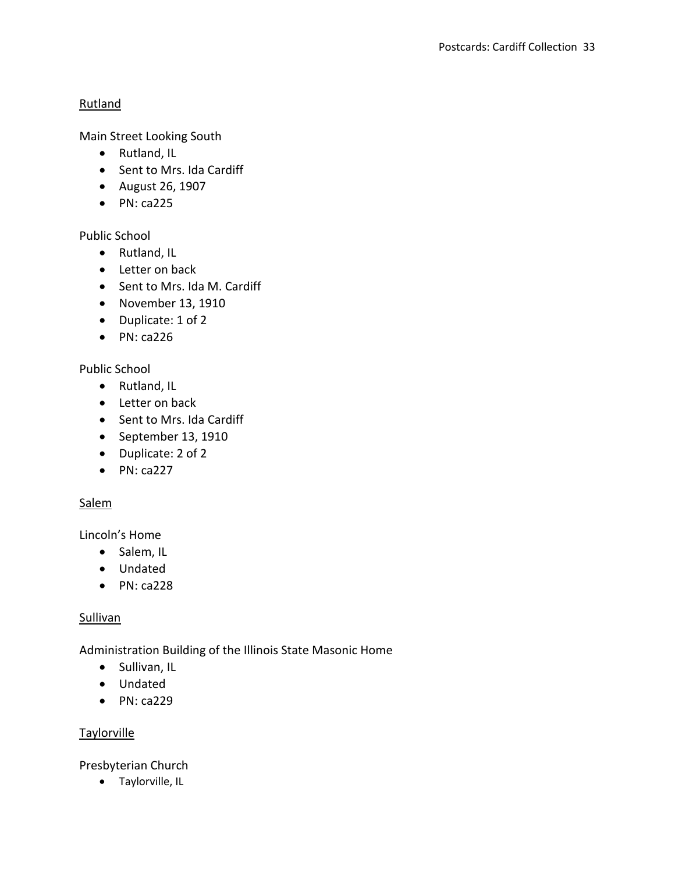## **Rutland**

Main Street Looking South

- Rutland, IL
- Sent to Mrs. Ida Cardiff
- August 26, 1907
- $\bullet$  PN: ca225

# Public School

- Rutland, IL
- Letter on back
- Sent to Mrs. Ida M. Cardiff
- November 13, 1910
- Duplicate: 1 of 2
- $\bullet$  PN: ca226

# Public School

- Rutland, IL
- Letter on back
- Sent to Mrs. Ida Cardiff
- $\bullet$  September 13, 1910
- Duplicate: 2 of 2
- $\bullet$  PN: ca227

# **Salem**

Lincoln's Home

- Salem, IL
- Undated
- $\bullet$  PN: ca228

# **Sullivan**

Administration Building of the Illinois State Masonic Home

- Sullivan, IL
- Undated
- $\bullet$  PN: ca229

# **Taylorville**

Presbyterian Church

• Taylorville, IL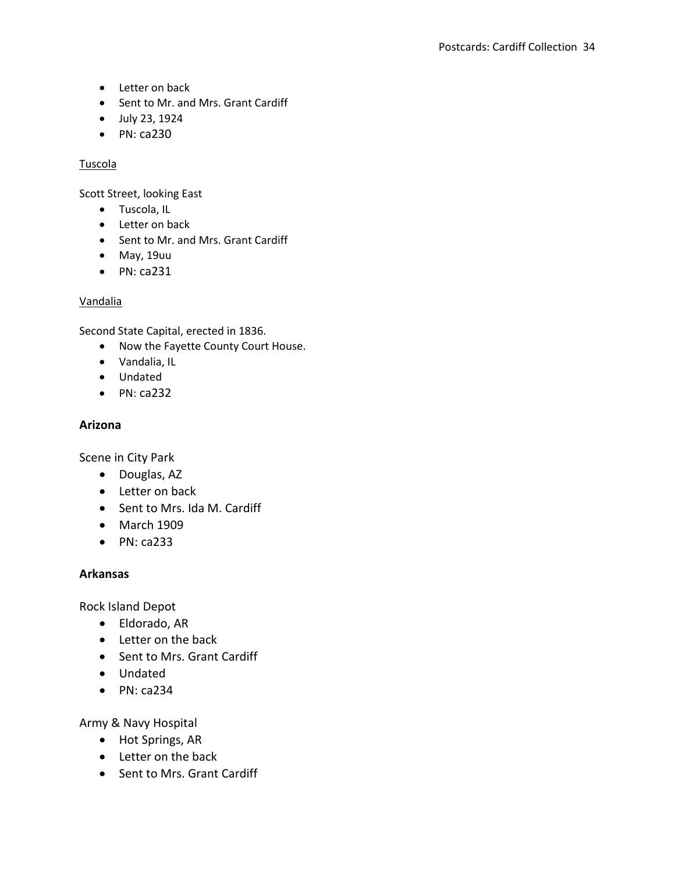- Letter on back
- Sent to Mr. and Mrs. Grant Cardiff
- July 23, 1924
- PN: ca230

#### Tuscola

Scott Street, looking East

- Tuscola, IL
- Letter on back
- Sent to Mr. and Mrs. Grant Cardiff
- May, 19uu
- $\bullet$  PN: ca231

### Vandalia

Second State Capital, erected in 1836.

- Now the Fayette County Court House.
- Vandalia, IL
- Undated
- $\bullet$  PN: ca232

### **Arizona**

Scene in City Park

- Douglas, AZ
- Letter on back
- Sent to Mrs. Ida M. Cardiff
- March 1909
- $\bullet$  PN: ca233

### **Arkansas**

Rock Island Depot

- Eldorado, AR
- Letter on the back
- Sent to Mrs. Grant Cardiff
- Undated
- $\bullet$  PN: ca234

Army & Navy Hospital

- Hot Springs, AR
- Letter on the back
- Sent to Mrs. Grant Cardiff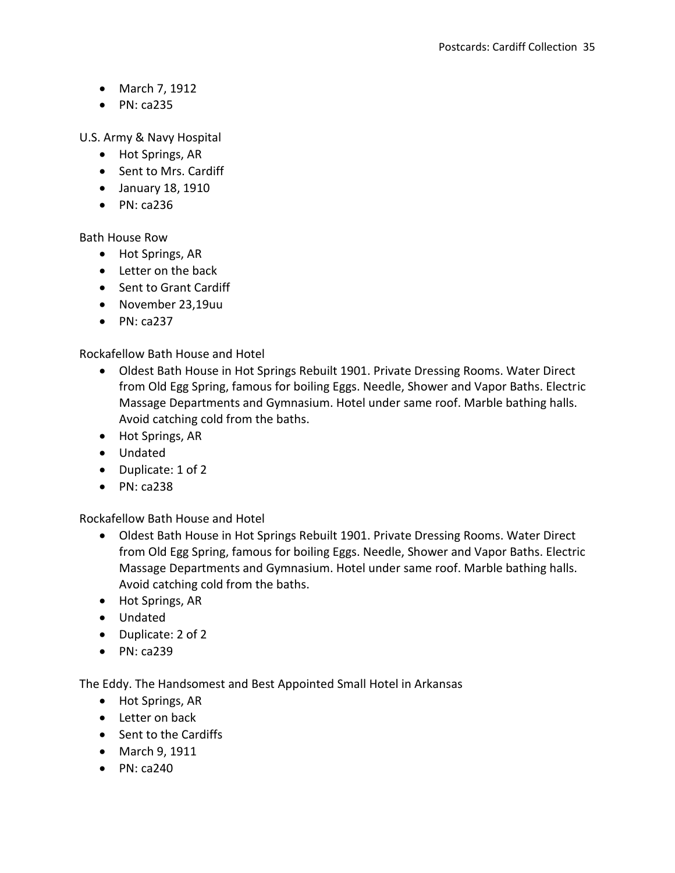- March 7, 1912
- $\bullet$  PN: ca235

U.S. Army & Navy Hospital

- Hot Springs, AR
- Sent to Mrs. Cardiff
- January 18, 1910
- $\bullet$  PN: ca236

Bath House Row

- Hot Springs, AR
- Letter on the back
- Sent to Grant Cardiff
- November 23,19uu
- $\bullet$  PN: ca237

Rockafellow Bath House and Hotel

- Oldest Bath House in Hot Springs Rebuilt 1901. Private Dressing Rooms. Water Direct from Old Egg Spring, famous for boiling Eggs. Needle, Shower and Vapor Baths. Electric Massage Departments and Gymnasium. Hotel under same roof. Marble bathing halls. Avoid catching cold from the baths.
- Hot Springs, AR
- Undated
- Duplicate: 1 of 2
- $\bullet$  PN: ca238

Rockafellow Bath House and Hotel

- Oldest Bath House in Hot Springs Rebuilt 1901. Private Dressing Rooms. Water Direct from Old Egg Spring, famous for boiling Eggs. Needle, Shower and Vapor Baths. Electric Massage Departments and Gymnasium. Hotel under same roof. Marble bathing halls. Avoid catching cold from the baths.
- Hot Springs, AR
- Undated
- Duplicate: 2 of 2
- $\bullet$  PN: ca239

The Eddy. The Handsomest and Best Appointed Small Hotel in Arkansas

- Hot Springs, AR
- Letter on back
- Sent to the Cardiffs
- March 9, 1911
- $\bullet$  PN: ca240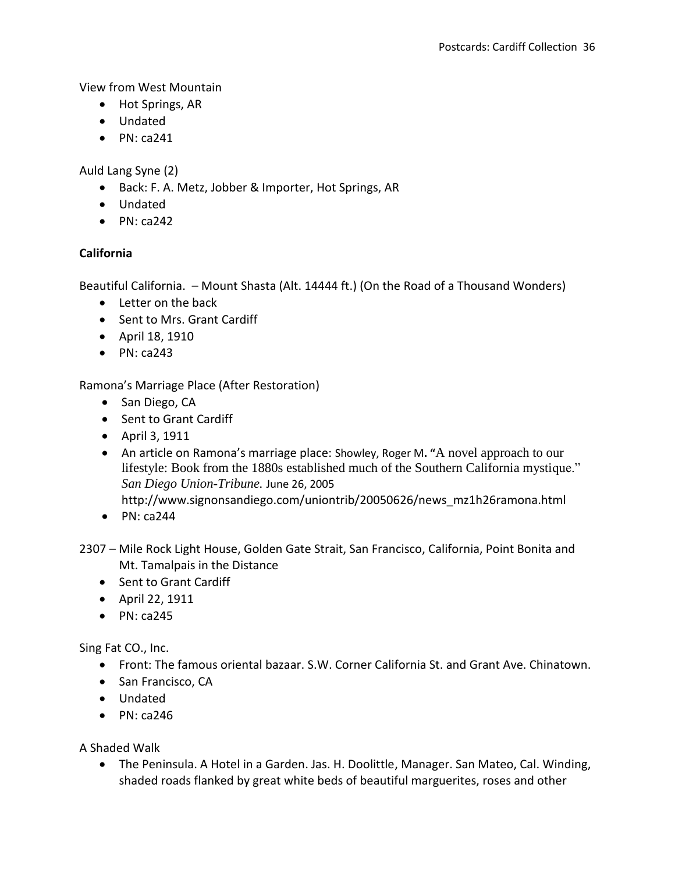View from West Mountain

- Hot Springs, AR
- Undated
- $\bullet$  PN: ca241

Auld Lang Syne (2)

- Back: F. A. Metz, Jobber & Importer, Hot Springs, AR
- Undated
- $\bullet$  PN: ca242

# **California**

Beautiful California. – Mount Shasta (Alt. 14444 ft.) (On the Road of a Thousand Wonders)

- Letter on the back
- Sent to Mrs. Grant Cardiff
- April 18, 1910
- $\bullet$  PN: ca243

Ramona's Marriage Place (After Restoration)

- San Diego, CA
- Sent to Grant Cardiff
- April 3, 1911
- An article on Ramona's marriage place: Showley, Roger M**. "**A novel approach to our lifestyle: Book from the 1880s established much of the Southern California mystique." *San Diego Union-Tribune.* June 26, 2005 http://www.signonsandiego.com/uniontrib/20050626/news\_mz1h26ramona.html
- $\bullet$  PN: ca244
- 2307 Mile Rock Light House, Golden Gate Strait, San Francisco, California, Point Bonita and Mt. Tamalpais in the Distance
	- Sent to Grant Cardiff
	- April 22, 1911
	- $\bullet$  PN: ca245

Sing Fat CO., Inc.

- Front: The famous oriental bazaar. S.W. Corner California St. and Grant Ave. Chinatown.
- San Francisco, CA
- Undated
- $\bullet$  PN: ca246

A Shaded Walk

 The Peninsula. A Hotel in a Garden. Jas. H. Doolittle, Manager. San Mateo, Cal. Winding, shaded roads flanked by great white beds of beautiful marguerites, roses and other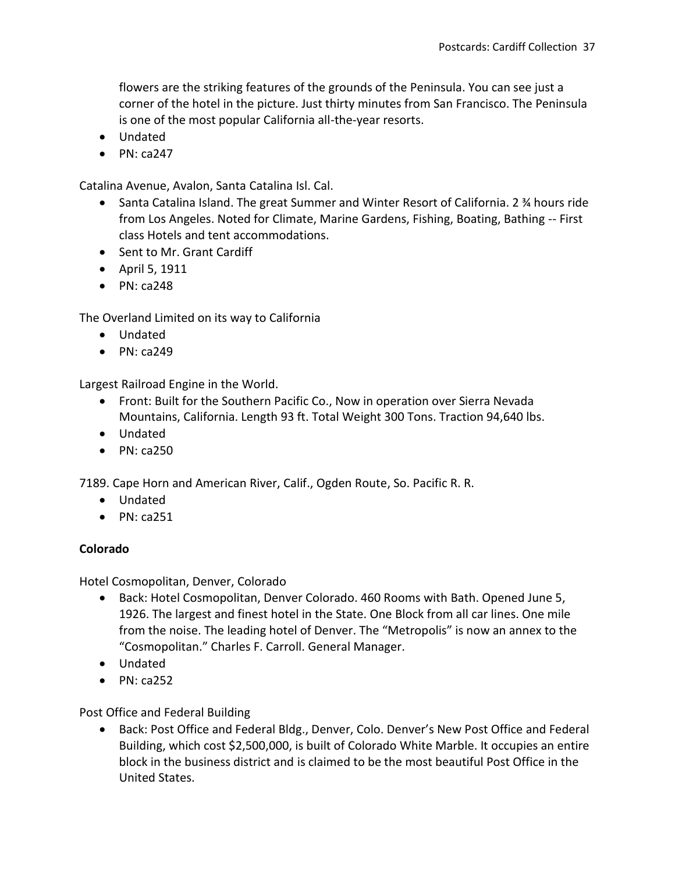flowers are the striking features of the grounds of the Peninsula. You can see just a corner of the hotel in the picture. Just thirty minutes from San Francisco. The Peninsula is one of the most popular California all-the-year resorts.

- Undated
- $\bullet$  PN: ca247

Catalina Avenue, Avalon, Santa Catalina Isl. Cal.

- Santa Catalina Island. The great Summer and Winter Resort of California. 2 ¾ hours ride from Los Angeles. Noted for Climate, Marine Gardens, Fishing, Boating, Bathing -- First class Hotels and tent accommodations.
- Sent to Mr. Grant Cardiff
- April 5, 1911
- $\bullet$  PN: ca248

The Overland Limited on its way to California

- Undated
- $\bullet$  PN: ca249

Largest Railroad Engine in the World.

- Front: Built for the Southern Pacific Co., Now in operation over Sierra Nevada Mountains, California. Length 93 ft. Total Weight 300 Tons. Traction 94,640 lbs.
- Undated
- $\bullet$  PN: ca250

7189. Cape Horn and American River, Calif., Ogden Route, So. Pacific R. R.

- Undated
- $\bullet$  PN: ca251

### **Colorado**

Hotel Cosmopolitan, Denver, Colorado

- Back: Hotel Cosmopolitan, Denver Colorado. 460 Rooms with Bath. Opened June 5, 1926. The largest and finest hotel in the State. One Block from all car lines. One mile from the noise. The leading hotel of Denver. The "Metropolis" is now an annex to the "Cosmopolitan." Charles F. Carroll. General Manager.
- Undated
- $\bullet$  PN: ca252

Post Office and Federal Building

 Back: Post Office and Federal Bldg., Denver, Colo. Denver's New Post Office and Federal Building, which cost \$2,500,000, is built of Colorado White Marble. It occupies an entire block in the business district and is claimed to be the most beautiful Post Office in the United States.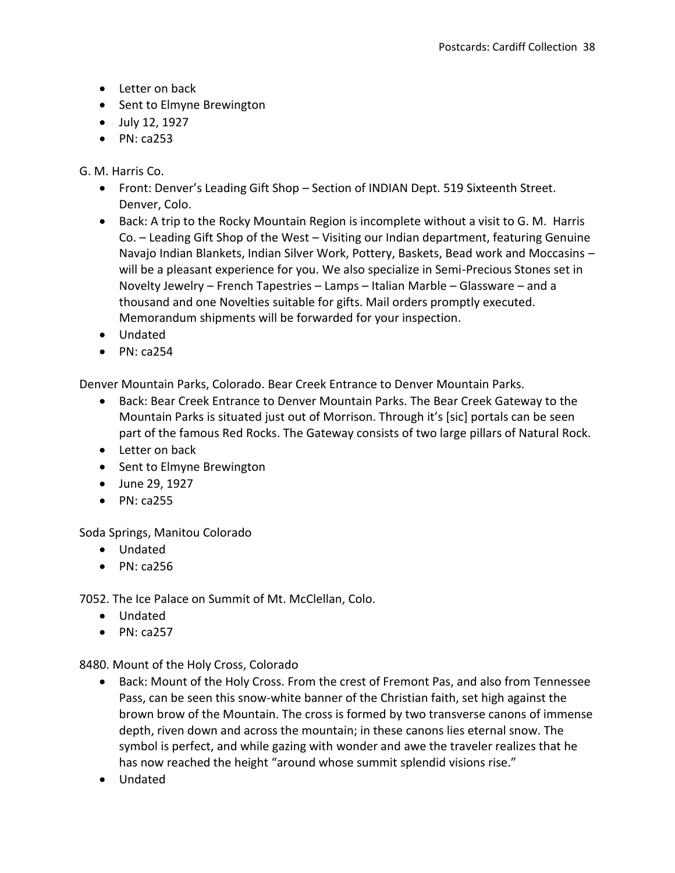- Letter on back
- Sent to Elmyne Brewington
- July 12, 1927
- $\bullet$  PN: ca253

## G. M. Harris Co.

- Front: Denver's Leading Gift Shop Section of INDIAN Dept. 519 Sixteenth Street. Denver, Colo.
- Back: A trip to the Rocky Mountain Region is incomplete without a visit to G. M. Harris Co. – Leading Gift Shop of the West – Visiting our Indian department, featuring Genuine Navajo Indian Blankets, Indian Silver Work, Pottery, Baskets, Bead work and Moccasins – will be a pleasant experience for you. We also specialize in Semi-Precious Stones set in Novelty Jewelry – French Tapestries – Lamps – Italian Marble – Glassware – and a thousand and one Novelties suitable for gifts. Mail orders promptly executed. Memorandum shipments will be forwarded for your inspection.
- Undated
- $\bullet$  PN: ca254

Denver Mountain Parks, Colorado. Bear Creek Entrance to Denver Mountain Parks.

- Back: Bear Creek Entrance to Denver Mountain Parks. The Bear Creek Gateway to the Mountain Parks is situated just out of Morrison. Through it's [sic] portals can be seen part of the famous Red Rocks. The Gateway consists of two large pillars of Natural Rock.
- Letter on back
- Sent to Elmyne Brewington
- June 29, 1927
- $\bullet$  PN: ca255

Soda Springs, Manitou Colorado

- Undated
- $\bullet$  PN: ca256

7052. The Ice Palace on Summit of Mt. McClellan, Colo.

- Undated
- $\bullet$  PN: ca257

8480. Mount of the Holy Cross, Colorado

- Back: Mount of the Holy Cross. From the crest of Fremont Pas, and also from Tennessee Pass, can be seen this snow-white banner of the Christian faith, set high against the brown brow of the Mountain. The cross is formed by two transverse canons of immense depth, riven down and across the mountain; in these canons lies eternal snow. The symbol is perfect, and while gazing with wonder and awe the traveler realizes that he has now reached the height "around whose summit splendid visions rise."
- Undated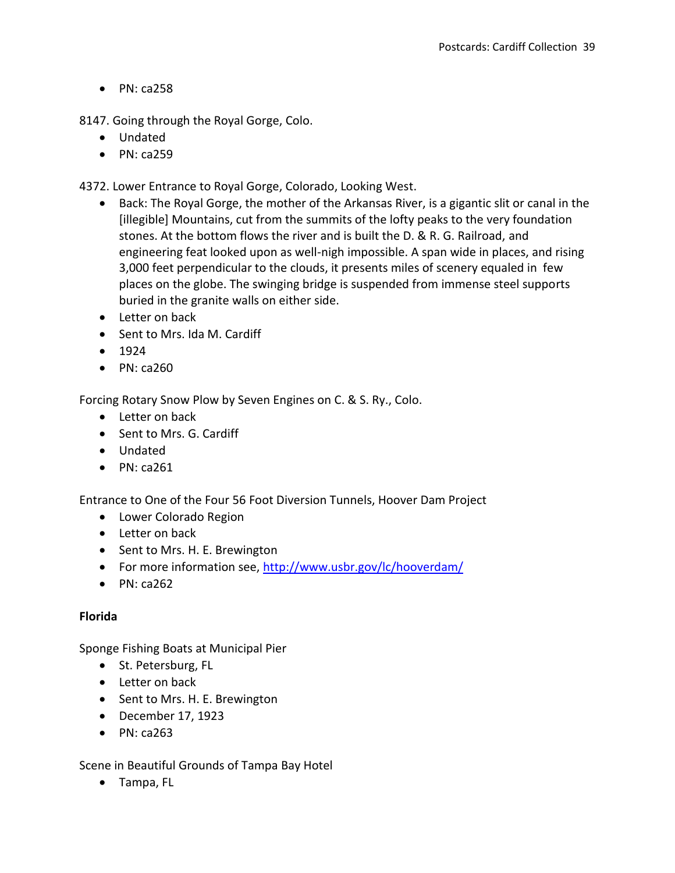8147. Going through the Royal Gorge, Colo.

- Undated
- $\bullet$  PN: ca259

4372. Lower Entrance to Royal Gorge, Colorado, Looking West.

- Back: The Royal Gorge, the mother of the Arkansas River, is a gigantic slit or canal in the [illegible] Mountains, cut from the summits of the lofty peaks to the very foundation stones. At the bottom flows the river and is built the D. & R. G. Railroad, and engineering feat looked upon as well-nigh impossible. A span wide in places, and rising 3,000 feet perpendicular to the clouds, it presents miles of scenery equaled in few places on the globe. The swinging bridge is suspended from immense steel supports buried in the granite walls on either side.
- Letter on back
- Sent to Mrs. Ida M. Cardiff
- $1924$
- $\bullet$  PN: ca260

Forcing Rotary Snow Plow by Seven Engines on C. & S. Ry., Colo.

- Letter on back
- Sent to Mrs. G. Cardiff
- Undated
- $\bullet$  PN: ca261

Entrance to One of the Four 56 Foot Diversion Tunnels, Hoover Dam Project

- Lower Colorado Region
- Letter on back
- Sent to Mrs. H. E. Brewington
- For more information see,<http://www.usbr.gov/lc/hooverdam/>
- $\bullet$  PN: ca262

### **Florida**

Sponge Fishing Boats at Municipal Pier

- St. Petersburg, FL
- Letter on back
- Sent to Mrs. H. E. Brewington
- December 17, 1923
- $\bullet$  PN: ca263

Scene in Beautiful Grounds of Tampa Bay Hotel

Tampa, FL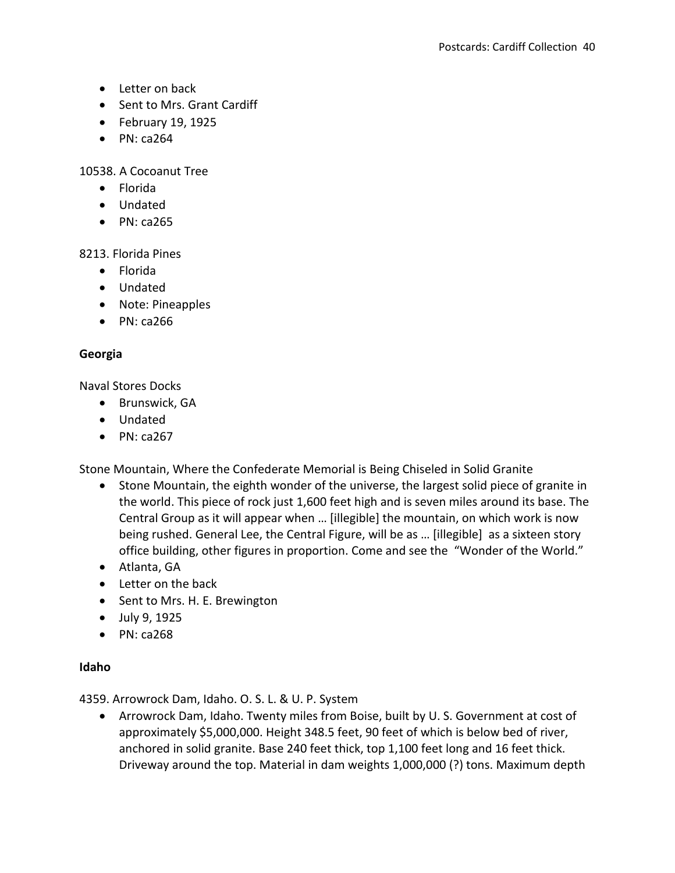- Letter on back
- Sent to Mrs. Grant Cardiff
- $\bullet$  February 19, 1925
- $\bullet$  PN: ca264

10538. A Cocoanut Tree

- Florida
- Undated
- $\bullet$  PN: ca265

#### 8213. Florida Pines

- Florida
- Undated
- Note: Pineapples
- $\bullet$  PN: ca266

### **Georgia**

Naval Stores Docks

- Brunswick, GA
- Undated
- $\bullet$  PN: ca267

Stone Mountain, Where the Confederate Memorial is Being Chiseled in Solid Granite

- Stone Mountain, the eighth wonder of the universe, the largest solid piece of granite in the world. This piece of rock just 1,600 feet high and is seven miles around its base. The Central Group as it will appear when … [illegible] the mountain, on which work is now being rushed. General Lee, the Central Figure, will be as … [illegible] as a sixteen story office building, other figures in proportion. Come and see the "Wonder of the World."
- Atlanta, GA
- Letter on the back
- Sent to Mrs. H. E. Brewington
- July 9, 1925
- $\bullet$  PN: ca268

### **Idaho**

4359. Arrowrock Dam, Idaho. O. S. L. & U. P. System

 Arrowrock Dam, Idaho. Twenty miles from Boise, built by U. S. Government at cost of approximately \$5,000,000. Height 348.5 feet, 90 feet of which is below bed of river, anchored in solid granite. Base 240 feet thick, top 1,100 feet long and 16 feet thick. Driveway around the top. Material in dam weights 1,000,000 (?) tons. Maximum depth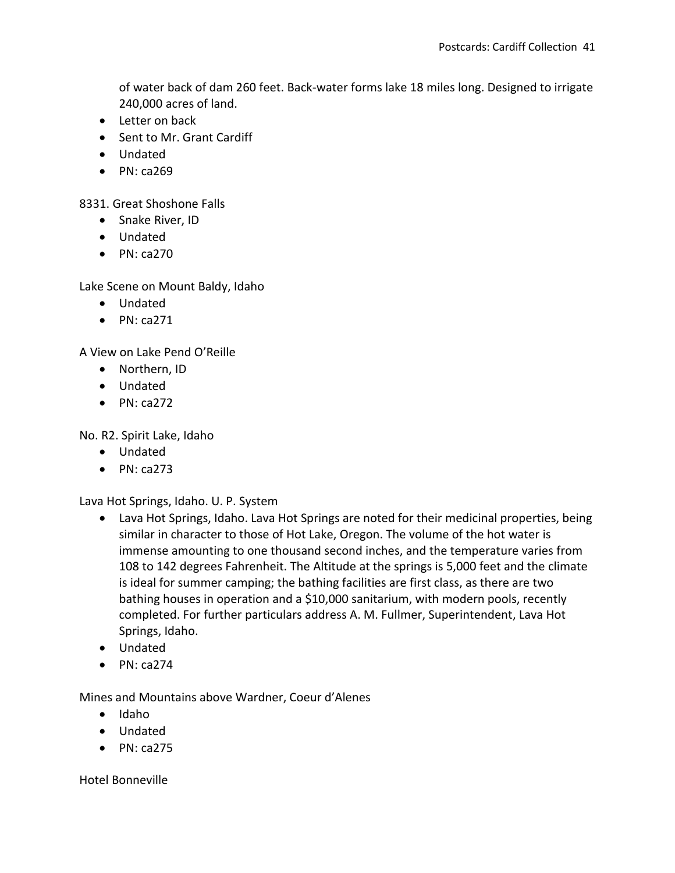of water back of dam 260 feet. Back-water forms lake 18 miles long. Designed to irrigate 240,000 acres of land.

- Letter on back
- Sent to Mr. Grant Cardiff
- Undated
- $\bullet$  PN: ca269

8331. Great Shoshone Falls

- Snake River, ID
- Undated
- $\bullet$  PN: ca270

Lake Scene on Mount Baldy, Idaho

- Undated
- $\bullet$  PN: ca271

A View on Lake Pend O'Reille

- Northern, ID
- Undated
- $\bullet$  PN: ca272

No. R2. Spirit Lake, Idaho

- Undated
- $\bullet$  PN: ca273

Lava Hot Springs, Idaho. U. P. System

- Lava Hot Springs, Idaho. Lava Hot Springs are noted for their medicinal properties, being similar in character to those of Hot Lake, Oregon. The volume of the hot water is immense amounting to one thousand second inches, and the temperature varies from 108 to 142 degrees Fahrenheit. The Altitude at the springs is 5,000 feet and the climate is ideal for summer camping; the bathing facilities are first class, as there are two bathing houses in operation and a \$10,000 sanitarium, with modern pools, recently completed. For further particulars address A. M. Fullmer, Superintendent, Lava Hot Springs, Idaho.
- Undated
- $\bullet$  PN: ca274

Mines and Mountains above Wardner, Coeur d'Alenes

- $\bullet$  Idaho
- Undated
- $\bullet$  PN: ca275

Hotel Bonneville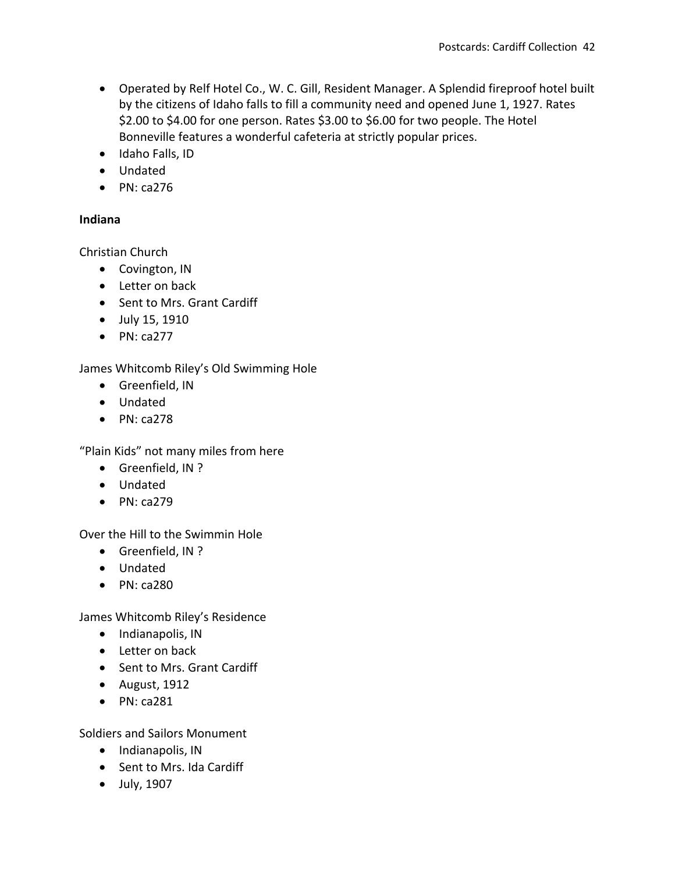- Operated by Relf Hotel Co., W. C. Gill, Resident Manager. A Splendid fireproof hotel built by the citizens of Idaho falls to fill a community need and opened June 1, 1927. Rates \$2.00 to \$4.00 for one person. Rates \$3.00 to \$6.00 for two people. The Hotel Bonneville features a wonderful cafeteria at strictly popular prices.
- $\bullet$  Idaho Falls, ID
- Undated
- $\bullet$  PN: ca276

#### **Indiana**

Christian Church

- Covington, IN
- Letter on back
- Sent to Mrs. Grant Cardiff
- July 15, 1910
- $\bullet$  PN: ca277

James Whitcomb Riley's Old Swimming Hole

- **•** Greenfield, IN
- Undated
- $\bullet$  PN: ca278

"Plain Kids" not many miles from here

- Greenfield, IN ?
- Undated
- $\bullet$  PN: ca279

Over the Hill to the Swimmin Hole

- Greenfield, IN ?
- Undated
- $\bullet$  PN: ca280

James Whitcomb Riley's Residence

- Indianapolis, IN
- Letter on back
- Sent to Mrs. Grant Cardiff
- $\bullet$  August, 1912
- $\bullet$  PN: ca281

Soldiers and Sailors Monument

- Indianapolis, IN
- Sent to Mrs. Ida Cardiff
- July, 1907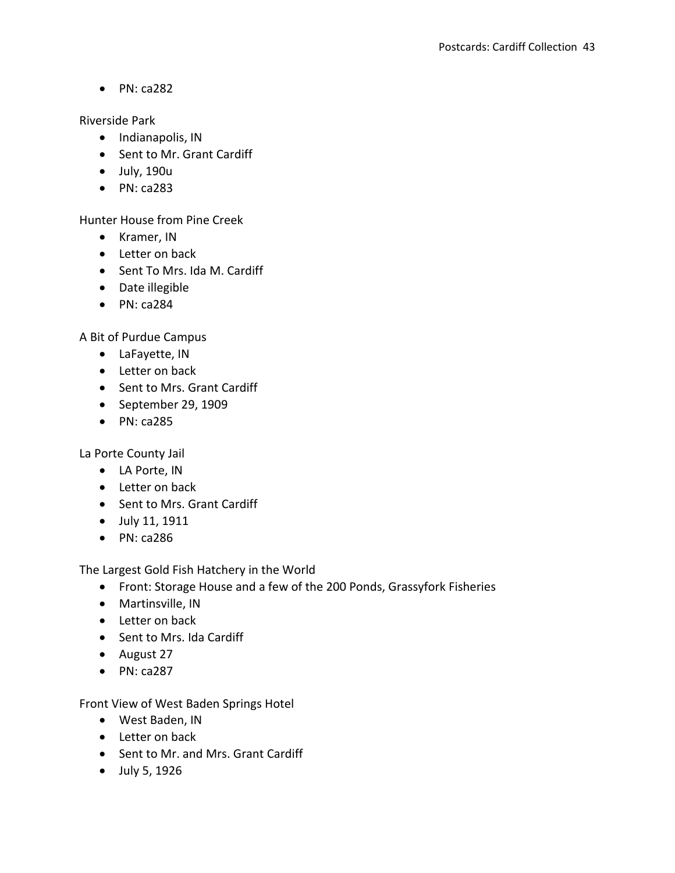Riverside Park

- Indianapolis, IN
- Sent to Mr. Grant Cardiff
- July, 190u
- PN: ca283

Hunter House from Pine Creek

- Kramer, IN
- Letter on back
- Sent To Mrs. Ida M. Cardiff
- Date illegible
- $\bullet$  PN: ca284

A Bit of Purdue Campus

- LaFayette, IN
- Letter on back
- Sent to Mrs. Grant Cardiff
- September 29, 1909
- $\bullet$  PN: ca285

La Porte County Jail

- LA Porte, IN
- Letter on back
- Sent to Mrs. Grant Cardiff
- July 11, 1911
- $\bullet$  PN: ca286

The Largest Gold Fish Hatchery in the World

- Front: Storage House and a few of the 200 Ponds, Grassyfork Fisheries
- Martinsville, IN
- Letter on back
- Sent to Mrs. Ida Cardiff
- August 27
- $\bullet$  PN: ca287

Front View of West Baden Springs Hotel

- West Baden, IN
- Letter on back
- Sent to Mr. and Mrs. Grant Cardiff
- July 5, 1926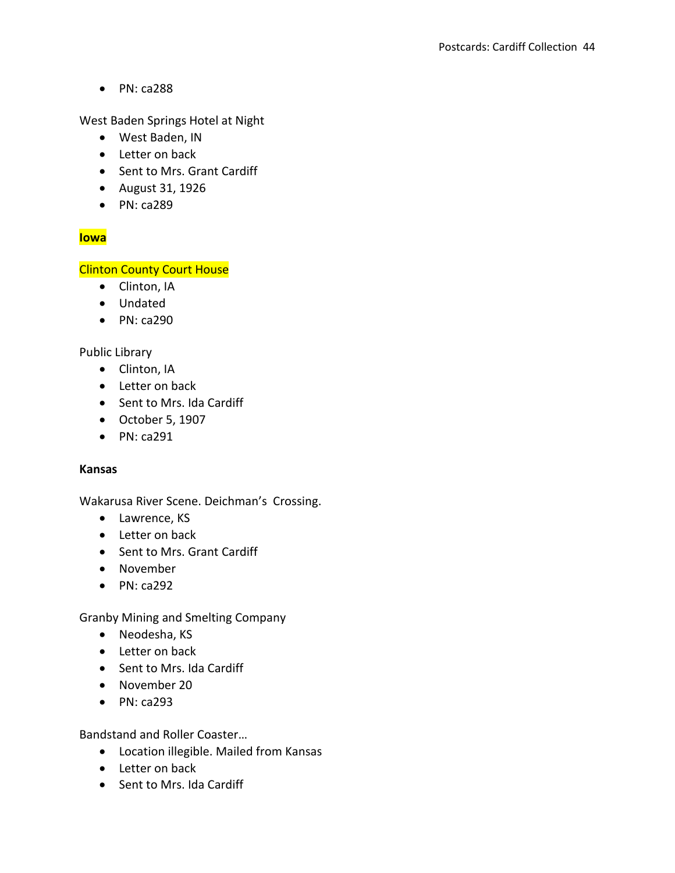West Baden Springs Hotel at Night

- West Baden, IN
- Letter on back
- Sent to Mrs. Grant Cardiff
- August 31, 1926
- PN: ca289

# **Iowa**

# **Clinton County Court House**

- Clinton, IA
- Undated
- $\bullet$  PN: ca290

### Public Library

- Clinton, IA
- Letter on back
- Sent to Mrs. Ida Cardiff
- October 5, 1907
- $\bullet$  PN: ca291

### **Kansas**

Wakarusa River Scene. Deichman's Crossing.

- Lawrence, KS
- Letter on back
- Sent to Mrs. Grant Cardiff
- November
- $\bullet$  PN: ca292

Granby Mining and Smelting Company

- Neodesha, KS
- Letter on back
- Sent to Mrs. Ida Cardiff
- November 20
- $\bullet$  PN: ca293

Bandstand and Roller Coaster…

- Location illegible. Mailed from Kansas
- Letter on back
- Sent to Mrs. Ida Cardiff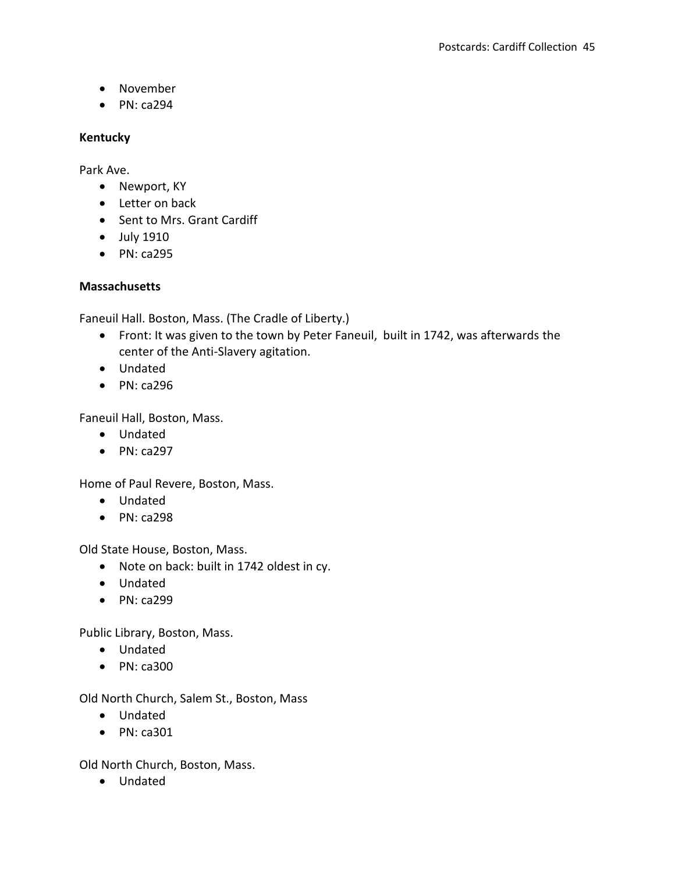- November
- $\bullet$  PN: ca294

#### **Kentucky**

Park Ave.

- Newport, KY
- Letter on back
- Sent to Mrs. Grant Cardiff
- July 1910
- PN: ca295

### **Massachusetts**

Faneuil Hall. Boston, Mass. (The Cradle of Liberty.)

- Front: It was given to the town by Peter Faneuil, built in 1742, was afterwards the center of the Anti-Slavery agitation.
- Undated
- $\bullet$  PN: ca296

Faneuil Hall, Boston, Mass.

- Undated
- $\bullet$  PN: ca297

Home of Paul Revere, Boston, Mass.

- Undated
- $\bullet$  PN: ca298

Old State House, Boston, Mass.

- Note on back: built in 1742 oldest in cy.
- Undated
- $\bullet$  PN: ca299

Public Library, Boston, Mass.

- Undated
- PN: ca300

Old North Church, Salem St., Boston, Mass

- Undated
- $\bullet$  PN: ca301

Old North Church, Boston, Mass.

Undated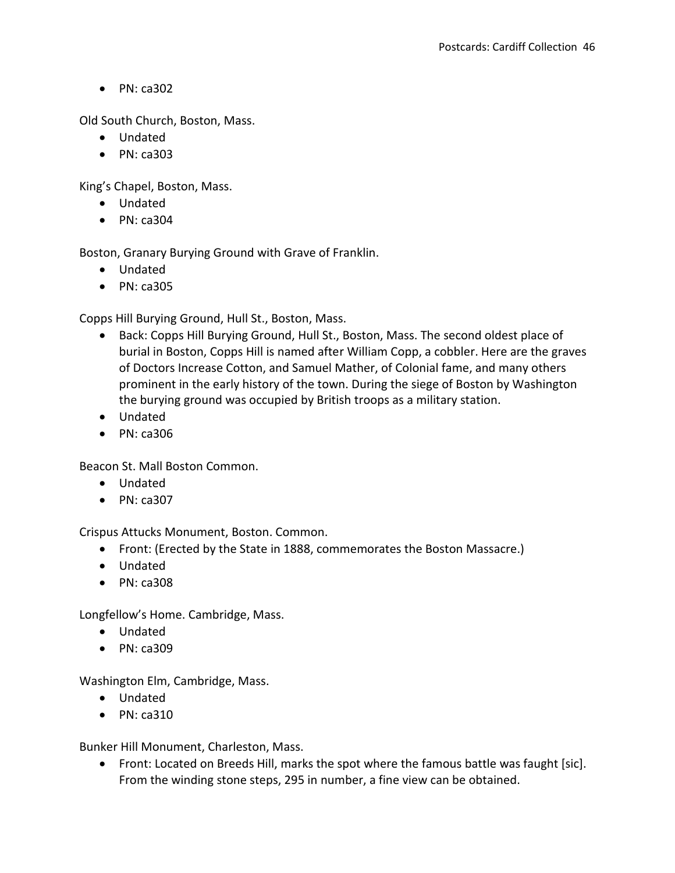Old South Church, Boston, Mass.

- Undated
- $\bullet$  PN: ca303

King's Chapel, Boston, Mass.

- Undated
- $\bullet$  PN: ca304

Boston, Granary Burying Ground with Grave of Franklin.

- Undated
- $\bullet$  PN: ca305

Copps Hill Burying Ground, Hull St., Boston, Mass.

- Back: Copps Hill Burying Ground, Hull St., Boston, Mass. The second oldest place of burial in Boston, Copps Hill is named after William Copp, a cobbler. Here are the graves of Doctors Increase Cotton, and Samuel Mather, of Colonial fame, and many others prominent in the early history of the town. During the siege of Boston by Washington the burying ground was occupied by British troops as a military station.
- Undated
- $\bullet$  PN: ca306

Beacon St. Mall Boston Common.

- Undated
- $\bullet$  PN: ca307

Crispus Attucks Monument, Boston. Common.

- Front: (Erected by the State in 1888, commemorates the Boston Massacre.)
- Undated
- $\bullet$  PN: ca308

Longfellow's Home. Cambridge, Mass.

- Undated
- $\bullet$  PN: ca309

Washington Elm, Cambridge, Mass.

- Undated
- $\bullet$  PN: ca310

Bunker Hill Monument, Charleston, Mass.

 Front: Located on Breeds Hill, marks the spot where the famous battle was faught [sic]. From the winding stone steps, 295 in number, a fine view can be obtained.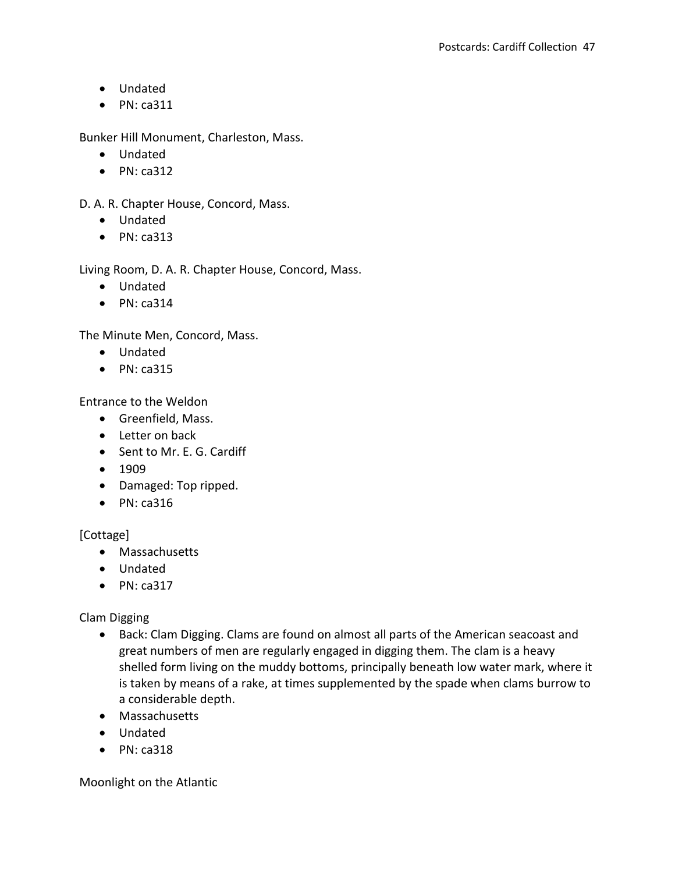- Undated
- $\bullet$  PN: ca311

Bunker Hill Monument, Charleston, Mass.

- Undated
- $\bullet$  PN: ca312

D. A. R. Chapter House, Concord, Mass.

- Undated
- $\bullet$  PN: ca313

Living Room, D. A. R. Chapter House, Concord, Mass.

- Undated
- $\bullet$  PN: ca314

The Minute Men, Concord, Mass.

- Undated
- $\bullet$  PN: ca315

Entrance to the Weldon

- **•** Greenfield, Mass.
- Letter on back
- Sent to Mr. E. G. Cardiff
- $1909$
- Damaged: Top ripped.
- $\bullet$  PN: ca316

[Cottage]

- Massachusetts
- Undated
- $\bullet$  PN: ca317

Clam Digging

- Back: Clam Digging. Clams are found on almost all parts of the American seacoast and great numbers of men are regularly engaged in digging them. The clam is a heavy shelled form living on the muddy bottoms, principally beneath low water mark, where it is taken by means of a rake, at times supplemented by the spade when clams burrow to a considerable depth.
- Massachusetts
- Undated
- $\bullet$  PN: ca318

Moonlight on the Atlantic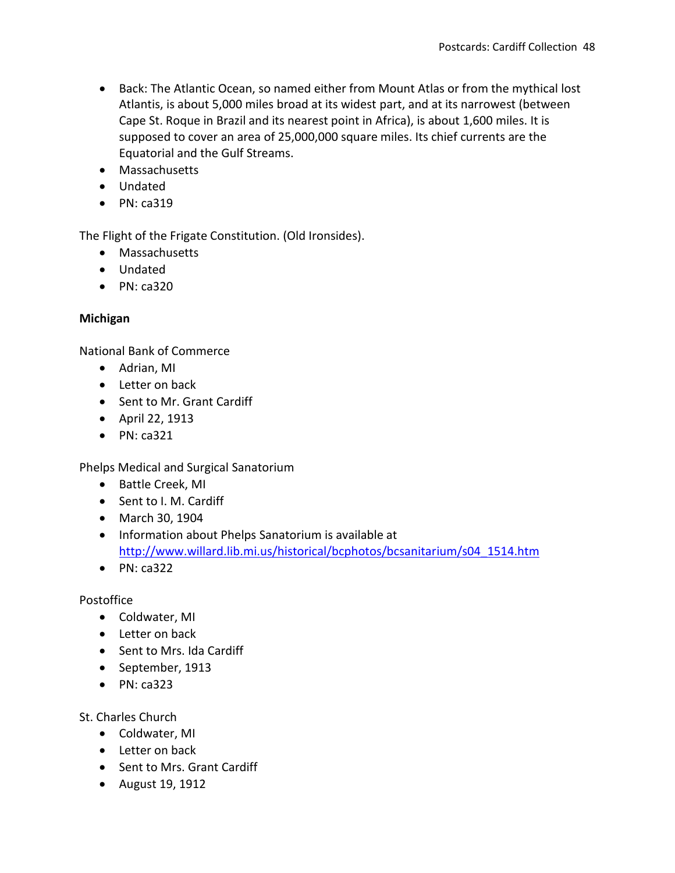- Back: The Atlantic Ocean, so named either from Mount Atlas or from the mythical lost Atlantis, is about 5,000 miles broad at its widest part, and at its narrowest (between Cape St. Roque in Brazil and its nearest point in Africa), is about 1,600 miles. It is supposed to cover an area of 25,000,000 square miles. Its chief currents are the Equatorial and the Gulf Streams.
- Massachusetts
- Undated
- $\bullet$  PN: ca319

The Flight of the Frigate Constitution. (Old Ironsides).

- Massachusetts
- Undated
- $\bullet$  PN: ca320

### **Michigan**

National Bank of Commerce

- Adrian, MI
- Letter on back
- Sent to Mr. Grant Cardiff
- April 22, 1913
- $\bullet$  PN: ca321

Phelps Medical and Surgical Sanatorium

- Battle Creek, MI
- Sent to I. M. Cardiff
- March 30, 1904
- Information about Phelps Sanatorium is available at [http://www.willard.lib.mi.us/historical/bcphotos/bcsanitarium/s04\\_1514.htm](http://www.willard.lib.mi.us/historical/bcphotos/bcsanitarium/s04_1514.htm)
- $\bullet$  PN: ca322

### Postoffice

- Coldwater, MI
- Letter on back
- Sent to Mrs. Ida Cardiff
- September, 1913
- $\bullet$  PN: ca323

St. Charles Church

- Coldwater, MI
- Letter on back
- Sent to Mrs. Grant Cardiff
- August 19, 1912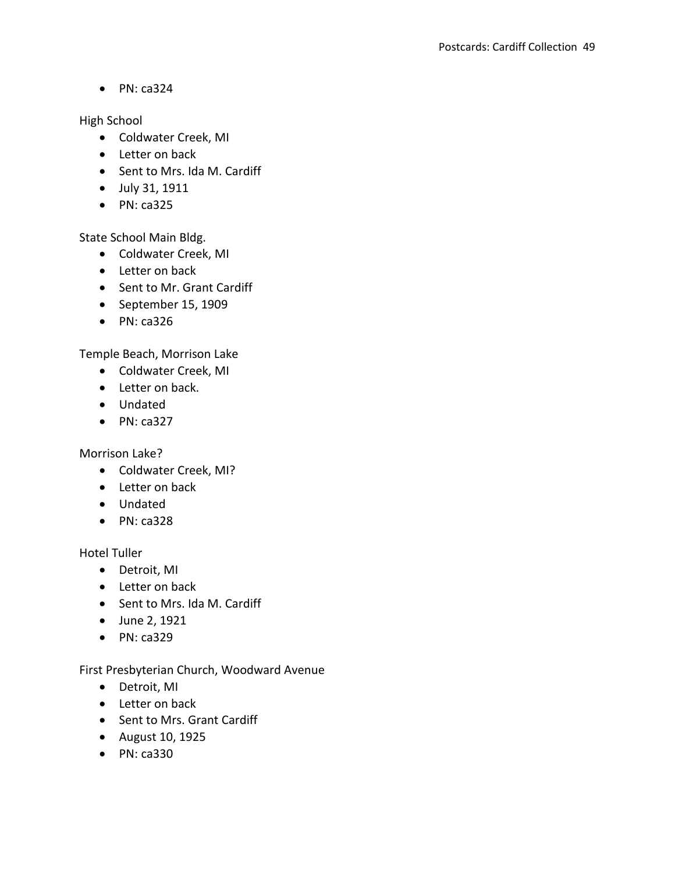High School

- Coldwater Creek, MI
- Letter on back
- Sent to Mrs. Ida M. Cardiff
- July 31, 1911
- $\bullet$  PN: ca325

State School Main Bldg.

- Coldwater Creek, MI
- Letter on back
- Sent to Mr. Grant Cardiff
- September 15, 1909
- $\bullet$  PN: ca326

Temple Beach, Morrison Lake

- Coldwater Creek, MI
- Letter on back.
- Undated
- $\bullet$  PN: ca327

Morrison Lake?

- Coldwater Creek, MI?
- Letter on back
- Undated
- $\bullet$  PN: ca328

Hotel Tuller

- Detroit, MI
- Letter on back
- Sent to Mrs. Ida M. Cardiff
- June 2, 1921
- $\bullet$  PN: ca329

First Presbyterian Church, Woodward Avenue

- Detroit, MI
- Letter on back
- Sent to Mrs. Grant Cardiff
- August 10, 1925
- $\bullet$  PN: ca330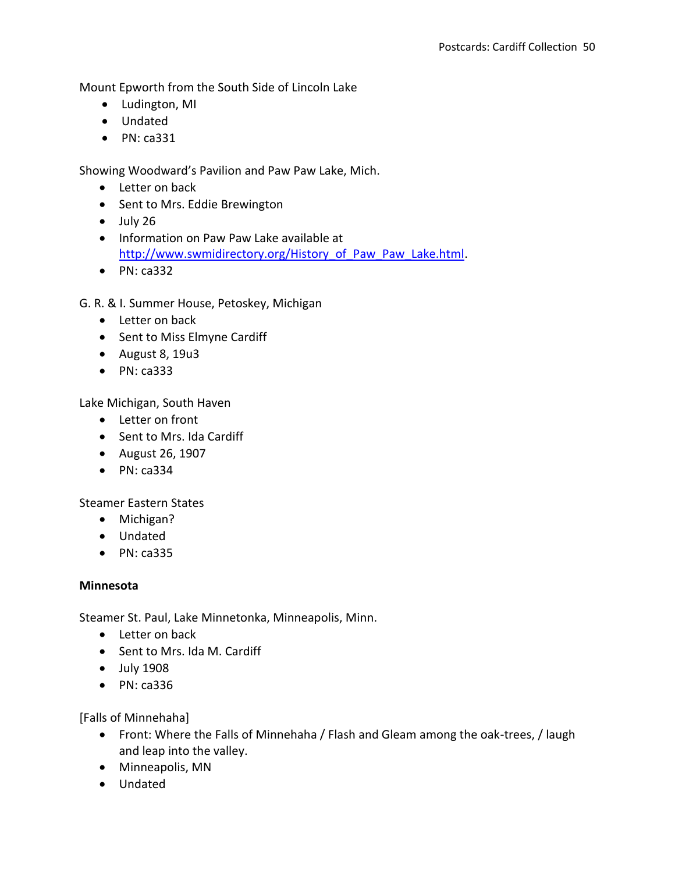Mount Epworth from the South Side of Lincoln Lake

- Ludington, MI
- Undated
- $\bullet$  PN: ca331

Showing Woodward's Pavilion and Paw Paw Lake, Mich.

- Letter on back
- Sent to Mrs. Eddie Brewington
- $\bullet$  July 26
- Information on Paw Paw Lake available at [http://www.swmidirectory.org/History\\_of\\_Paw\\_Paw\\_Lake.html.](http://www.swmidirectory.org/History_of_Paw_Paw_Lake.html)
- $\bullet$  PN: ca332

G. R. & I. Summer House, Petoskey, Michigan

- Letter on back
- Sent to Miss Elmyne Cardiff
- August 8, 19u3
- $\bullet$  PN: ca333

Lake Michigan, South Haven

- Letter on front
- Sent to Mrs. Ida Cardiff
- August 26, 1907
- $\bullet$  PN: ca334

Steamer Eastern States

- Michigan?
- Undated
- $\bullet$  PN: ca335

### **Minnesota**

Steamer St. Paul, Lake Minnetonka, Minneapolis, Minn.

- Letter on back
- Sent to Mrs. Ida M. Cardiff
- July 1908
- PN: ca336

[Falls of Minnehaha]

- Front: Where the Falls of Minnehaha / Flash and Gleam among the oak-trees, / laugh and leap into the valley.
- Minneapolis, MN
- Undated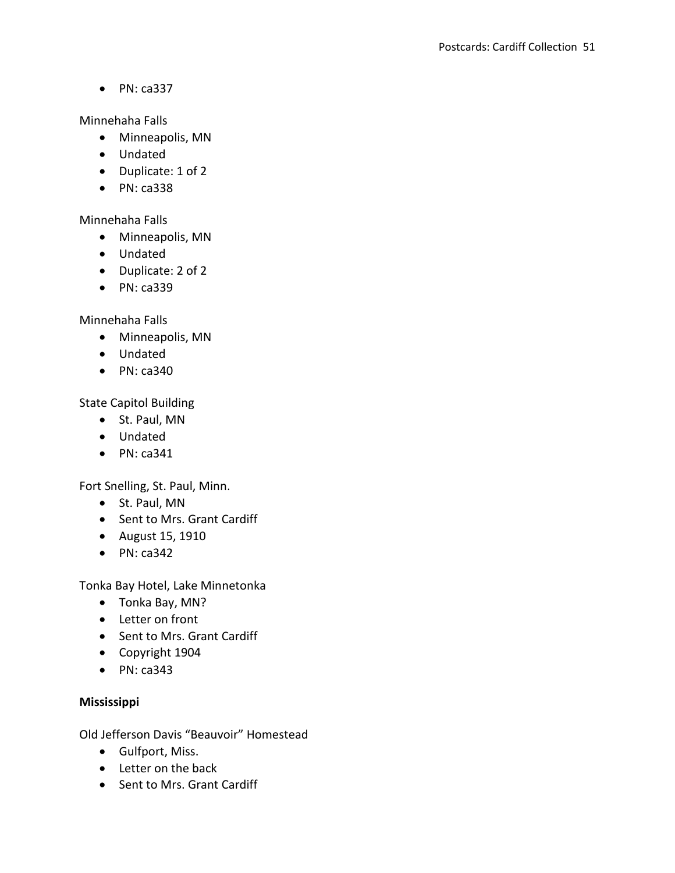Minnehaha Falls

- Minneapolis, MN
- Undated
- Duplicate: 1 of 2
- PN: ca338

Minnehaha Falls

- Minneapolis, MN
- Undated
- Duplicate: 2 of 2
- PN: ca339

Minnehaha Falls

- Minneapolis, MN
- Undated
- $\bullet$  PN: ca340

State Capitol Building

- St. Paul, MN
- Undated
- $\bullet$  PN: ca341

Fort Snelling, St. Paul, Minn.

- St. Paul, MN
- Sent to Mrs. Grant Cardiff
- August 15, 1910
- $\bullet$  PN: ca342

Tonka Bay Hotel, Lake Minnetonka

- Tonka Bay, MN?
- Letter on front
- Sent to Mrs. Grant Cardiff
- Copyright 1904
- $\bullet$  PN: ca343

### **Mississippi**

Old Jefferson Davis "Beauvoir" Homestead

- Gulfport, Miss.
- Letter on the back
- Sent to Mrs. Grant Cardiff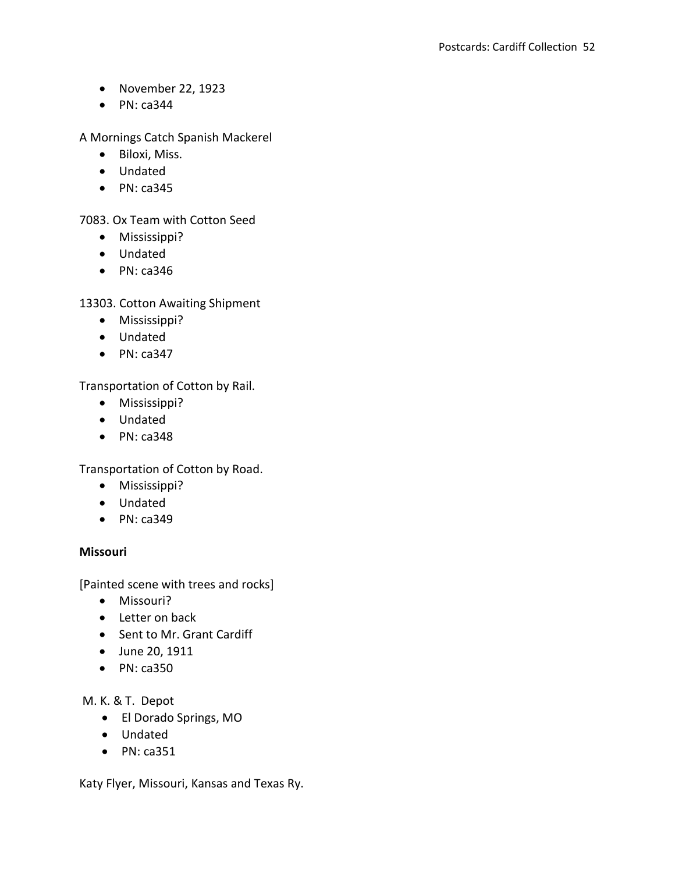- November 22, 1923
- $\bullet$  PN: ca344

A Mornings Catch Spanish Mackerel

- Biloxi, Miss.
- Undated
- $\bullet$  PN: ca345

7083. Ox Team with Cotton Seed

- Mississippi?
- Undated
- $\bullet$  PN: ca346

13303. Cotton Awaiting Shipment

- Mississippi?
- Undated
- $\bullet$  PN: ca347

Transportation of Cotton by Rail.

- Mississippi?
- Undated
- $\bullet$  PN: ca348

Transportation of Cotton by Road.

- Mississippi?
- Undated
- $\bullet$  PN: ca349

#### **Missouri**

[Painted scene with trees and rocks]

- Missouri?
- Letter on back
- Sent to Mr. Grant Cardiff
- June 20, 1911
- PN: ca350

M. K. & T. Depot

- El Dorado Springs, MO
- Undated
- $\bullet$  PN: ca351

Katy Flyer, Missouri, Kansas and Texas Ry.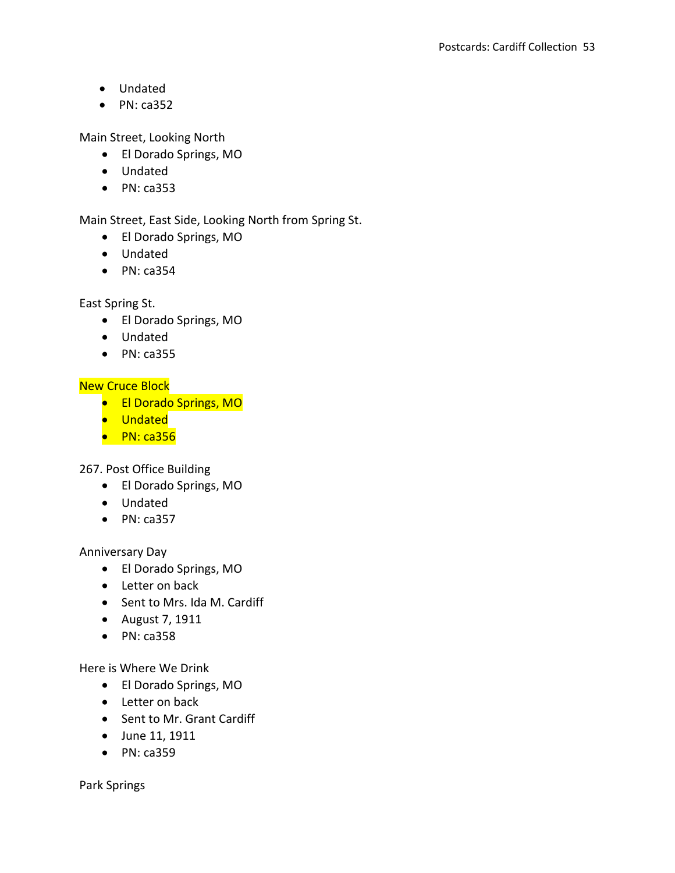- Undated
- $\bullet$  PN: ca352

Main Street, Looking North

- El Dorado Springs, MO
- Undated
- PN: ca353

Main Street, East Side, Looking North from Spring St.

- El Dorado Springs, MO
- Undated
- $\bullet$  PN: ca354

East Spring St.

- El Dorado Springs, MO
- Undated
- $\bullet$  PN: ca355

New Cruce Block

- **El Dorado Springs, MO**
- **•** Undated
- $\bullet$  PN: ca356

267. Post Office Building

- El Dorado Springs, MO
- Undated
- $\bullet$  PN: ca357

Anniversary Day

- El Dorado Springs, MO
- Letter on back
- Sent to Mrs. Ida M. Cardiff
- August 7, 1911
- $\bullet$  PN: ca358

Here is Where We Drink

- El Dorado Springs, MO
- Letter on back
- Sent to Mr. Grant Cardiff
- June 11, 1911
- PN: ca359

Park Springs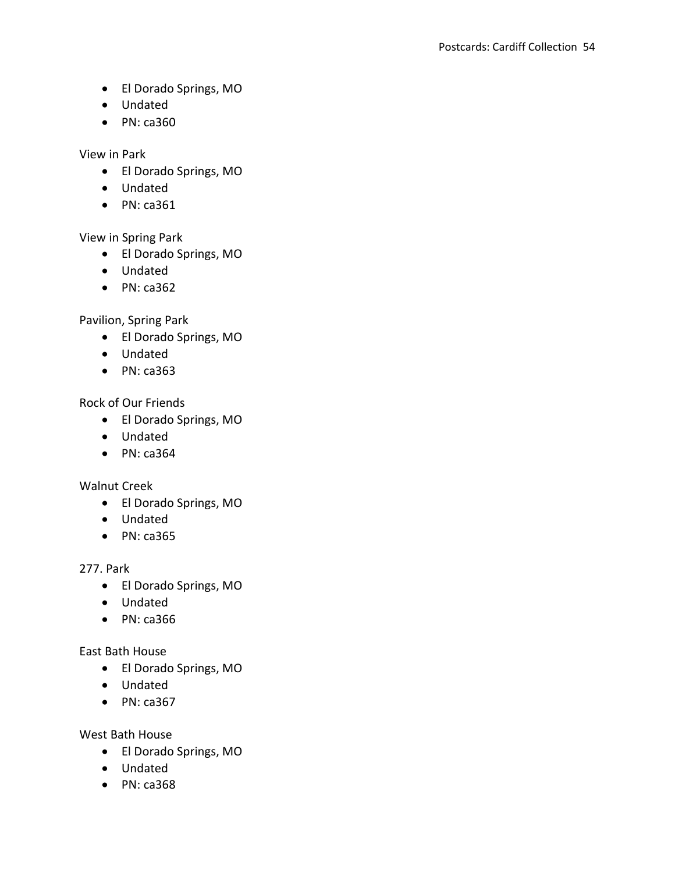- El Dorado Springs, MO
- Undated
- $\bullet$  PN: ca360

View in Park

- El Dorado Springs, MO
- Undated
- PN: ca361

View in Spring Park

- El Dorado Springs, MO
- Undated
- $\bullet$  PN: ca362

Pavilion, Spring Park

- El Dorado Springs, MO
- Undated
- PN: ca363

Rock of Our Friends

- El Dorado Springs, MO
- Undated
- $\bullet$  PN: ca364

Walnut Creek

- El Dorado Springs, MO
- Undated
- $\bullet$  PN: ca365

277. Park

- El Dorado Springs, MO
- Undated
- PN: ca366

East Bath House

- El Dorado Springs, MO
- Undated
- $\bullet$  PN: ca367

West Bath House

- El Dorado Springs, MO
- Undated
- PN: ca368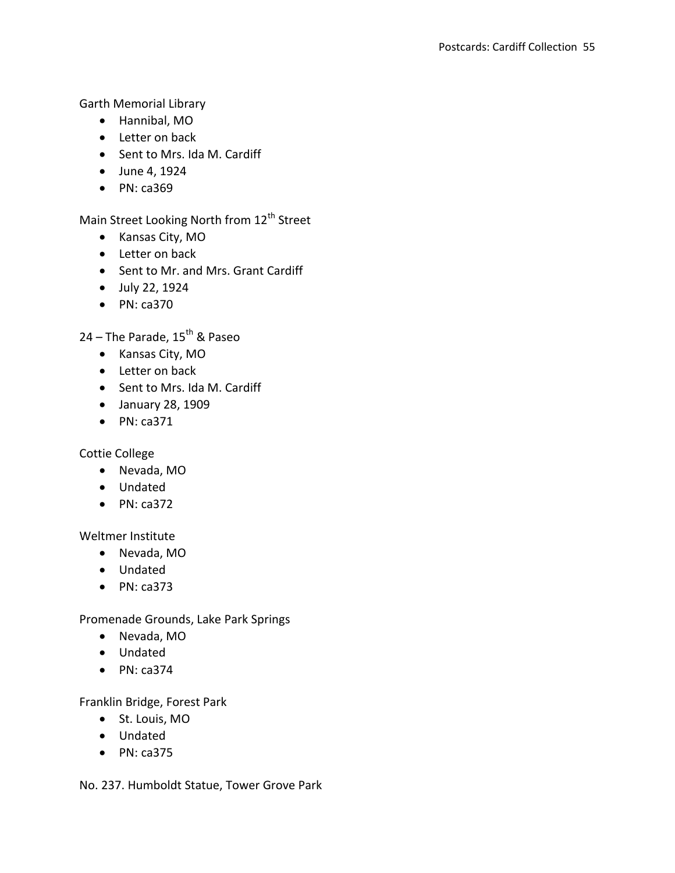Garth Memorial Library

- Hannibal, MO
- Letter on back
- Sent to Mrs. Ida M. Cardiff
- June 4, 1924
- PN: ca369

Main Street Looking North from 12<sup>th</sup> Street

- Kansas City, MO
- Letter on back
- Sent to Mr. and Mrs. Grant Cardiff
- July 22, 1924
- PN: ca370

24 – The Parade,  $15^{th}$  & Paseo

- Kansas City, MO
- Letter on back
- Sent to Mrs. Ida M. Cardiff
- January 28, 1909
- $\bullet$  PN: ca371

Cottie College

- Nevada, MO
- Undated
- $\bullet$  PN: ca372

Weltmer Institute

- Nevada, MO
- Undated
- PN: ca373

Promenade Grounds, Lake Park Springs

- Nevada, MO
- Undated
- $\bullet$  PN: ca374

Franklin Bridge, Forest Park

- St. Louis, MO
- Undated
- $\bullet$  PN: ca375

No. 237. Humboldt Statue, Tower Grove Park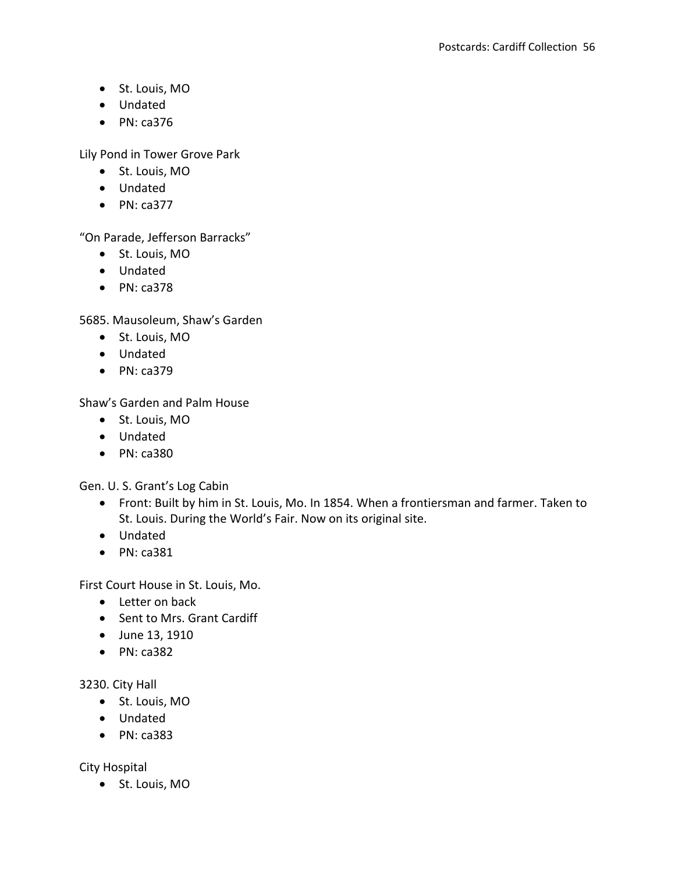- St. Louis, MO
- Undated
- $\bullet$  PN: ca376

Lily Pond in Tower Grove Park

- St. Louis, MO
- Undated
- $\bullet$  PN: ca377

"On Parade, Jefferson Barracks"

- St. Louis, MO
- Undated
- $\bullet$  PN: ca378

5685. Mausoleum, Shaw's Garden

- St. Louis, MO
- Undated
- PN: ca379

Shaw's Garden and Palm House

- St. Louis, MO
- Undated
- PN: ca380

Gen. U. S. Grant's Log Cabin

- Front: Built by him in St. Louis, Mo. In 1854. When a frontiersman and farmer. Taken to St. Louis. During the World's Fair. Now on its original site.
- Undated
- PN: ca381

First Court House in St. Louis, Mo.

- Letter on back
- Sent to Mrs. Grant Cardiff
- June 13, 1910
- $\bullet$  PN: ca382

### 3230. City Hall

- St. Louis, MO
- Undated
- $\bullet$  PN: ca383

City Hospital

St. Louis, MO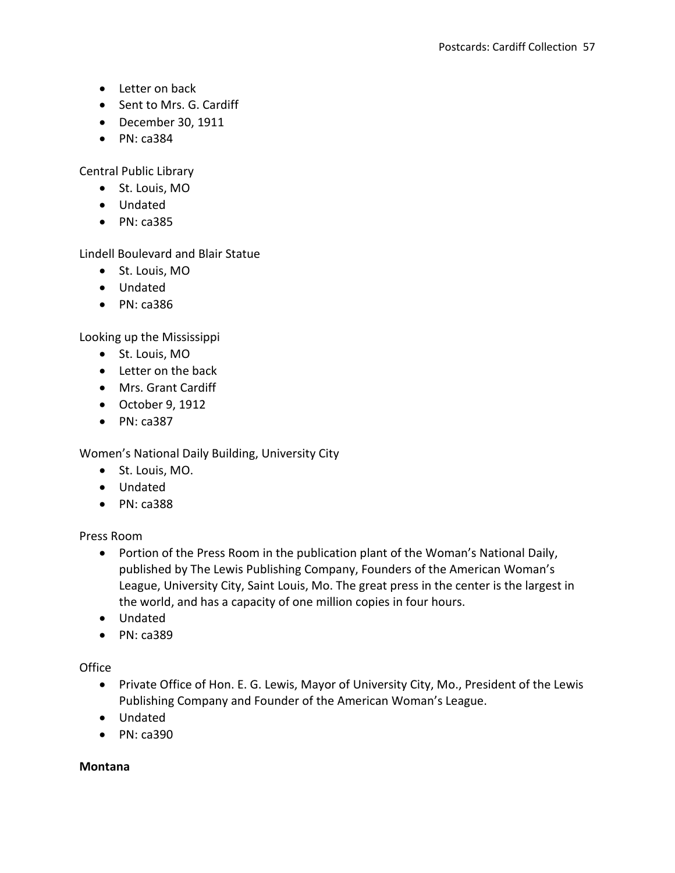- Letter on back
- Sent to Mrs. G. Cardiff
- December 30, 1911
- $\bullet$  PN: ca384

Central Public Library

- St. Louis, MO
- Undated
- $\bullet$  PN: ca385

Lindell Boulevard and Blair Statue

- St. Louis, MO
- Undated
- PN: ca386

Looking up the Mississippi

- St. Louis, MO
- Letter on the back
- Mrs. Grant Cardiff
- October 9, 1912
- $\bullet$  PN: ca387

Women's National Daily Building, University City

- St. Louis, MO.
- Undated
- $\bullet$  PN: ca388

Press Room

- Portion of the Press Room in the publication plant of the Woman's National Daily, published by The Lewis Publishing Company, Founders of the American Woman's League, University City, Saint Louis, Mo. The great press in the center is the largest in the world, and has a capacity of one million copies in four hours.
- Undated
- $\bullet$  PN: ca389

# **Office**

- Private Office of Hon. E. G. Lewis, Mayor of University City, Mo., President of the Lewis Publishing Company and Founder of the American Woman's League.
- Undated
- $\bullet$  PN: ca390

### **Montana**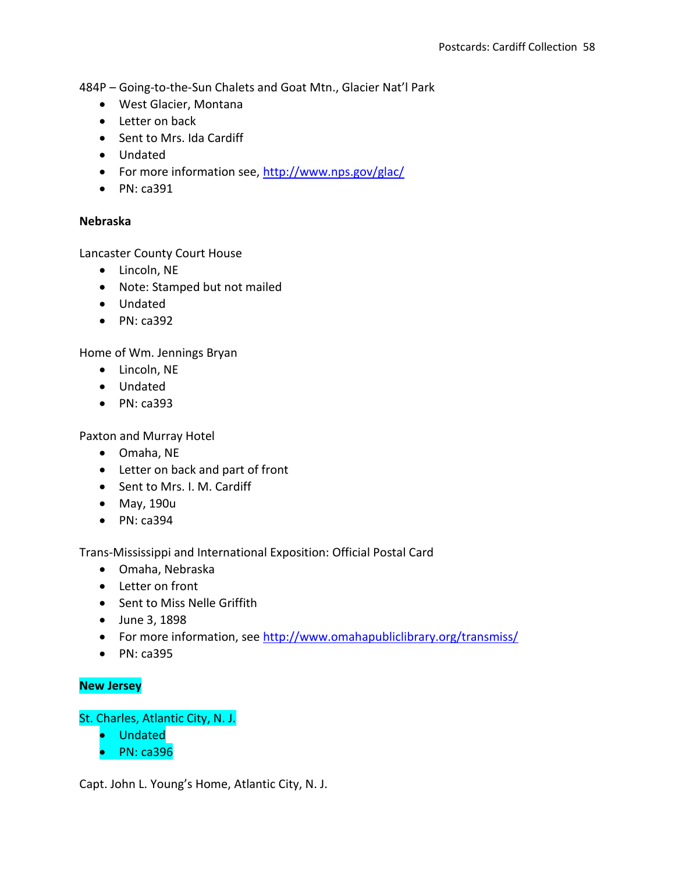484P – Going-to-the-Sun Chalets and Goat Mtn., Glacier Nat'l Park

- West Glacier, Montana
- Letter on back
- Sent to Mrs. Ida Cardiff
- Undated
- For more information see,<http://www.nps.gov/glac/>
- $\bullet$  PN: ca391

#### **Nebraska**

Lancaster County Court House

- Lincoln, NE
- Note: Stamped but not mailed
- Undated
- $\bullet$  PN: ca392

Home of Wm. Jennings Bryan

- Lincoln, NE
- Undated
- PN: ca393

Paxton and Murray Hotel

- Omaha, NE
- Letter on back and part of front
- Sent to Mrs. I. M. Cardiff
- May, 190u
- PN: ca394

Trans-Mississippi and International Exposition: Official Postal Card

- Omaha, Nebraska
- Letter on front
- Sent to Miss Nelle Griffith
- June 3, 1898
- For more information, see<http://www.omahapubliclibrary.org/transmiss/>
- PN: ca395

### **New Jersey**

St. Charles, Atlantic City, N. J.

- Undated
- $\bullet$  PN: ca396

Capt. John L. Young's Home, Atlantic City, N. J.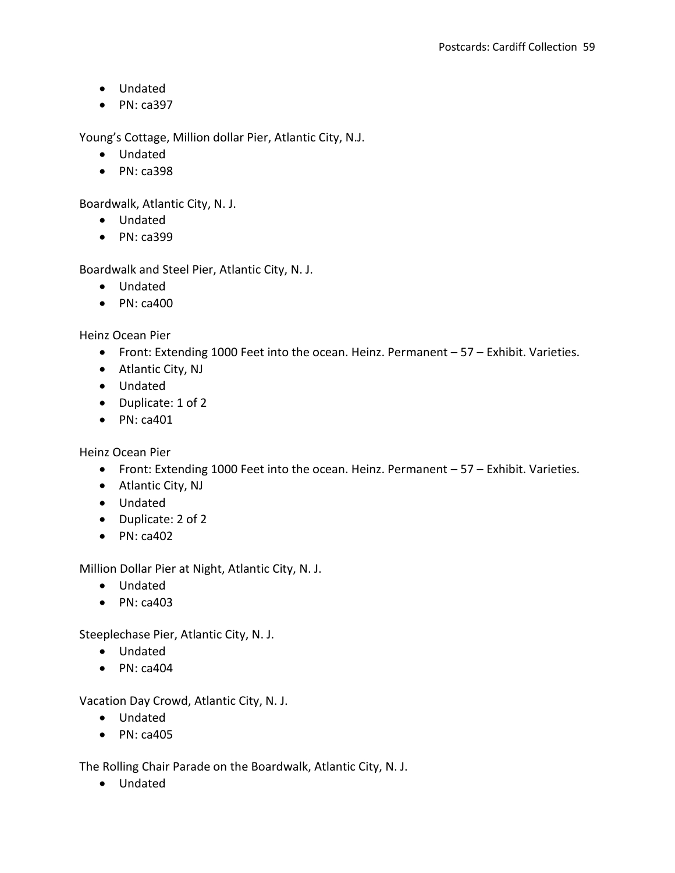- Undated
- $\bullet$  PN: ca397

Young's Cottage, Million dollar Pier, Atlantic City, N.J.

- Undated
- PN: ca398

Boardwalk, Atlantic City, N. J.

- Undated
- PN: ca399

Boardwalk and Steel Pier, Atlantic City, N. J.

- Undated
- $\bullet$  PN: ca400

Heinz Ocean Pier

- Front: Extending 1000 Feet into the ocean. Heinz. Permanent 57 Exhibit. Varieties.
- Atlantic City, NJ
- Undated
- Duplicate: 1 of 2
- $\bullet$  PN: ca401

Heinz Ocean Pier

- Front: Extending 1000 Feet into the ocean. Heinz. Permanent 57 Exhibit. Varieties.
- Atlantic City, NJ
- Undated
- Duplicate: 2 of 2
- $\bullet$  PN: ca402

Million Dollar Pier at Night, Atlantic City, N. J.

- Undated
- $\bullet$  PN: ca403

Steeplechase Pier, Atlantic City, N. J.

- Undated
- $\bullet$  PN: ca404

Vacation Day Crowd, Atlantic City, N. J.

- Undated
- $\bullet$  PN: ca405

The Rolling Chair Parade on the Boardwalk, Atlantic City, N. J.

Undated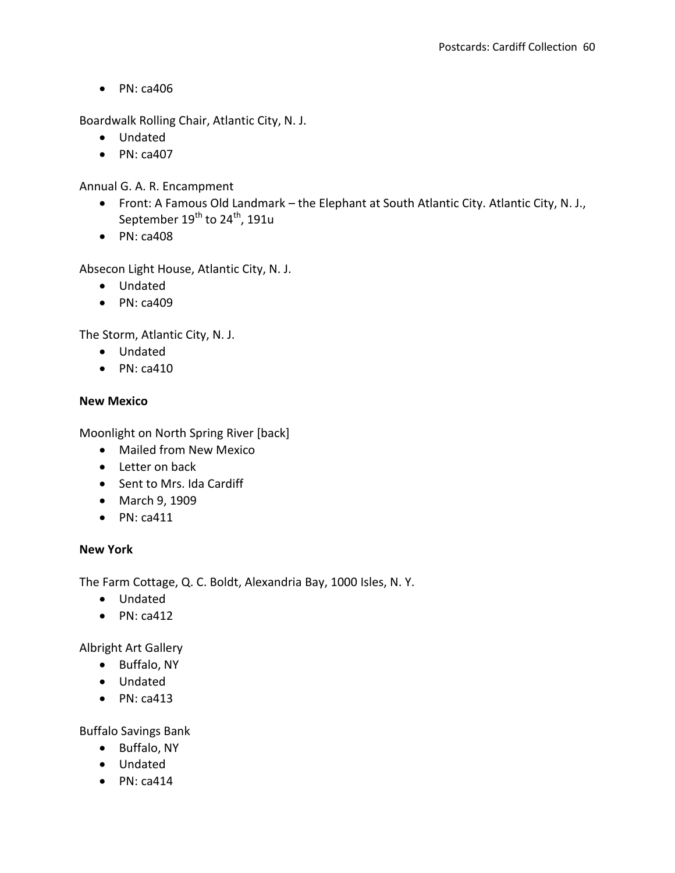Boardwalk Rolling Chair, Atlantic City, N. J.

- Undated
- $\bullet$  PN: ca407

Annual G. A. R. Encampment

- Front: A Famous Old Landmark the Elephant at South Atlantic City. Atlantic City, N. J., September  $19^{th}$  to  $24^{th}$ , 191u
- $\bullet$  PN: ca408

Absecon Light House, Atlantic City, N. J.

- Undated
- $\bullet$  PN: ca409

The Storm, Atlantic City, N. J.

- Undated
- $\bullet$  PN: ca410

### **New Mexico**

Moonlight on North Spring River [back]

- Mailed from New Mexico
- Letter on back
- Sent to Mrs. Ida Cardiff
- March 9, 1909
- $\bullet$  PN: ca411

### **New York**

The Farm Cottage, Q. C. Boldt, Alexandria Bay, 1000 Isles, N. Y.

- Undated
- $\bullet$  PN: ca412

Albright Art Gallery

- Buffalo, NY
- Undated
- $\bullet$  PN: ca413

Buffalo Savings Bank

- Buffalo, NY
- Undated
- $\bullet$  PN: ca414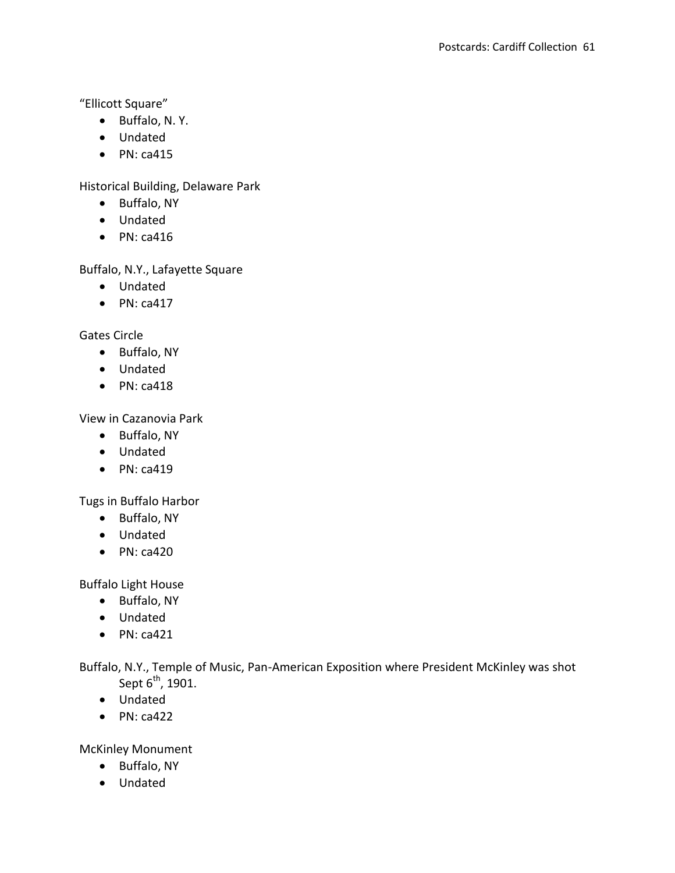"Ellicott Square"

- Buffalo, N. Y.
- Undated
- $\bullet$  PN: ca415

Historical Building, Delaware Park

- Buffalo, NY
- Undated
- $\bullet$  PN: ca416

Buffalo, N.Y., Lafayette Square

- Undated
- $\bullet$  PN: ca417

Gates Circle

- Buffalo, NY
- Undated
- $\bullet$  PN: ca418

View in Cazanovia Park

- Buffalo, NY
- Undated
- $\bullet$  PN: ca419

Tugs in Buffalo Harbor

- Buffalo, NY
- Undated
- $\bullet$  PN: ca420

Buffalo Light House

- Buffalo, NY
- Undated
- $\bullet$  PN: ca421

Buffalo, N.Y., Temple of Music, Pan-American Exposition where President McKinley was shot Sept  $6<sup>th</sup>$ , 1901.

- Undated
- $\bullet$  PN: ca422

McKinley Monument

- Buffalo, NY
- Undated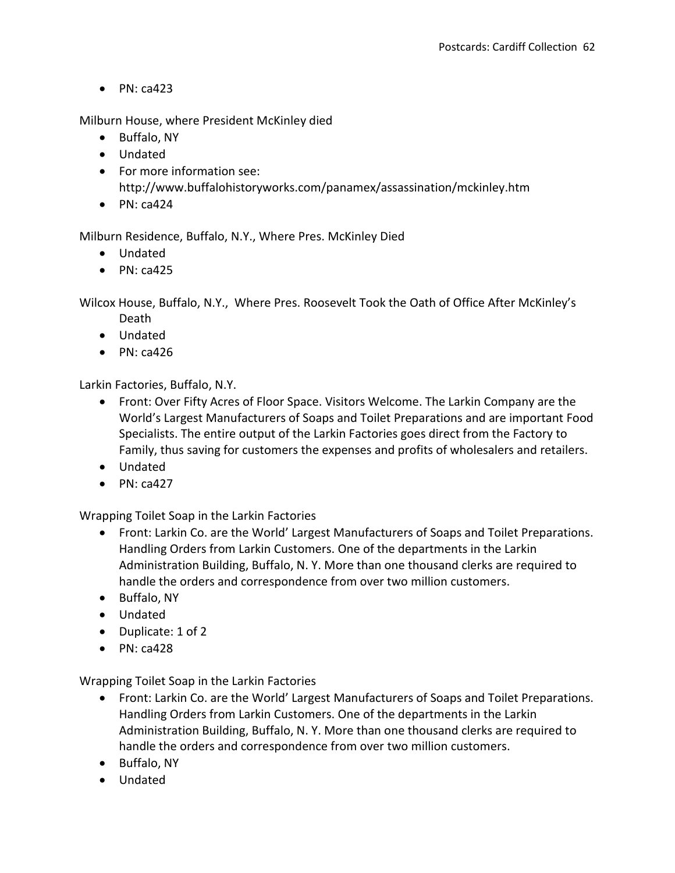Milburn House, where President McKinley died

- Buffalo, NY
- Undated
- For more information see: http://www.buffalohistoryworks.com/panamex/assassination/mckinley.htm
- $\bullet$  PN: ca424

Milburn Residence, Buffalo, N.Y., Where Pres. McKinley Died

- Undated
- $\bullet$  PN: ca425

Wilcox House, Buffalo, N.Y., Where Pres. Roosevelt Took the Oath of Office After McKinley's Death

- Undated
- $\bullet$  PN: ca426

Larkin Factories, Buffalo, N.Y.

- Front: Over Fifty Acres of Floor Space. Visitors Welcome. The Larkin Company are the World's Largest Manufacturers of Soaps and Toilet Preparations and are important Food Specialists. The entire output of the Larkin Factories goes direct from the Factory to Family, thus saving for customers the expenses and profits of wholesalers and retailers.
- Undated
- $\bullet$  PN: ca427

Wrapping Toilet Soap in the Larkin Factories

- Front: Larkin Co. are the World' Largest Manufacturers of Soaps and Toilet Preparations. Handling Orders from Larkin Customers. One of the departments in the Larkin Administration Building, Buffalo, N. Y. More than one thousand clerks are required to handle the orders and correspondence from over two million customers.
- Buffalo, NY
- Undated
- Duplicate: 1 of 2
- $\bullet$  PN: ca428

Wrapping Toilet Soap in the Larkin Factories

- Front: Larkin Co. are the World' Largest Manufacturers of Soaps and Toilet Preparations. Handling Orders from Larkin Customers. One of the departments in the Larkin Administration Building, Buffalo, N. Y. More than one thousand clerks are required to handle the orders and correspondence from over two million customers.
- Buffalo, NY
- Undated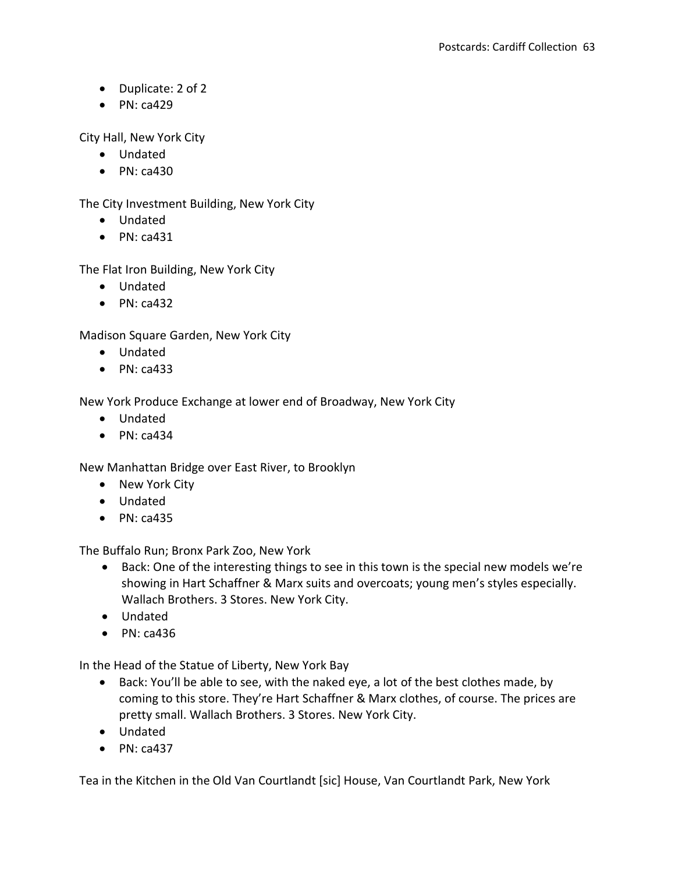- Duplicate: 2 of 2
- $\bullet$  PN: ca429

City Hall, New York City

- Undated
- $\bullet$  PN: ca430

The City Investment Building, New York City

- Undated
- $\bullet$  PN: ca431

The Flat Iron Building, New York City

- Undated
- $\bullet$  PN: ca432

Madison Square Garden, New York City

- Undated
- $\bullet$  PN: ca433

New York Produce Exchange at lower end of Broadway, New York City

- Undated
- $\bullet$  PN: ca434

New Manhattan Bridge over East River, to Brooklyn

- New York City
- Undated
- $\bullet$  PN: ca435

The Buffalo Run; Bronx Park Zoo, New York

- Back: One of the interesting things to see in this town is the special new models we're showing in Hart Schaffner & Marx suits and overcoats; young men's styles especially. Wallach Brothers. 3 Stores. New York City.
- Undated
- $\bullet$  PN: ca436

In the Head of the Statue of Liberty, New York Bay

- Back: You'll be able to see, with the naked eye, a lot of the best clothes made, by coming to this store. They're Hart Schaffner & Marx clothes, of course. The prices are pretty small. Wallach Brothers. 3 Stores. New York City.
- Undated
- $\bullet$  PN: ca437

Tea in the Kitchen in the Old Van Courtlandt [sic] House, Van Courtlandt Park, New York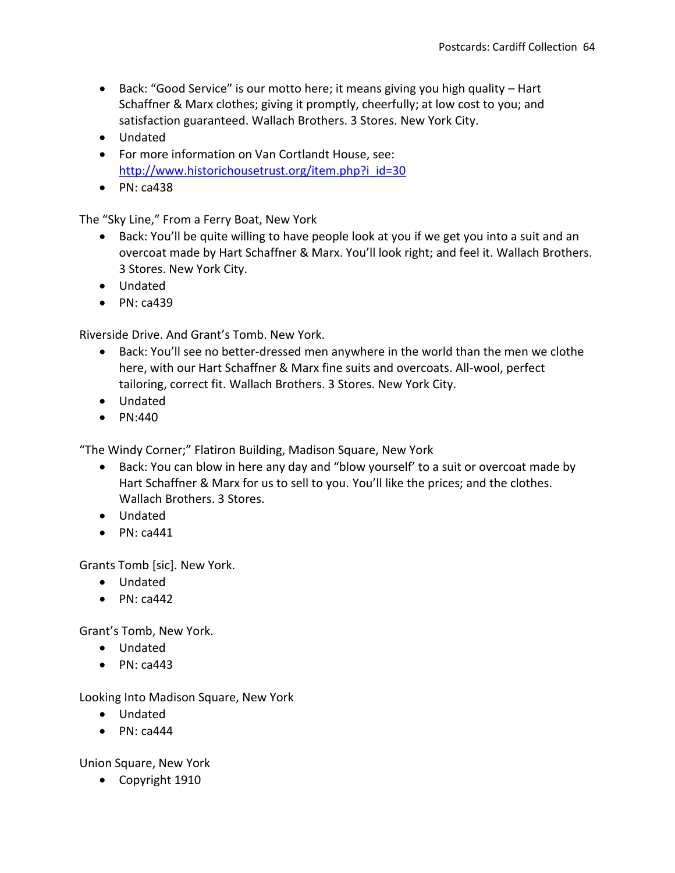- Back: "Good Service" is our motto here; it means giving you high quality Hart Schaffner & Marx clothes; giving it promptly, cheerfully; at low cost to you; and satisfaction guaranteed. Wallach Brothers. 3 Stores. New York City.
- Undated
- For more information on Van Cortlandt House, see: [http://www.historichousetrust.org/item.php?i\\_id=30](http://www.historichousetrust.org/item.php?i_id=30)
- $\bullet$  PN: ca438

The "Sky Line," From a Ferry Boat, New York

- Back: You'll be quite willing to have people look at you if we get you into a suit and an overcoat made by Hart Schaffner & Marx. You'll look right; and feel it. Wallach Brothers. 3 Stores. New York City.
- Undated
- $\bullet$  PN: ca439

Riverside Drive. And Grant's Tomb. New York.

- Back: You'll see no better-dressed men anywhere in the world than the men we clothe here, with our Hart Schaffner & Marx fine suits and overcoats. All-wool, perfect tailoring, correct fit. Wallach Brothers. 3 Stores. New York City.
- Undated
- $\bullet$  PN:440

"The Windy Corner;" Flatiron Building, Madison Square, New York

- Back: You can blow in here any day and "blow yourself' to a suit or overcoat made by Hart Schaffner & Marx for us to sell to you. You'll like the prices; and the clothes. Wallach Brothers. 3 Stores.
- Undated
- $\bullet$  PN: ca441

Grants Tomb [sic]. New York.

- Undated
- $\bullet$  PN: ca442

Grant's Tomb, New York.

- Undated
- $\bullet$  PN: ca443

Looking Into Madison Square, New York

- Undated
- $\bullet$  PN: ca444

Union Square, New York

• Copyright 1910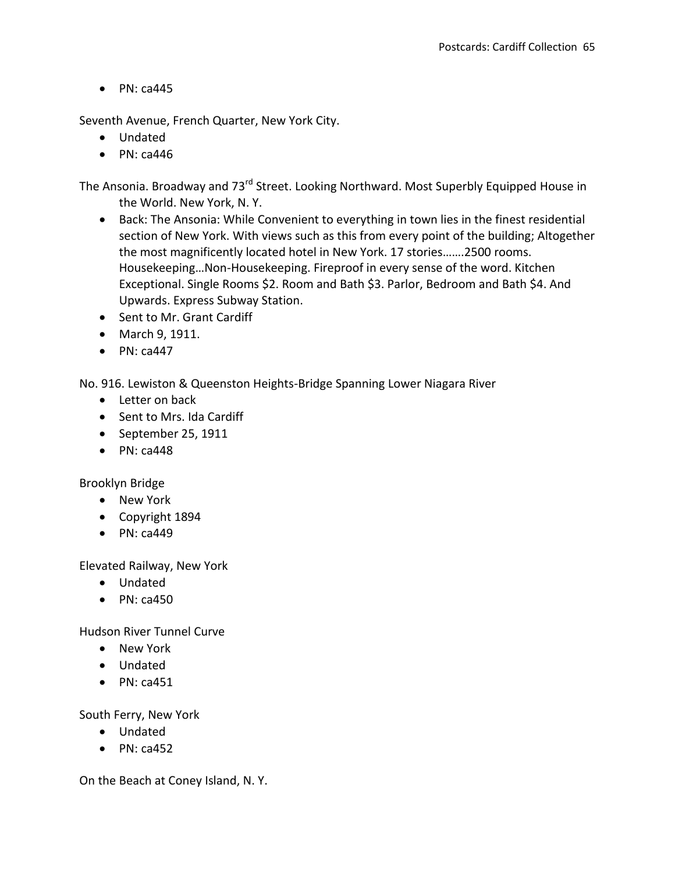Seventh Avenue, French Quarter, New York City.

- Undated
- $\bullet$  PN: ca446

The Ansonia. Broadway and 73<sup>rd</sup> Street. Looking Northward. Most Superbly Equipped House in the World. New York, N. Y.

- Back: The Ansonia: While Convenient to everything in town lies in the finest residential section of New York. With views such as this from every point of the building; Altogether the most magnificently located hotel in New York. 17 stories…….2500 rooms. Housekeeping…Non-Housekeeping. Fireproof in every sense of the word. Kitchen Exceptional. Single Rooms \$2. Room and Bath \$3. Parlor, Bedroom and Bath \$4. And Upwards. Express Subway Station.
- Sent to Mr. Grant Cardiff
- March 9, 1911.
- $\bullet$  PN: ca447

No. 916. Lewiston & Queenston Heights-Bridge Spanning Lower Niagara River

- Letter on back
- Sent to Mrs. Ida Cardiff
- September 25, 1911
- $\bullet$  PN: ca448

Brooklyn Bridge

- New York
- Copyright 1894
- $\bullet$  PN: ca449

Elevated Railway, New York

- Undated
- $\bullet$  PN: ca450

Hudson River Tunnel Curve

- New York
- Undated
- $\bullet$  PN: ca451

South Ferry, New York

- Undated
- $\bullet$  PN: ca452

On the Beach at Coney Island, N. Y.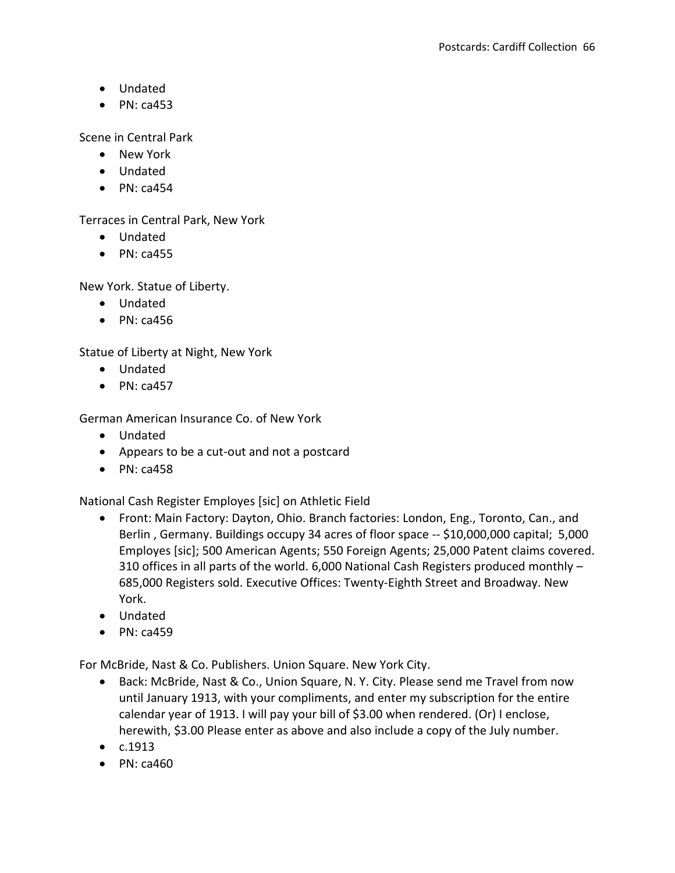- Undated
- $\bullet$  PN: ca453

Scene in Central Park

- New York
- Undated
- $\bullet$  PN: ca454

Terraces in Central Park, New York

- Undated
- $\bullet$  PN: ca455

New York. Statue of Liberty.

- Undated
- $\bullet$  PN: ca456

Statue of Liberty at Night, New York

- Undated
- $\bullet$  PN: ca457

German American Insurance Co. of New York

- Undated
- Appears to be a cut-out and not a postcard
- $\bullet$  PN: ca458

National Cash Register Employes [sic] on Athletic Field

- Front: Main Factory: Dayton, Ohio. Branch factories: London, Eng., Toronto, Can., and Berlin , Germany. Buildings occupy 34 acres of floor space -- \$10,000,000 capital; 5,000 Employes [sic]; 500 American Agents; 550 Foreign Agents; 25,000 Patent claims covered. 310 offices in all parts of the world. 6,000 National Cash Registers produced monthly – 685,000 Registers sold. Executive Offices: Twenty-Eighth Street and Broadway. New York.
- Undated
- $\bullet$  PN: ca459

For McBride, Nast & Co. Publishers. Union Square. New York City.

- Back: McBride, Nast & Co., Union Square, N. Y. City. Please send me Travel from now until January 1913, with your compliments, and enter my subscription for the entire calendar year of 1913. I will pay your bill of \$3.00 when rendered. (Or) I enclose, herewith, \$3.00 Please enter as above and also include a copy of the July number.
- $\bullet$   $c.1913$
- $\bullet$  PN: ca460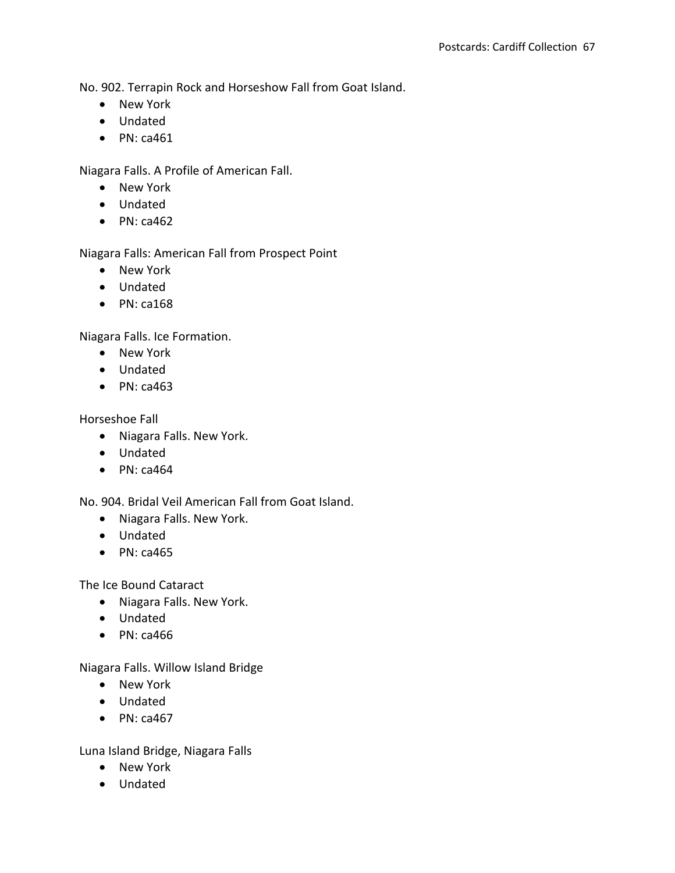No. 902. Terrapin Rock and Horseshow Fall from Goat Island.

- New York
- Undated
- $\bullet$  PN: ca461

Niagara Falls. A Profile of American Fall.

- New York
- Undated
- $\bullet$  PN: ca462

Niagara Falls: American Fall from Prospect Point

- New York
- Undated
- $\bullet$  PN: ca168

Niagara Falls. Ice Formation.

- New York
- Undated
- $\bullet$  PN: ca463

Horseshoe Fall

- Niagara Falls. New York.
- Undated
- $\bullet$  PN: ca464

No. 904. Bridal Veil American Fall from Goat Island.

- Niagara Falls. New York.
- Undated
- $\bullet$  PN: ca465

The Ice Bound Cataract

- Niagara Falls. New York.
- Undated
- $\bullet$  PN: ca466

Niagara Falls. Willow Island Bridge

- New York
- Undated
- $\bullet$  PN: ca467

Luna Island Bridge, Niagara Falls

- New York
- Undated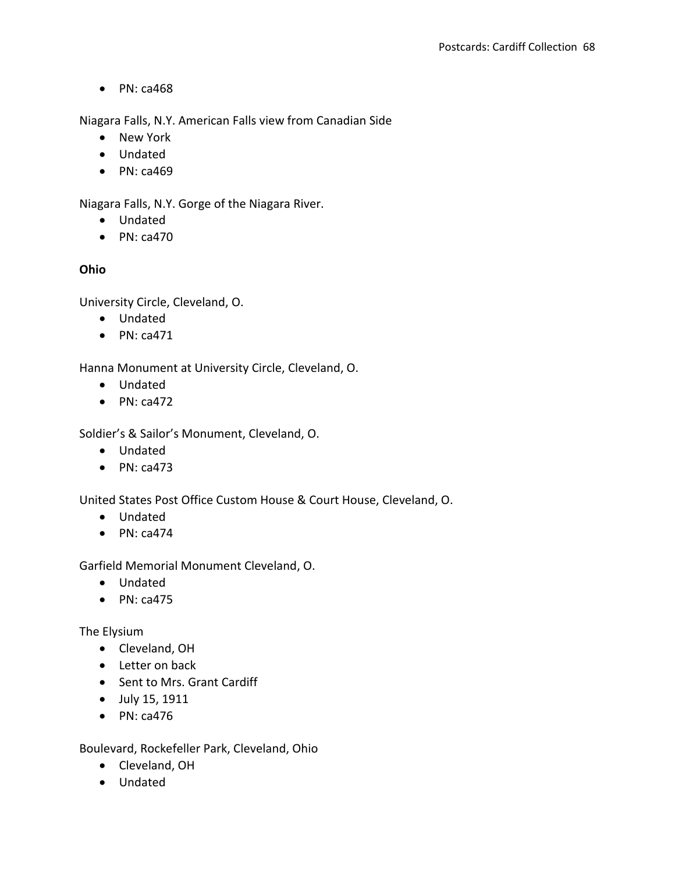Niagara Falls, N.Y. American Falls view from Canadian Side

- New York
- Undated
- $\bullet$  PN: ca469

Niagara Falls, N.Y. Gorge of the Niagara River.

- Undated
- $\bullet$  PN: ca470

# **Ohio**

University Circle, Cleveland, O.

- Undated
- $\bullet$  PN: ca471

Hanna Monument at University Circle, Cleveland, O.

- Undated
- $\bullet$  PN: ca472

Soldier's & Sailor's Monument, Cleveland, O.

- Undated
- $\bullet$  PN: ca473

United States Post Office Custom House & Court House, Cleveland, O.

- Undated
- $\bullet$  PN: ca474

Garfield Memorial Monument Cleveland, O.

- Undated
- $\bullet$  PN: ca475

The Elysium

- Cleveland, OH
- Letter on back
- Sent to Mrs. Grant Cardiff
- July 15, 1911
- $\bullet$  PN: ca476

Boulevard, Rockefeller Park, Cleveland, Ohio

- Cleveland, OH
- Undated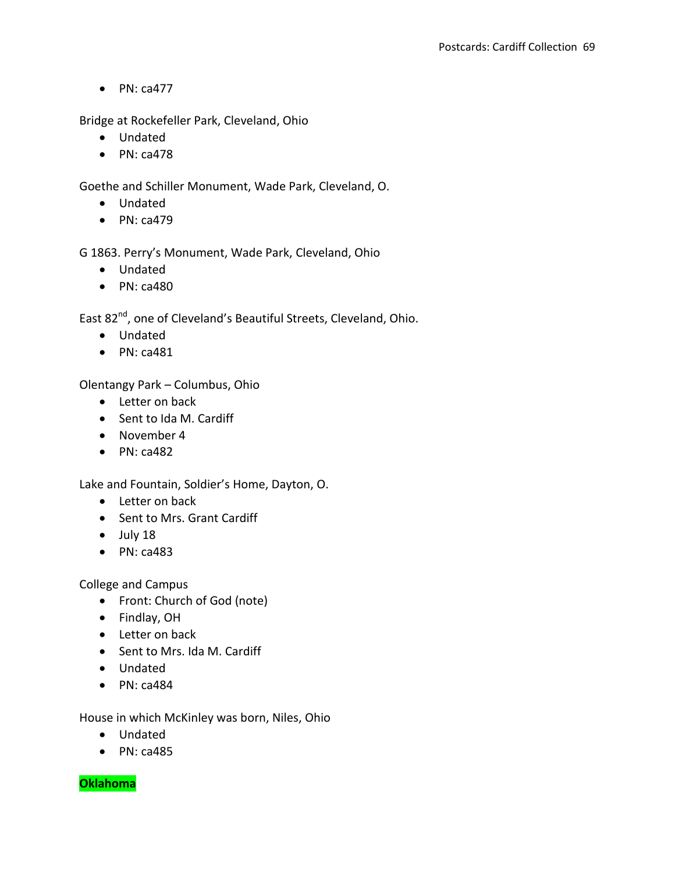Bridge at Rockefeller Park, Cleveland, Ohio

- Undated
- $\bullet$  PN: ca478

Goethe and Schiller Monument, Wade Park, Cleveland, O.

- Undated
- $\bullet$  PN: ca479

G 1863. Perry's Monument, Wade Park, Cleveland, Ohio

- Undated
- $\bullet$  PN: ca480

East 82<sup>nd</sup>, one of Cleveland's Beautiful Streets, Cleveland, Ohio.

- Undated
- $\bullet$  PN: ca481

Olentangy Park – Columbus, Ohio

- Letter on back
- Sent to Ida M. Cardiff
- November 4
- $\bullet$  PN: ca482

Lake and Fountain, Soldier's Home, Dayton, O.

- Letter on back
- Sent to Mrs. Grant Cardiff
- July 18
- PN: ca483

College and Campus

- Front: Church of God (note)
- Findlay, OH
- Letter on back
- Sent to Mrs. Ida M. Cardiff
- Undated
- $\bullet$  PN: ca484

House in which McKinley was born, Niles, Ohio

- Undated
- $\bullet$  PN: ca485

**Oklahoma**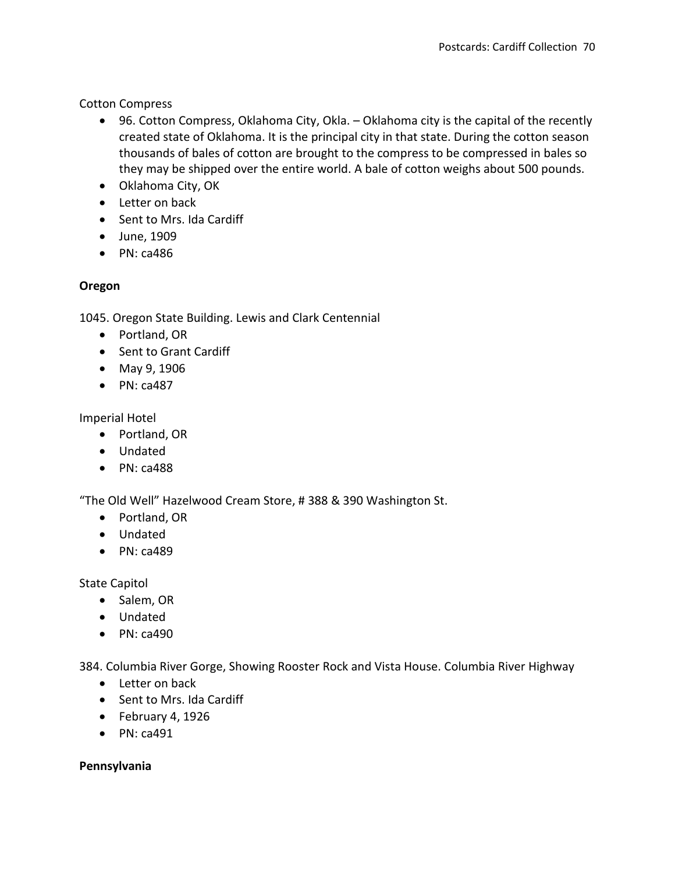Cotton Compress

- 96. Cotton Compress, Oklahoma City, Okla. Oklahoma city is the capital of the recently created state of Oklahoma. It is the principal city in that state. During the cotton season thousands of bales of cotton are brought to the compress to be compressed in bales so they may be shipped over the entire world. A bale of cotton weighs about 500 pounds.
- Oklahoma City, OK
- Letter on back
- Sent to Mrs. Ida Cardiff
- June, 1909
- $\bullet$  PN: ca486

### **Oregon**

1045. Oregon State Building. Lewis and Clark Centennial

- Portland, OR
- Sent to Grant Cardiff
- May 9, 1906
- $\bullet$  PN: ca487

Imperial Hotel

- Portland, OR
- Undated
- $\bullet$  PN: ca488

"The Old Well" Hazelwood Cream Store, # 388 & 390 Washington St.

- Portland, OR
- Undated
- $\bullet$  PN: ca489

State Capitol

- Salem, OR
- Undated
- $\bullet$  PN: ca490

384. Columbia River Gorge, Showing Rooster Rock and Vista House. Columbia River Highway

- Letter on back
- Sent to Mrs. Ida Cardiff
- $\bullet$  February 4, 1926
- $\bullet$  PN: ca491

### **Pennsylvania**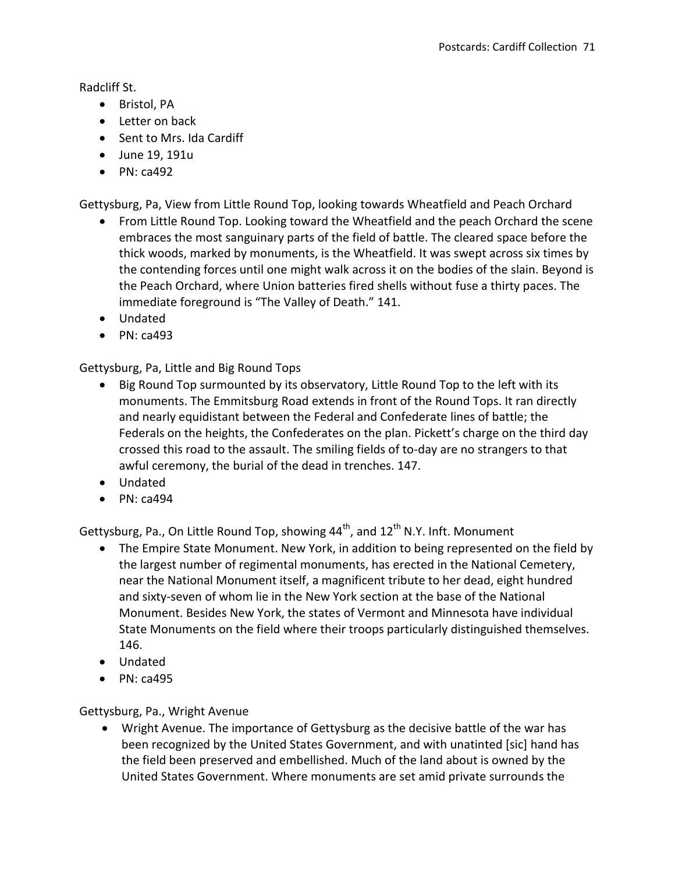Radcliff St.

- Bristol, PA
- Letter on back
- Sent to Mrs. Ida Cardiff
- June 19, 191u
- $\bullet$  PN: ca492

Gettysburg, Pa, View from Little Round Top, looking towards Wheatfield and Peach Orchard

- From Little Round Top. Looking toward the Wheatfield and the peach Orchard the scene embraces the most sanguinary parts of the field of battle. The cleared space before the thick woods, marked by monuments, is the Wheatfield. It was swept across six times by the contending forces until one might walk across it on the bodies of the slain. Beyond is the Peach Orchard, where Union batteries fired shells without fuse a thirty paces. The immediate foreground is "The Valley of Death." 141.
- Undated
- $\bullet$  PN: ca493

Gettysburg, Pa, Little and Big Round Tops

- Big Round Top surmounted by its observatory, Little Round Top to the left with its monuments. The Emmitsburg Road extends in front of the Round Tops. It ran directly and nearly equidistant between the Federal and Confederate lines of battle; the Federals on the heights, the Confederates on the plan. Pickett's charge on the third day crossed this road to the assault. The smiling fields of to-day are no strangers to that awful ceremony, the burial of the dead in trenches. 147.
- Undated
- $\bullet$  PN: ca494

Gettysburg, Pa., On Little Round Top, showing  $44<sup>th</sup>$ , and  $12<sup>th</sup>$  N.Y. Inft. Monument

- The Empire State Monument. New York, in addition to being represented on the field by the largest number of regimental monuments, has erected in the National Cemetery, near the National Monument itself, a magnificent tribute to her dead, eight hundred and sixty-seven of whom lie in the New York section at the base of the National Monument. Besides New York, the states of Vermont and Minnesota have individual State Monuments on the field where their troops particularly distinguished themselves. 146.
- Undated
- $\bullet$  PN: ca495

Gettysburg, Pa., Wright Avenue

 Wright Avenue. The importance of Gettysburg as the decisive battle of the war has been recognized by the United States Government, and with unatinted [sic] hand has the field been preserved and embellished. Much of the land about is owned by the United States Government. Where monuments are set amid private surrounds the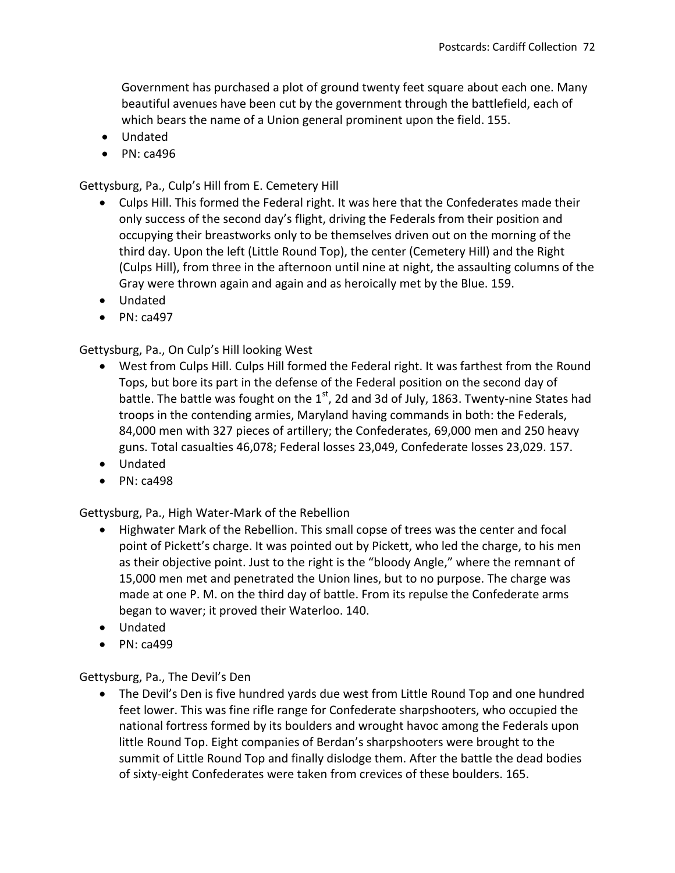Government has purchased a plot of ground twenty feet square about each one. Many beautiful avenues have been cut by the government through the battlefield, each of which bears the name of a Union general prominent upon the field. 155.

- Undated
- $\bullet$  PN: ca496

Gettysburg, Pa., Culp's Hill from E. Cemetery Hill

- Culps Hill. This formed the Federal right. It was here that the Confederates made their only success of the second day's flight, driving the Federals from their position and occupying their breastworks only to be themselves driven out on the morning of the third day. Upon the left (Little Round Top), the center (Cemetery Hill) and the Right (Culps Hill), from three in the afternoon until nine at night, the assaulting columns of the Gray were thrown again and again and as heroically met by the Blue. 159.
- Undated
- $\bullet$  PN: ca497

Gettysburg, Pa., On Culp's Hill looking West

- West from Culps Hill. Culps Hill formed the Federal right. It was farthest from the Round Tops, but bore its part in the defense of the Federal position on the second day of battle. The battle was fought on the  $1<sup>st</sup>$ , 2d and 3d of July, 1863. Twenty-nine States had troops in the contending armies, Maryland having commands in both: the Federals, 84,000 men with 327 pieces of artillery; the Confederates, 69,000 men and 250 heavy guns. Total casualties 46,078; Federal losses 23,049, Confederate losses 23,029. 157.
- Undated
- $\bullet$  PN: ca498

Gettysburg, Pa., High Water-Mark of the Rebellion

- Highwater Mark of the Rebellion. This small copse of trees was the center and focal point of Pickett's charge. It was pointed out by Pickett, who led the charge, to his men as their objective point. Just to the right is the "bloody Angle," where the remnant of 15,000 men met and penetrated the Union lines, but to no purpose. The charge was made at one P. M. on the third day of battle. From its repulse the Confederate arms began to waver; it proved their Waterloo. 140.
- Undated
- $\bullet$  PN: ca499

Gettysburg, Pa., The Devil's Den

 The Devil's Den is five hundred yards due west from Little Round Top and one hundred feet lower. This was fine rifle range for Confederate sharpshooters, who occupied the national fortress formed by its boulders and wrought havoc among the Federals upon little Round Top. Eight companies of Berdan's sharpshooters were brought to the summit of Little Round Top and finally dislodge them. After the battle the dead bodies of sixty-eight Confederates were taken from crevices of these boulders. 165.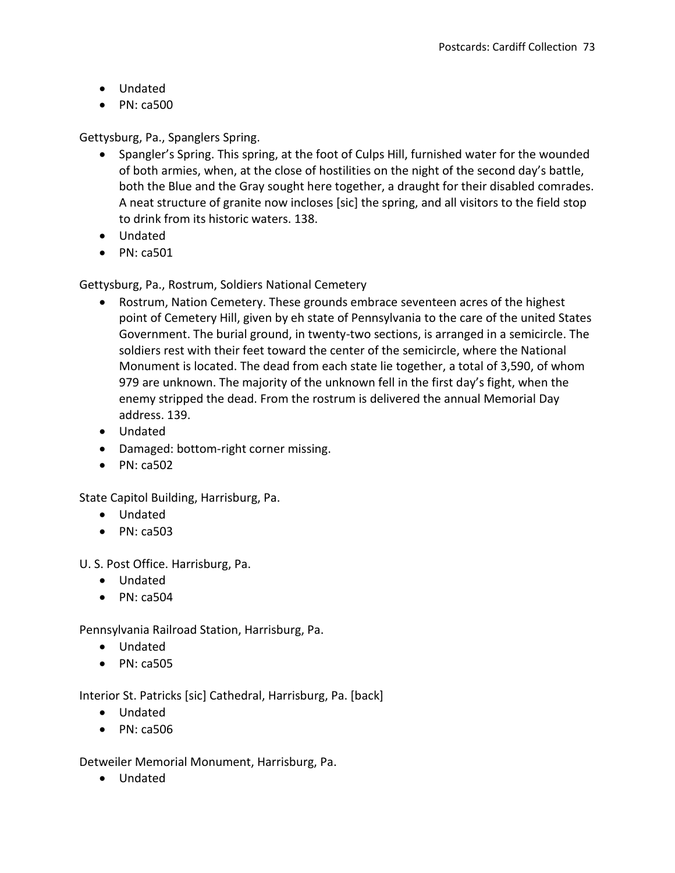- Undated
- PN: ca500

Gettysburg, Pa., Spanglers Spring.

- Spangler's Spring. This spring, at the foot of Culps Hill, furnished water for the wounded of both armies, when, at the close of hostilities on the night of the second day's battle, both the Blue and the Gray sought here together, a draught for their disabled comrades. A neat structure of granite now incloses [sic] the spring, and all visitors to the field stop to drink from its historic waters. 138.
- Undated
- $\bullet$  PN: ca501

Gettysburg, Pa., Rostrum, Soldiers National Cemetery

- Rostrum, Nation Cemetery. These grounds embrace seventeen acres of the highest point of Cemetery Hill, given by eh state of Pennsylvania to the care of the united States Government. The burial ground, in twenty-two sections, is arranged in a semicircle. The soldiers rest with their feet toward the center of the semicircle, where the National Monument is located. The dead from each state lie together, a total of 3,590, of whom 979 are unknown. The majority of the unknown fell in the first day's fight, when the enemy stripped the dead. From the rostrum is delivered the annual Memorial Day address. 139.
- Undated
- Damaged: bottom-right corner missing.
- $\bullet$  PN: ca502

State Capitol Building, Harrisburg, Pa.

- Undated
- $\bullet$  PN: ca503

U. S. Post Office. Harrisburg, Pa.

- Undated
- $\bullet$  PN: ca504

Pennsylvania Railroad Station, Harrisburg, Pa.

- Undated
- $\bullet$  PN: ca505

Interior St. Patricks [sic] Cathedral, Harrisburg, Pa. [back]

- Undated
- PN: ca506

Detweiler Memorial Monument, Harrisburg, Pa.

Undated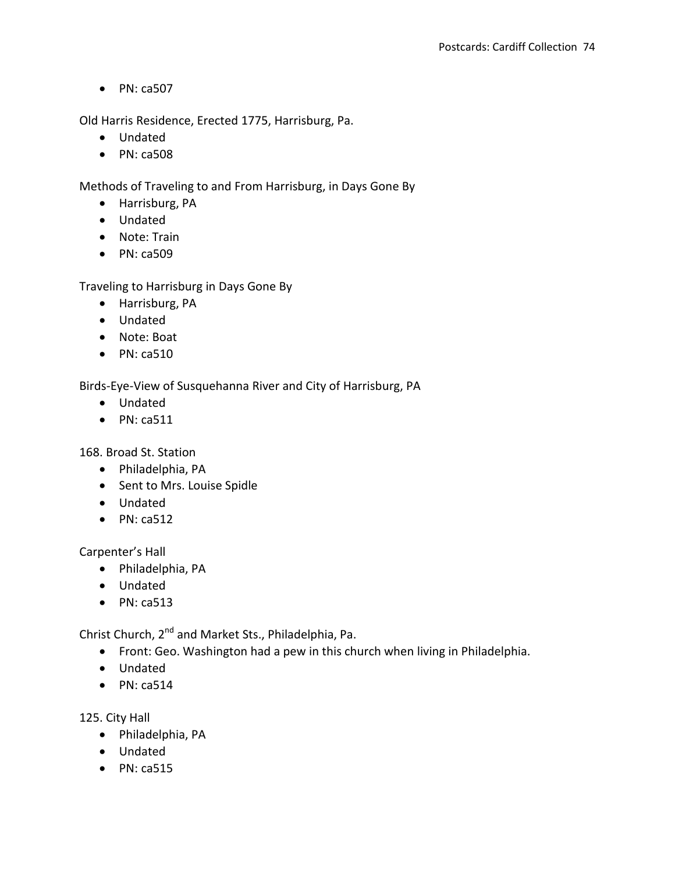$\bullet$  PN: ca507

Old Harris Residence, Erected 1775, Harrisburg, Pa.

- Undated
- $\bullet$  PN: ca508

Methods of Traveling to and From Harrisburg, in Days Gone By

- Harrisburg, PA
- Undated
- Note: Train
- PN: ca509

Traveling to Harrisburg in Days Gone By

- Harrisburg, PA
- Undated
- Note: Boat
- $\bullet$  PN: ca510

Birds-Eye-View of Susquehanna River and City of Harrisburg, PA

- Undated
- $\bullet$  PN: ca511

168. Broad St. Station

- Philadelphia, PA
- Sent to Mrs. Louise Spidle
- Undated
- $\bullet$  PN: ca512

Carpenter's Hall

- Philadelphia, PA
- Undated
- $\bullet$  PN: ca513

Christ Church, 2<sup>nd</sup> and Market Sts., Philadelphia, Pa.

- Front: Geo. Washington had a pew in this church when living in Philadelphia.
- Undated
- $\bullet$  PN: ca514

125. City Hall

- Philadelphia, PA
- Undated
- $\bullet$  PN: ca515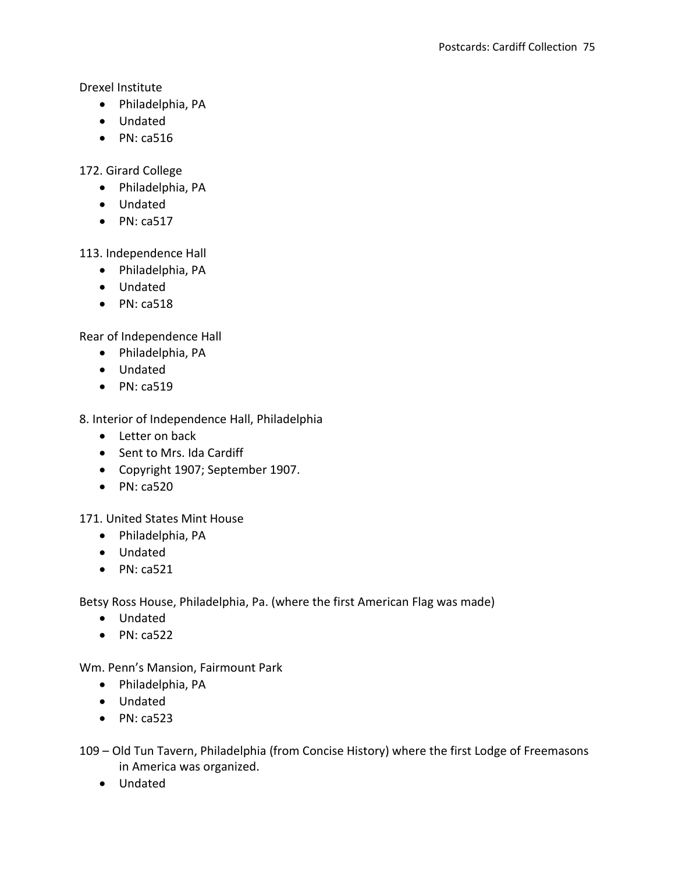Drexel Institute

- Philadelphia, PA
- Undated
- $\bullet$  PN: ca516

172. Girard College

- Philadelphia, PA
- Undated
- $\bullet$  PN: ca517

113. Independence Hall

- Philadelphia, PA
- Undated
- $\bullet$  PN: ca518

Rear of Independence Hall

- Philadelphia, PA
- Undated
- $\bullet$  PN: ca519

8. Interior of Independence Hall, Philadelphia

- Letter on back
- Sent to Mrs. Ida Cardiff
- Copyright 1907; September 1907.
- $\bullet$  PN: ca520

171. United States Mint House

- Philadelphia, PA
- Undated
- $\bullet$  PN: ca521

Betsy Ross House, Philadelphia, Pa. (where the first American Flag was made)

- Undated
- $\bullet$  PN: ca522

Wm. Penn's Mansion, Fairmount Park

- Philadelphia, PA
- Undated
- $\bullet$  PN: ca523

109 – Old Tun Tavern, Philadelphia (from Concise History) where the first Lodge of Freemasons in America was organized.

Undated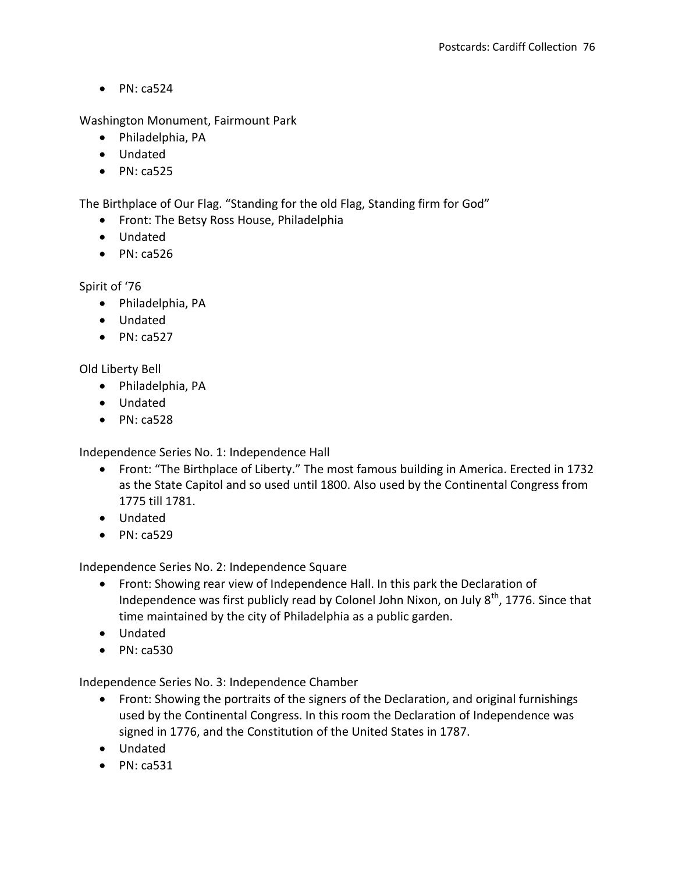$\bullet$  PN: ca524

Washington Monument, Fairmount Park

- Philadelphia, PA
- Undated
- $\bullet$  PN: ca525

The Birthplace of Our Flag. "Standing for the old Flag, Standing firm for God"

- Front: The Betsy Ross House, Philadelphia
- Undated
- $\bullet$  PN: ca526

Spirit of '76

- Philadelphia, PA
- Undated
- $\bullet$  PN: ca527

Old Liberty Bell

- Philadelphia, PA
- Undated
- $\bullet$  PN: ca528

Independence Series No. 1: Independence Hall

- Front: "The Birthplace of Liberty." The most famous building in America. Erected in 1732 as the State Capitol and so used until 1800. Also used by the Continental Congress from 1775 till 1781.
- Undated
- $\bullet$  PN: ca529

Independence Series No. 2: Independence Square

- Front: Showing rear view of Independence Hall. In this park the Declaration of Independence was first publicly read by Colonel John Nixon, on July  $8<sup>th</sup>$ , 1776. Since that time maintained by the city of Philadelphia as a public garden.
- Undated
- $\bullet$  PN: ca530

Independence Series No. 3: Independence Chamber

- Front: Showing the portraits of the signers of the Declaration, and original furnishings used by the Continental Congress. In this room the Declaration of Independence was signed in 1776, and the Constitution of the United States in 1787.
- Undated
- $\bullet$  PN: ca531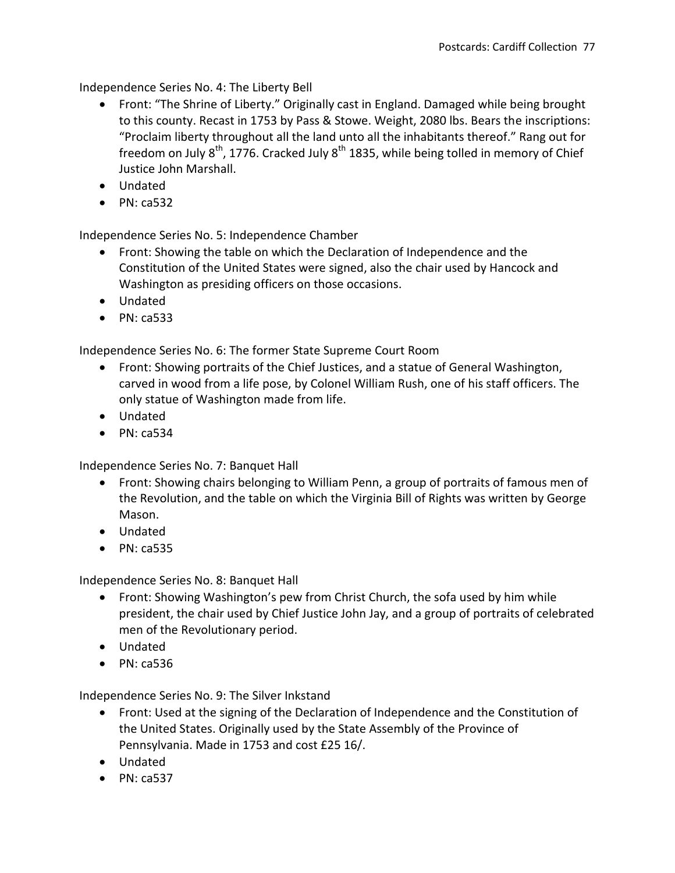Independence Series No. 4: The Liberty Bell

- Front: "The Shrine of Liberty." Originally cast in England. Damaged while being brought to this county. Recast in 1753 by Pass & Stowe. Weight, 2080 lbs. Bears the inscriptions: "Proclaim liberty throughout all the land unto all the inhabitants thereof." Rang out for freedom on July  $8^{th}$ , 1776. Cracked July  $8^{th}$  1835, while being tolled in memory of Chief Justice John Marshall.
- Undated
- $\bullet$  PN: ca532

Independence Series No. 5: Independence Chamber

- Front: Showing the table on which the Declaration of Independence and the Constitution of the United States were signed, also the chair used by Hancock and Washington as presiding officers on those occasions.
- Undated
- $\bullet$  PN: ca533

Independence Series No. 6: The former State Supreme Court Room

- Front: Showing portraits of the Chief Justices, and a statue of General Washington, carved in wood from a life pose, by Colonel William Rush, one of his staff officers. The only statue of Washington made from life.
- Undated
- $\bullet$  PN: ca534

Independence Series No. 7: Banquet Hall

- Front: Showing chairs belonging to William Penn, a group of portraits of famous men of the Revolution, and the table on which the Virginia Bill of Rights was written by George Mason.
- Undated
- $\bullet$  PN: ca535

Independence Series No. 8: Banquet Hall

- Front: Showing Washington's pew from Christ Church, the sofa used by him while president, the chair used by Chief Justice John Jay, and a group of portraits of celebrated men of the Revolutionary period.
- Undated
- $\bullet$  PN: ca536

Independence Series No. 9: The Silver Inkstand

- Front: Used at the signing of the Declaration of Independence and the Constitution of the United States. Originally used by the State Assembly of the Province of Pennsylvania. Made in 1753 and cost £25 16/.
- Undated
- $\bullet$  PN: ca537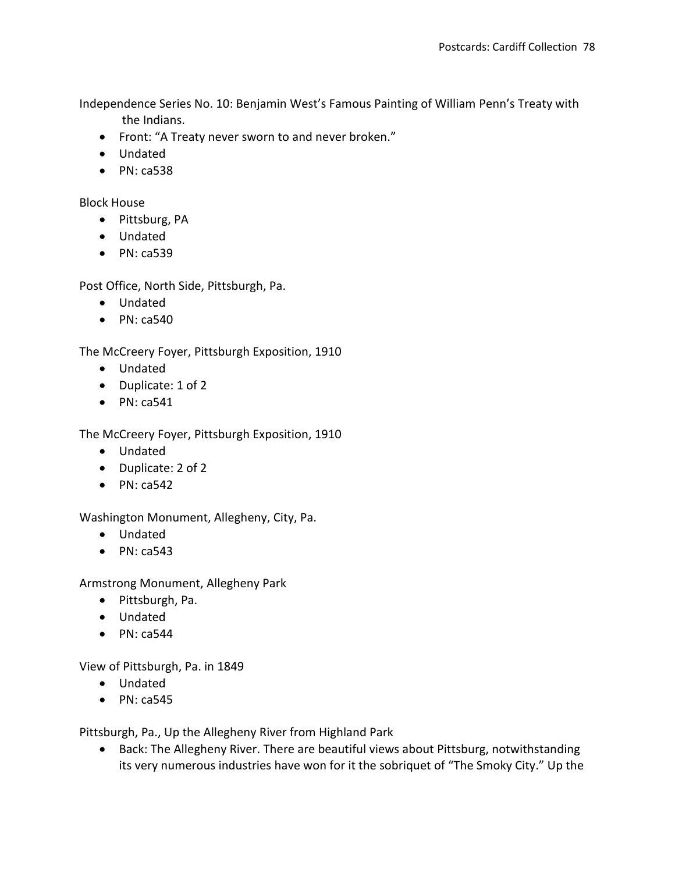Independence Series No. 10: Benjamin West's Famous Painting of William Penn's Treaty with the Indians.

- Front: "A Treaty never sworn to and never broken."
- Undated
- $\bullet$  PN: ca538

Block House

- Pittsburg, PA
- Undated
- $\bullet$  PN: ca539

Post Office, North Side, Pittsburgh, Pa.

- Undated
- $\bullet$  PN: ca540

The McCreery Foyer, Pittsburgh Exposition, 1910

- Undated
- Duplicate: 1 of 2
- $\bullet$  PN: ca541

The McCreery Foyer, Pittsburgh Exposition, 1910

- Undated
- Duplicate: 2 of 2
- $\bullet$  PN: ca542

Washington Monument, Allegheny, City, Pa.

- Undated
- $\bullet$  PN: ca543

Armstrong Monument, Allegheny Park

- Pittsburgh, Pa.
- Undated
- $\bullet$  PN: ca544

View of Pittsburgh, Pa. in 1849

- Undated
- $\bullet$  PN: ca545

Pittsburgh, Pa., Up the Allegheny River from Highland Park

• Back: The Allegheny River. There are beautiful views about Pittsburg, notwithstanding its very numerous industries have won for it the sobriquet of "The Smoky City." Up the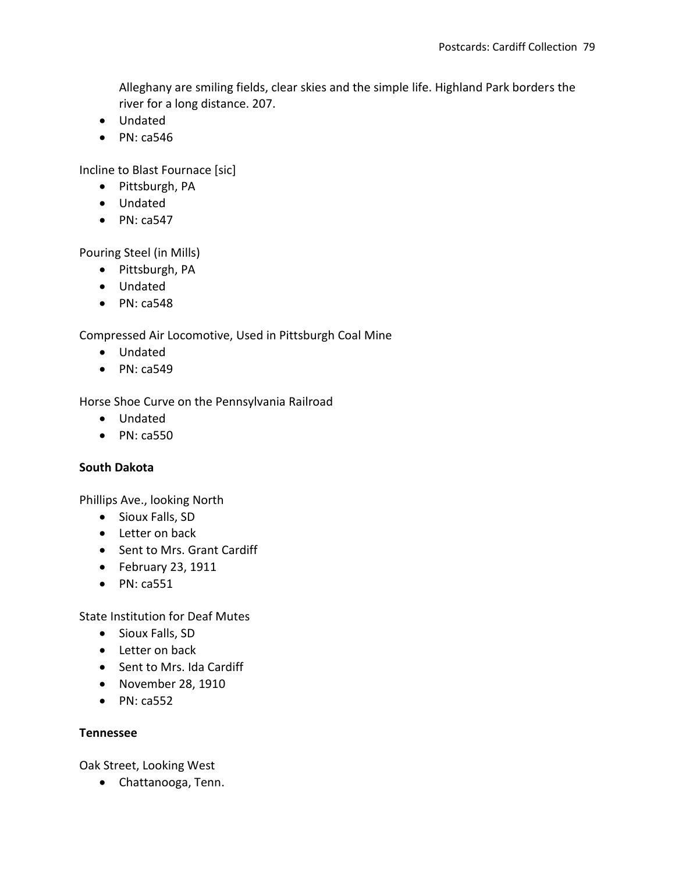Alleghany are smiling fields, clear skies and the simple life. Highland Park borders the river for a long distance. 207.

- Undated
- $\bullet$  PN: ca546

Incline to Blast Fournace [sic]

- Pittsburgh, PA
- Undated
- $\bullet$  PN: ca547

Pouring Steel (in Mills)

- Pittsburgh, PA
- Undated
- $\bullet$  PN: ca548

Compressed Air Locomotive, Used in Pittsburgh Coal Mine

- Undated
- $\bullet$  PN: ca549

Horse Shoe Curve on the Pennsylvania Railroad

- Undated
- $\bullet$  PN: ca550

# **South Dakota**

Phillips Ave., looking North

- Sioux Falls, SD
- Letter on back
- Sent to Mrs. Grant Cardiff
- $\bullet$  February 23, 1911
- $\bullet$  PN: ca551

State Institution for Deaf Mutes

- Sioux Falls, SD
- Letter on back
- Sent to Mrs. Ida Cardiff
- November 28, 1910
- $\bullet$  PN: ca552

# **Tennessee**

Oak Street, Looking West

Chattanooga, Tenn.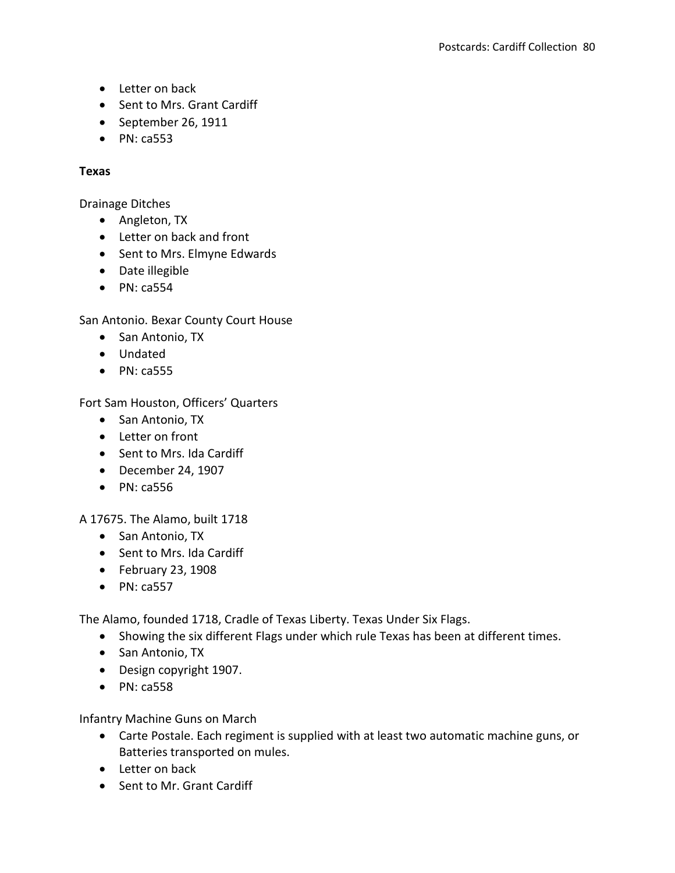- Letter on back
- Sent to Mrs. Grant Cardiff
- September 26, 1911
- PN: ca553

# **Texas**

Drainage Ditches

- Angleton, TX
- Letter on back and front
- Sent to Mrs. Elmyne Edwards
- Date illegible
- $\bullet$  PN: ca554

San Antonio. Bexar County Court House

- San Antonio, TX
- Undated
- $\bullet$  PN: ca555

Fort Sam Houston, Officers' Quarters

- San Antonio, TX
- Letter on front
- Sent to Mrs. Ida Cardiff
- December 24, 1907
- $\bullet$  PN: ca556

A 17675. The Alamo, built 1718

- San Antonio, TX
- Sent to Mrs. Ida Cardiff
- $\bullet$  February 23, 1908
- $\bullet$  PN: ca557

The Alamo, founded 1718, Cradle of Texas Liberty. Texas Under Six Flags.

- Showing the six different Flags under which rule Texas has been at different times.
- San Antonio, TX
- Design copyright 1907.
- $\bullet$  PN: ca558

Infantry Machine Guns on March

- Carte Postale. Each regiment is supplied with at least two automatic machine guns, or Batteries transported on mules.
- Letter on back
- Sent to Mr. Grant Cardiff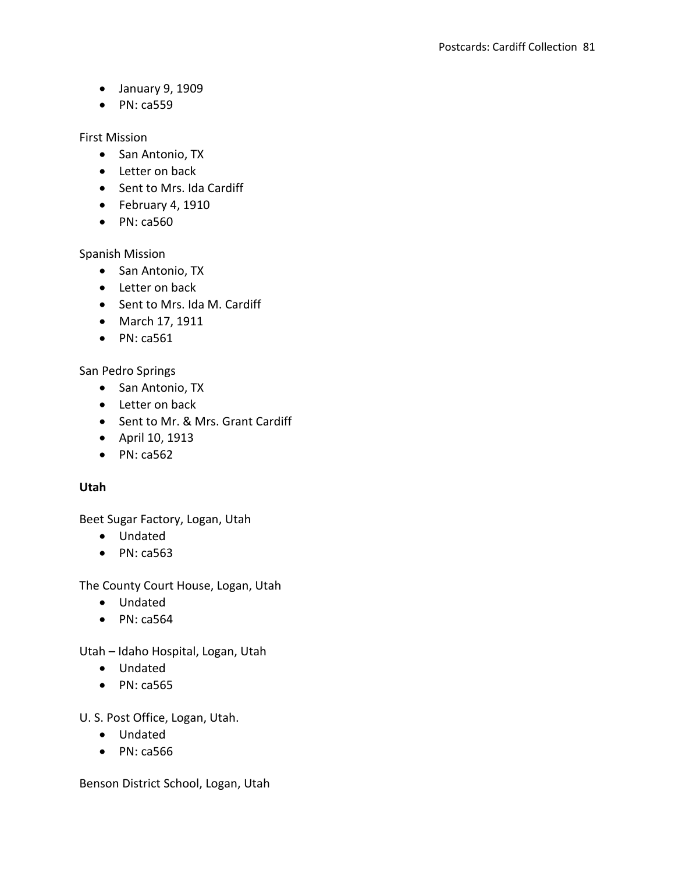- January 9, 1909
- $\bullet$  PN: ca559

First Mission

- San Antonio, TX
- Letter on back
- Sent to Mrs. Ida Cardiff
- $\bullet$  February 4, 1910
- $\bullet$  PN: ca560

Spanish Mission

- San Antonio, TX
- Letter on back
- Sent to Mrs. Ida M. Cardiff
- March 17, 1911
- $\bullet$  PN: ca561

San Pedro Springs

- San Antonio, TX
- Letter on back
- Sent to Mr. & Mrs. Grant Cardiff
- April 10, 1913
- $\bullet$  PN: ca562

# **Utah**

Beet Sugar Factory, Logan, Utah

- Undated
- $\bullet$  PN: ca563

The County Court House, Logan, Utah

- Undated
- $\bullet$  PN: ca564

Utah – Idaho Hospital, Logan, Utah

- Undated
- PN: ca565

U. S. Post Office, Logan, Utah.

- Undated
- PN: ca566

Benson District School, Logan, Utah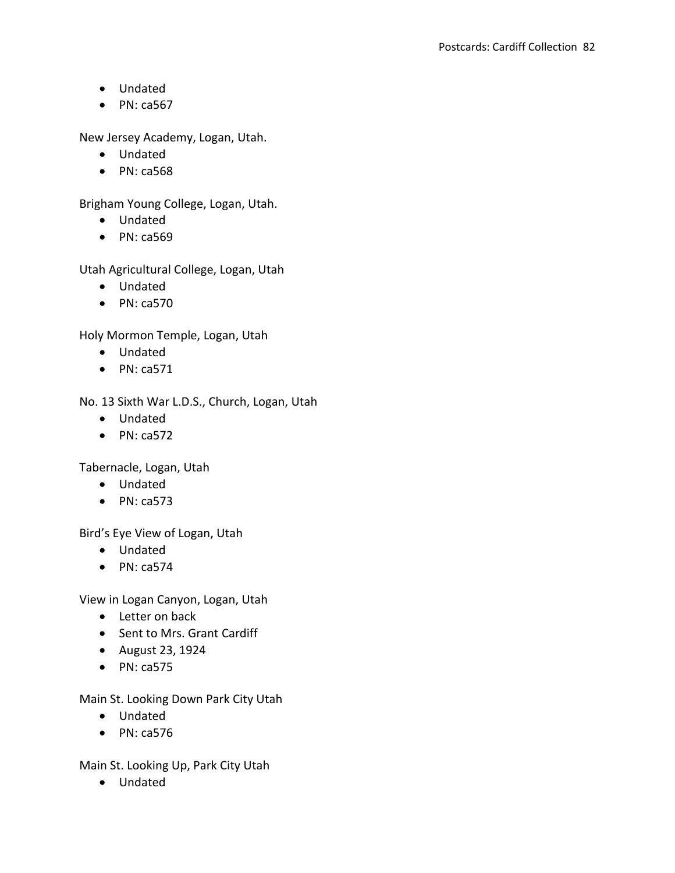- Undated
- $\bullet$  PN: ca567

New Jersey Academy, Logan, Utah.

- Undated
- PN: ca568

Brigham Young College, Logan, Utah.

- Undated
- PN: ca569

Utah Agricultural College, Logan, Utah

- Undated
- $\bullet$  PN: ca570

Holy Mormon Temple, Logan, Utah

- Undated
- $\bullet$  PN: ca571

No. 13 Sixth War L.D.S., Church, Logan, Utah

- Undated
- $\bullet$  PN: ca572

Tabernacle, Logan, Utah

- Undated
- $\bullet$  PN: ca573

Bird's Eye View of Logan, Utah

- Undated
- $\bullet$  PN: ca574

View in Logan Canyon, Logan, Utah

- Letter on back
- Sent to Mrs. Grant Cardiff
- August 23, 1924
- $\bullet$  PN: ca575

Main St. Looking Down Park City Utah

- Undated
- $\bullet$  PN: ca576

Main St. Looking Up, Park City Utah

Undated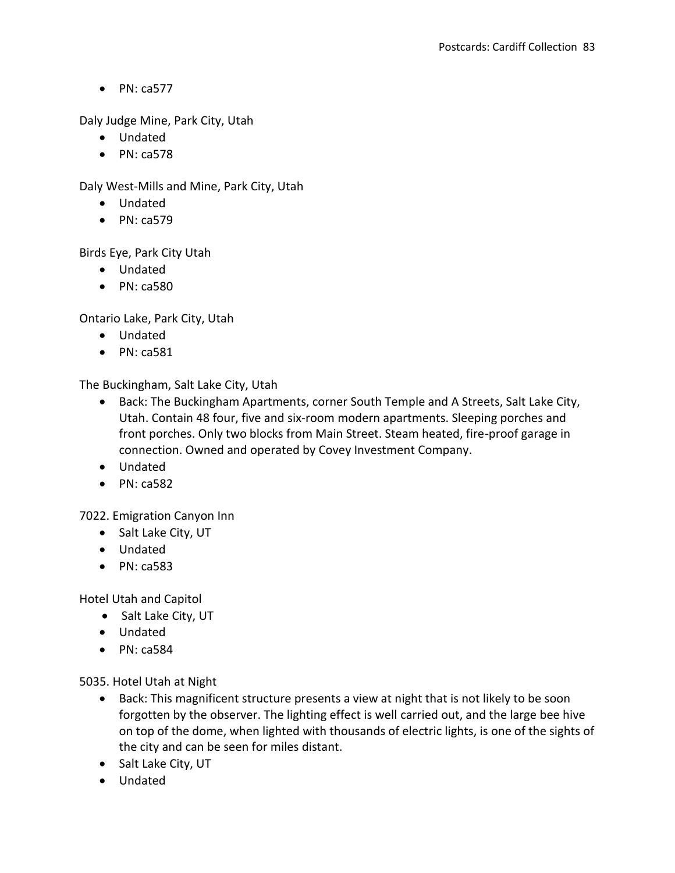$\bullet$  PN: ca577

Daly Judge Mine, Park City, Utah

- Undated
- $\bullet$  PN: ca578

Daly West-Mills and Mine, Park City, Utah

- Undated
- $\bullet$  PN: ca579

Birds Eye, Park City Utah

- Undated
- PN: ca580

Ontario Lake, Park City, Utah

- Undated
- $\bullet$  PN: ca581

The Buckingham, Salt Lake City, Utah

- Back: The Buckingham Apartments, corner South Temple and A Streets, Salt Lake City, Utah. Contain 48 four, five and six-room modern apartments. Sleeping porches and front porches. Only two blocks from Main Street. Steam heated, fire-proof garage in connection. Owned and operated by Covey Investment Company.
- Undated
- $\bullet$  PN: ca582

7022. Emigration Canyon Inn

- Salt Lake City, UT
- Undated
- PN: ca583

Hotel Utah and Capitol

- Salt Lake City, UT
- Undated
- $\bullet$  PN: ca584

5035. Hotel Utah at Night

- Back: This magnificent structure presents a view at night that is not likely to be soon forgotten by the observer. The lighting effect is well carried out, and the large bee hive on top of the dome, when lighted with thousands of electric lights, is one of the sights of the city and can be seen for miles distant.
- Salt Lake City, UT
- Undated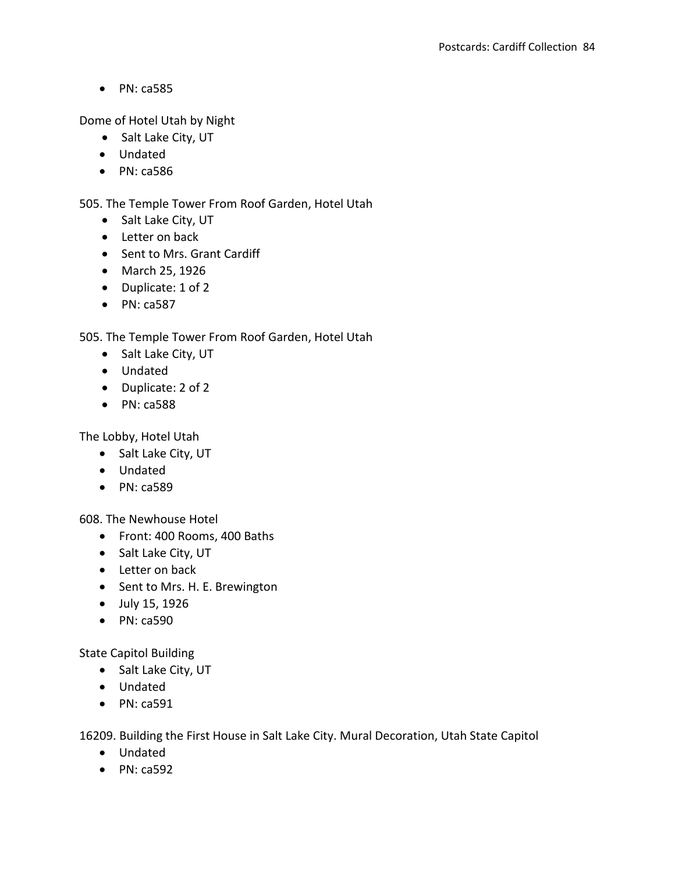• PN: ca585

Dome of Hotel Utah by Night

- Salt Lake City, UT
- Undated
- PN: ca586

505. The Temple Tower From Roof Garden, Hotel Utah

- Salt Lake City, UT
- Letter on back
- Sent to Mrs. Grant Cardiff
- March 25, 1926
- Duplicate: 1 of 2
- $\bullet$  PN: ca587

# 505. The Temple Tower From Roof Garden, Hotel Utah

- Salt Lake City, UT
- Undated
- Duplicate: 2 of 2
- PN: ca588

The Lobby, Hotel Utah

- Salt Lake City, UT
- Undated
- $\bullet$  PN: ca589

608. The Newhouse Hotel

- Front: 400 Rooms, 400 Baths
- Salt Lake City, UT
- Letter on back
- Sent to Mrs. H. E. Brewington
- July 15, 1926
- PN: ca590

State Capitol Building

- Salt Lake City, UT
- Undated
- PN: ca591

16209. Building the First House in Salt Lake City. Mural Decoration, Utah State Capitol

- Undated
- $\bullet$  PN: ca592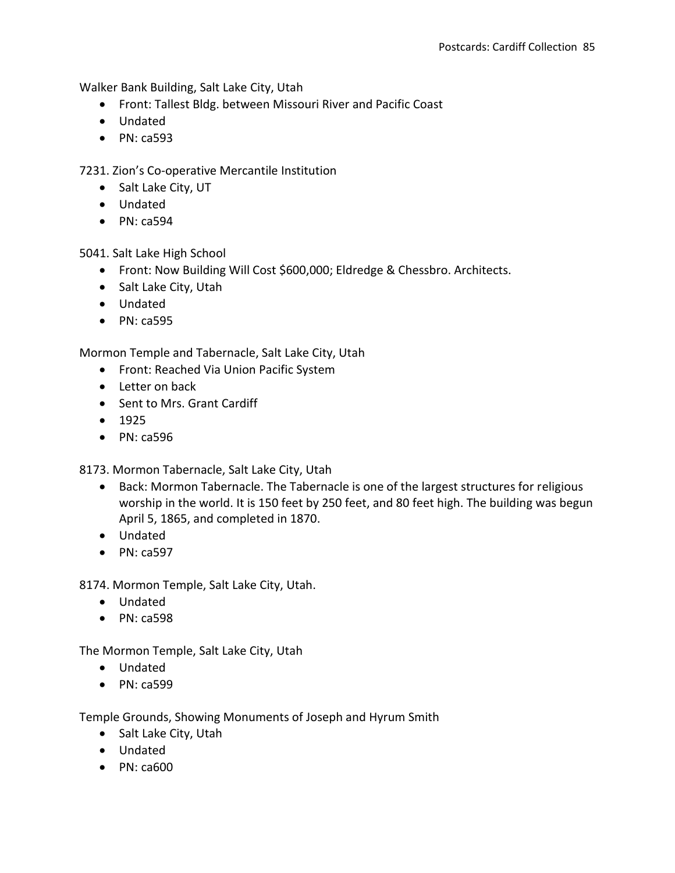Walker Bank Building, Salt Lake City, Utah

- Front: Tallest Bldg. between Missouri River and Pacific Coast
- Undated
- PN: ca593

7231. Zion's Co-operative Mercantile Institution

- Salt Lake City, UT
- Undated
- $\bullet$  PN: ca594

5041. Salt Lake High School

- Front: Now Building Will Cost \$600,000; Eldredge & Chessbro. Architects.
- Salt Lake City, Utah
- Undated
- $\bullet$  PN: ca595

Mormon Temple and Tabernacle, Salt Lake City, Utah

- Front: Reached Via Union Pacific System
- Letter on back
- Sent to Mrs. Grant Cardiff
- $1925$
- PN: ca596

8173. Mormon Tabernacle, Salt Lake City, Utah

- Back: Mormon Tabernacle. The Tabernacle is one of the largest structures for religious worship in the world. It is 150 feet by 250 feet, and 80 feet high. The building was begun April 5, 1865, and completed in 1870.
- Undated
- $\bullet$  PN: ca597

8174. Mormon Temple, Salt Lake City, Utah.

- Undated
- $\bullet$  PN: ca598

The Mormon Temple, Salt Lake City, Utah

- Undated
- PN: ca599

Temple Grounds, Showing Monuments of Joseph and Hyrum Smith

- Salt Lake City, Utah
- Undated
- PN: ca600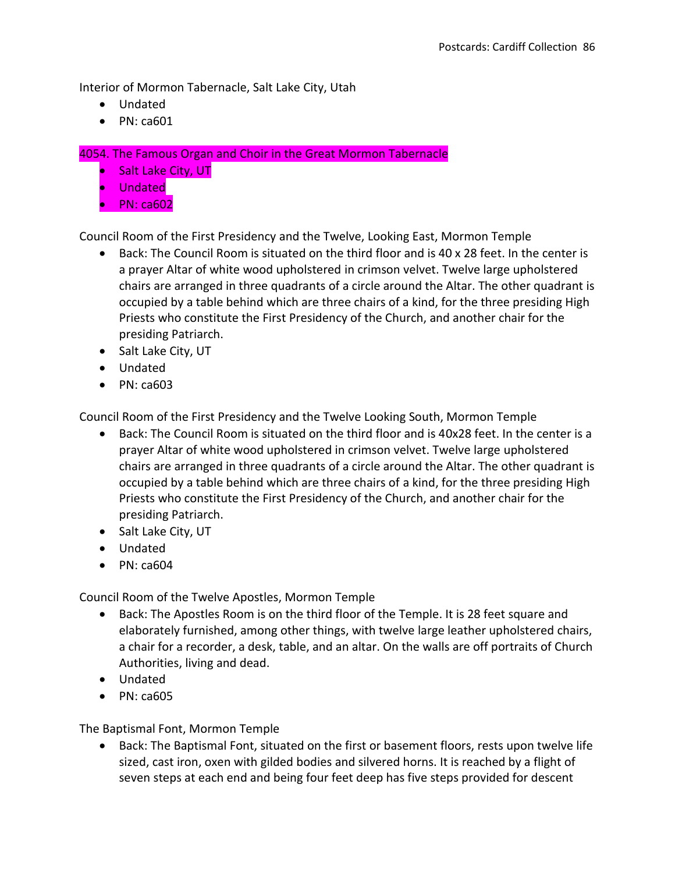Interior of Mormon Tabernacle, Salt Lake City, Utah

- Undated
- PN: ca601

4054. The Famous Organ and Choir in the Great Mormon Tabernacle

- Salt Lake City, UT
- Undated
- $\bullet$  PN: ca602

Council Room of the First Presidency and the Twelve, Looking East, Mormon Temple

- Back: The Council Room is situated on the third floor and is 40 x 28 feet. In the center is a prayer Altar of white wood upholstered in crimson velvet. Twelve large upholstered chairs are arranged in three quadrants of a circle around the Altar. The other quadrant is occupied by a table behind which are three chairs of a kind, for the three presiding High Priests who constitute the First Presidency of the Church, and another chair for the presiding Patriarch.
- Salt Lake City, UT
- Undated
- $\bullet$  PN: ca603

Council Room of the First Presidency and the Twelve Looking South, Mormon Temple

- Back: The Council Room is situated on the third floor and is 40x28 feet. In the center is a prayer Altar of white wood upholstered in crimson velvet. Twelve large upholstered chairs are arranged in three quadrants of a circle around the Altar. The other quadrant is occupied by a table behind which are three chairs of a kind, for the three presiding High Priests who constitute the First Presidency of the Church, and another chair for the presiding Patriarch.
- Salt Lake City, UT
- Undated
- $\bullet$  PN: ca604

Council Room of the Twelve Apostles, Mormon Temple

- Back: The Apostles Room is on the third floor of the Temple. It is 28 feet square and elaborately furnished, among other things, with twelve large leather upholstered chairs, a chair for a recorder, a desk, table, and an altar. On the walls are off portraits of Church Authorities, living and dead.
- Undated
- $\bullet$  PN: ca605

The Baptismal Font, Mormon Temple

• Back: The Baptismal Font, situated on the first or basement floors, rests upon twelve life sized, cast iron, oxen with gilded bodies and silvered horns. It is reached by a flight of seven steps at each end and being four feet deep has five steps provided for descent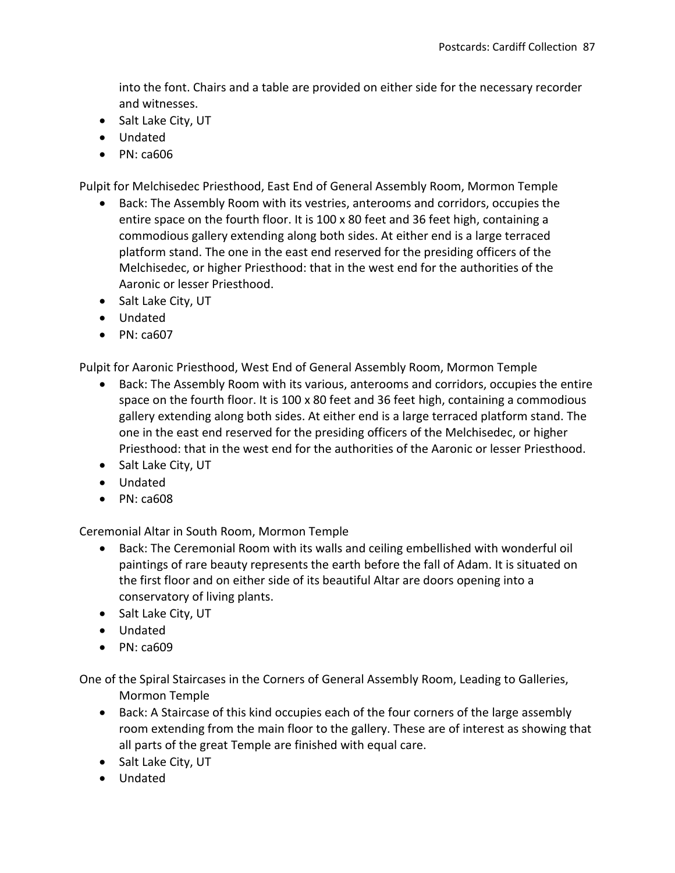into the font. Chairs and a table are provided on either side for the necessary recorder and witnesses.

- Salt Lake City, UT
- Undated
- $\bullet$  PN: ca606

Pulpit for Melchisedec Priesthood, East End of General Assembly Room, Mormon Temple

- Back: The Assembly Room with its vestries, anterooms and corridors, occupies the entire space on the fourth floor. It is 100 x 80 feet and 36 feet high, containing a commodious gallery extending along both sides. At either end is a large terraced platform stand. The one in the east end reserved for the presiding officers of the Melchisedec, or higher Priesthood: that in the west end for the authorities of the Aaronic or lesser Priesthood.
- Salt Lake City, UT
- Undated
- PN: ca607

Pulpit for Aaronic Priesthood, West End of General Assembly Room, Mormon Temple

- Back: The Assembly Room with its various, anterooms and corridors, occupies the entire space on the fourth floor. It is 100 x 80 feet and 36 feet high, containing a commodious gallery extending along both sides. At either end is a large terraced platform stand. The one in the east end reserved for the presiding officers of the Melchisedec, or higher Priesthood: that in the west end for the authorities of the Aaronic or lesser Priesthood.
- Salt Lake City, UT
- Undated
- $\bullet$  PN: ca608

Ceremonial Altar in South Room, Mormon Temple

- Back: The Ceremonial Room with its walls and ceiling embellished with wonderful oil paintings of rare beauty represents the earth before the fall of Adam. It is situated on the first floor and on either side of its beautiful Altar are doors opening into a conservatory of living plants.
- Salt Lake City, UT
- Undated
- $\bullet$  PN: ca609

One of the Spiral Staircases in the Corners of General Assembly Room, Leading to Galleries, Mormon Temple

- Back: A Staircase of this kind occupies each of the four corners of the large assembly room extending from the main floor to the gallery. These are of interest as showing that all parts of the great Temple are finished with equal care.
- Salt Lake City, UT
- Undated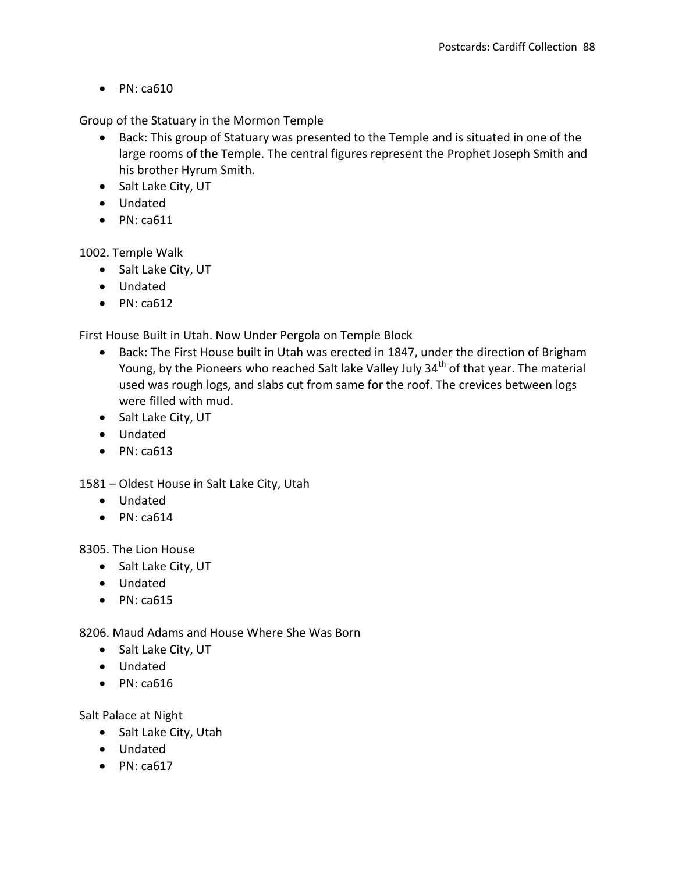$\bullet$  PN: ca610

Group of the Statuary in the Mormon Temple

- Back: This group of Statuary was presented to the Temple and is situated in one of the large rooms of the Temple. The central figures represent the Prophet Joseph Smith and his brother Hyrum Smith.
- Salt Lake City, UT
- Undated
- $\bullet$  PN: ca611

1002. Temple Walk

- Salt Lake City, UT
- Undated
- $\bullet$  PN: ca612

First House Built in Utah. Now Under Pergola on Temple Block

- Back: The First House built in Utah was erected in 1847, under the direction of Brigham Young, by the Pioneers who reached Salt lake Valley July 34<sup>th</sup> of that year. The material used was rough logs, and slabs cut from same for the roof. The crevices between logs were filled with mud.
- Salt Lake City, UT
- Undated
- $\bullet$  PN: ca613

1581 – Oldest House in Salt Lake City, Utah

- Undated
- $\bullet$  PN: ca614

8305. The Lion House

- Salt Lake City, UT
- Undated
- $\bullet$  PN: ca615

8206. Maud Adams and House Where She Was Born

- Salt Lake City, UT
- Undated
- $\bullet$  PN: ca616

Salt Palace at Night

- Salt Lake City, Utah
- Undated
- $\bullet$  PN: ca617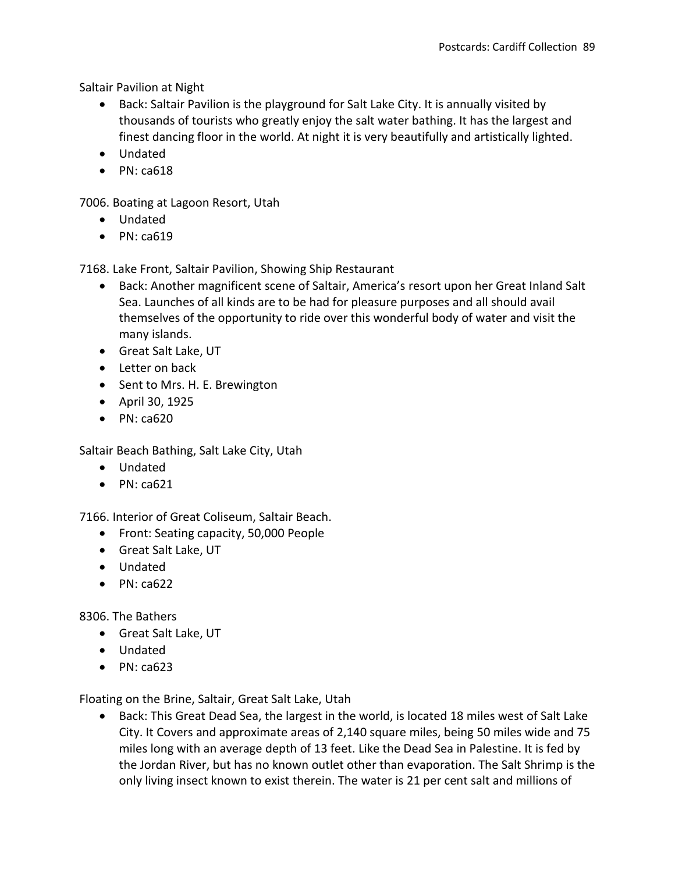Saltair Pavilion at Night

- Back: Saltair Pavilion is the playground for Salt Lake City. It is annually visited by thousands of tourists who greatly enjoy the salt water bathing. It has the largest and finest dancing floor in the world. At night it is very beautifully and artistically lighted.
- Undated
- $\bullet$  PN: ca618

7006. Boating at Lagoon Resort, Utah

- Undated
- $\bullet$  PN: ca619

7168. Lake Front, Saltair Pavilion, Showing Ship Restaurant

- Back: Another magnificent scene of Saltair, America's resort upon her Great Inland Salt Sea. Launches of all kinds are to be had for pleasure purposes and all should avail themselves of the opportunity to ride over this wonderful body of water and visit the many islands.
- Great Salt Lake, UT
- Letter on back
- Sent to Mrs. H. E. Brewington
- April 30, 1925
- PN: ca620

Saltair Beach Bathing, Salt Lake City, Utah

- Undated
- $\bullet$  PN: ca621

7166. Interior of Great Coliseum, Saltair Beach.

- Front: Seating capacity, 50,000 People
- Great Salt Lake, UT
- Undated
- $\bullet$  PN: ca622

8306. The Bathers

- Great Salt Lake, UT
- Undated
- $\bullet$  PN: ca623

Floating on the Brine, Saltair, Great Salt Lake, Utah

 Back: This Great Dead Sea, the largest in the world, is located 18 miles west of Salt Lake City. It Covers and approximate areas of 2,140 square miles, being 50 miles wide and 75 miles long with an average depth of 13 feet. Like the Dead Sea in Palestine. It is fed by the Jordan River, but has no known outlet other than evaporation. The Salt Shrimp is the only living insect known to exist therein. The water is 21 per cent salt and millions of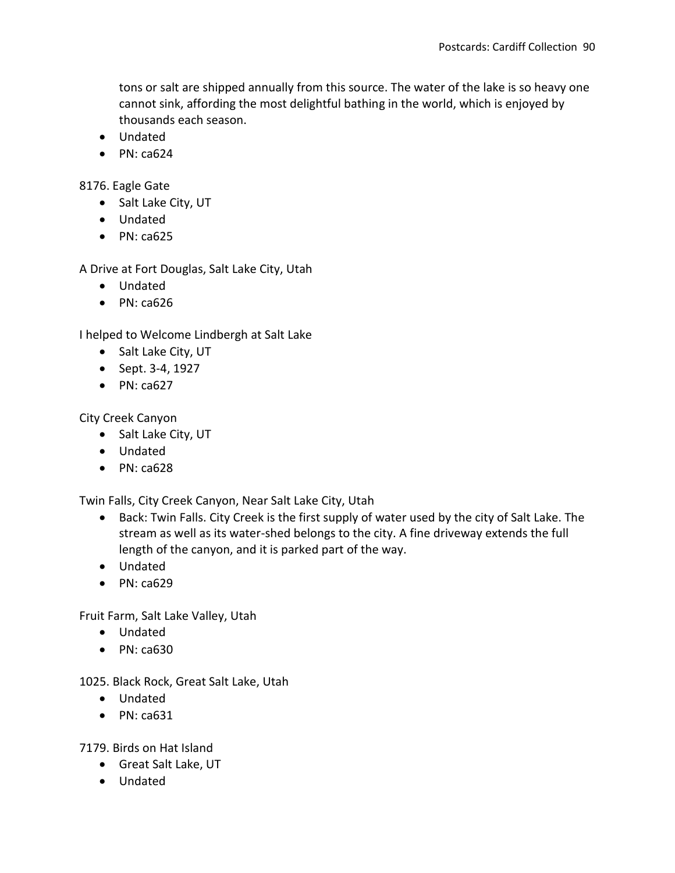tons or salt are shipped annually from this source. The water of the lake is so heavy one cannot sink, affording the most delightful bathing in the world, which is enjoyed by thousands each season.

- Undated
- $\bullet$  PN: ca624

8176. Eagle Gate

- Salt Lake City, UT
- Undated
- $\bullet$  PN: ca625

A Drive at Fort Douglas, Salt Lake City, Utah

- Undated
- $\bullet$  PN: ca626

I helped to Welcome Lindbergh at Salt Lake

- Salt Lake City, UT
- $\bullet$  Sept. 3-4, 1927
- $\bullet$  PN: ca627

City Creek Canyon

- Salt Lake City, UT
- Undated
- $\bullet$  PN: ca628

Twin Falls, City Creek Canyon, Near Salt Lake City, Utah

- Back: Twin Falls. City Creek is the first supply of water used by the city of Salt Lake. The stream as well as its water-shed belongs to the city. A fine driveway extends the full length of the canyon, and it is parked part of the way.
- Undated
- $\bullet$  PN: ca629

Fruit Farm, Salt Lake Valley, Utah

- Undated
- $\bullet$  PN: ca630

1025. Black Rock, Great Salt Lake, Utah

- Undated
- $\bullet$  PN: ca631

7179. Birds on Hat Island

- Great Salt Lake, UT
- Undated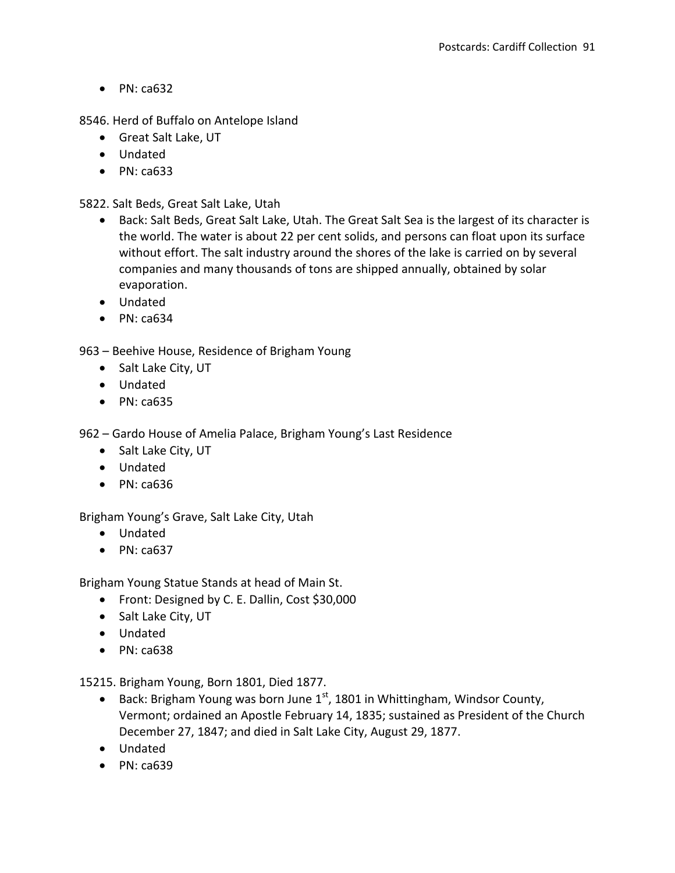$\bullet$  PN: ca632

8546. Herd of Buffalo on Antelope Island

- Great Salt Lake, UT
- Undated
- PN: ca633

5822. Salt Beds, Great Salt Lake, Utah

- Back: Salt Beds, Great Salt Lake, Utah. The Great Salt Sea is the largest of its character is the world. The water is about 22 per cent solids, and persons can float upon its surface without effort. The salt industry around the shores of the lake is carried on by several companies and many thousands of tons are shipped annually, obtained by solar evaporation.
- Undated
- $\bullet$  PN: ca634

963 – Beehive House, Residence of Brigham Young

- Salt Lake City, UT
- Undated
- $\bullet$  PN: ca635

962 – Gardo House of Amelia Palace, Brigham Young's Last Residence

- Salt Lake City, UT
- Undated
- PN: ca636

Brigham Young's Grave, Salt Lake City, Utah

- Undated
- $\bullet$  PN: ca637

Brigham Young Statue Stands at head of Main St.

- Front: Designed by C. E. Dallin, Cost \$30,000
- Salt Lake City, UT
- Undated
- $\bullet$  PN: ca638

15215. Brigham Young, Born 1801, Died 1877.

- **Back: Brigham Young was born June 1st, 1801 in Whittingham, Windsor County,** Vermont; ordained an Apostle February 14, 1835; sustained as President of the Church December 27, 1847; and died in Salt Lake City, August 29, 1877.
- Undated
- PN: ca639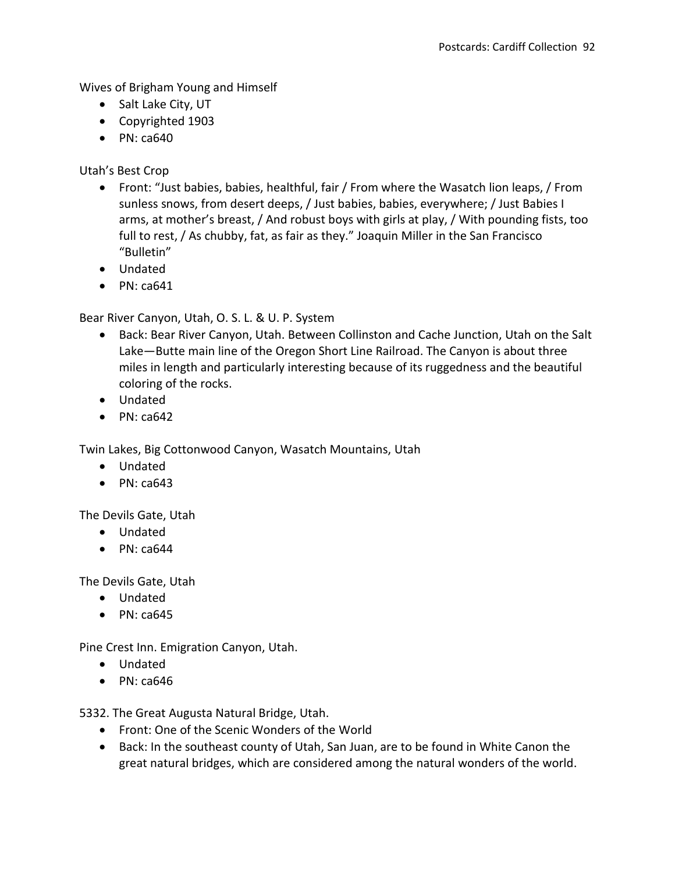Wives of Brigham Young and Himself

- Salt Lake City, UT
- Copyrighted 1903
- $\bullet$  PN: ca640

Utah's Best Crop

- Front: "Just babies, babies, healthful, fair / From where the Wasatch lion leaps, / From sunless snows, from desert deeps, / Just babies, babies, everywhere; / Just Babies I arms, at mother's breast, / And robust boys with girls at play, / With pounding fists, too full to rest, / As chubby, fat, as fair as they." Joaquin Miller in the San Francisco "Bulletin"
- Undated
- $\bullet$  PN: ca641

Bear River Canyon, Utah, O. S. L. & U. P. System

- Back: Bear River Canyon, Utah. Between Collinston and Cache Junction, Utah on the Salt Lake—Butte main line of the Oregon Short Line Railroad. The Canyon is about three miles in length and particularly interesting because of its ruggedness and the beautiful coloring of the rocks.
- Undated
- $\bullet$  PN: ca642

Twin Lakes, Big Cottonwood Canyon, Wasatch Mountains, Utah

- Undated
- $\bullet$  PN: ca643

The Devils Gate, Utah

- Undated
- $\bullet$  PN: ca644

The Devils Gate, Utah

- Undated
- $\bullet$  PN: ca645

Pine Crest Inn. Emigration Canyon, Utah.

- Undated
- $\bullet$  PN: ca646

5332. The Great Augusta Natural Bridge, Utah.

- Front: One of the Scenic Wonders of the World
- Back: In the southeast county of Utah, San Juan, are to be found in White Canon the great natural bridges, which are considered among the natural wonders of the world.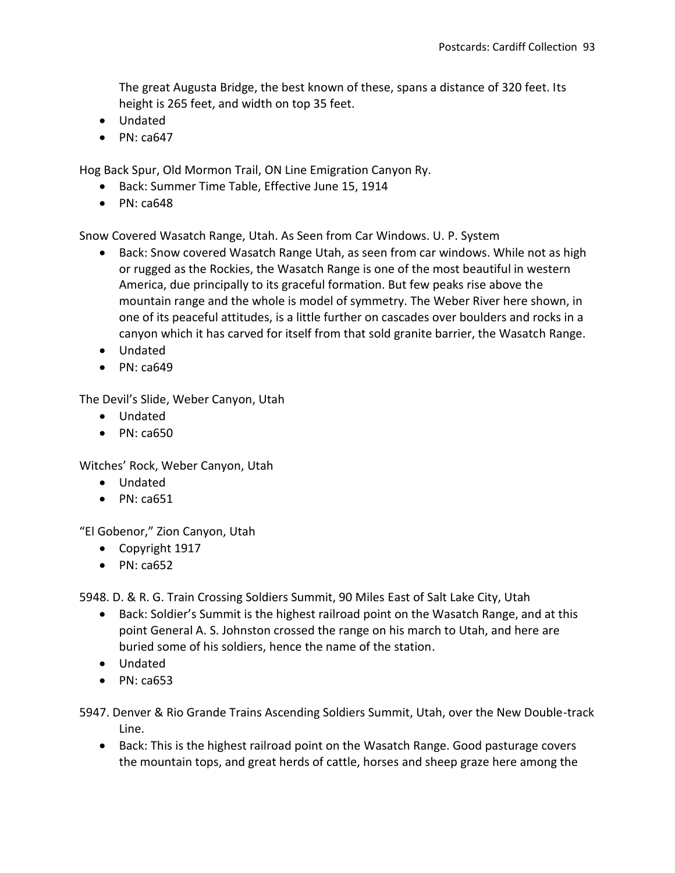The great Augusta Bridge, the best known of these, spans a distance of 320 feet. Its height is 265 feet, and width on top 35 feet.

- Undated
- $\bullet$  PN: ca647

Hog Back Spur, Old Mormon Trail, ON Line Emigration Canyon Ry.

- Back: Summer Time Table, Effective June 15, 1914
- $\bullet$  PN: ca648

Snow Covered Wasatch Range, Utah. As Seen from Car Windows. U. P. System

- Back: Snow covered Wasatch Range Utah, as seen from car windows. While not as high or rugged as the Rockies, the Wasatch Range is one of the most beautiful in western America, due principally to its graceful formation. But few peaks rise above the mountain range and the whole is model of symmetry. The Weber River here shown, in one of its peaceful attitudes, is a little further on cascades over boulders and rocks in a canyon which it has carved for itself from that sold granite barrier, the Wasatch Range.
- Undated
- $\bullet$  PN: ca649

The Devil's Slide, Weber Canyon, Utah

- Undated
- $\bullet$  PN: ca650

Witches' Rock, Weber Canyon, Utah

- Undated
- $\bullet$  PN: ca651

"El Gobenor," Zion Canyon, Utah

- Copyright 1917
- $\bullet$  PN: ca652

5948. D. & R. G. Train Crossing Soldiers Summit, 90 Miles East of Salt Lake City, Utah

- Back: Soldier's Summit is the highest railroad point on the Wasatch Range, and at this point General A. S. Johnston crossed the range on his march to Utah, and here are buried some of his soldiers, hence the name of the station.
- Undated
- $\bullet$  PN: ca653

5947. Denver & Rio Grande Trains Ascending Soldiers Summit, Utah, over the New Double-track Line.

• Back: This is the highest railroad point on the Wasatch Range. Good pasturage covers the mountain tops, and great herds of cattle, horses and sheep graze here among the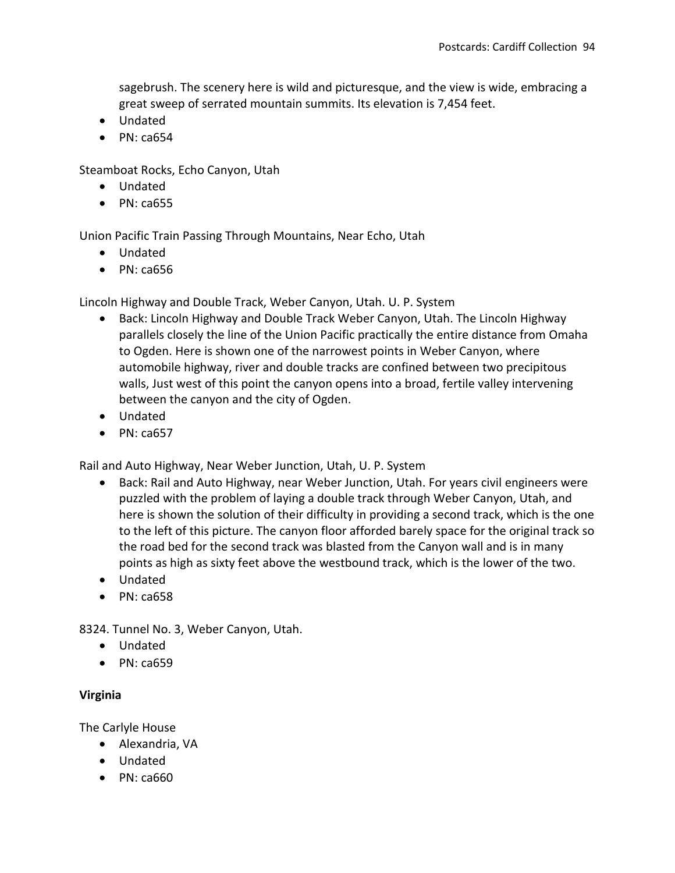sagebrush. The scenery here is wild and picturesque, and the view is wide, embracing a great sweep of serrated mountain summits. Its elevation is 7,454 feet.

- Undated
- $\bullet$  PN: ca654

Steamboat Rocks, Echo Canyon, Utah

- Undated
- $\bullet$  PN: ca655

Union Pacific Train Passing Through Mountains, Near Echo, Utah

- Undated
- $\bullet$  PN: ca656

Lincoln Highway and Double Track, Weber Canyon, Utah. U. P. System

- Back: Lincoln Highway and Double Track Weber Canyon, Utah. The Lincoln Highway parallels closely the line of the Union Pacific practically the entire distance from Omaha to Ogden. Here is shown one of the narrowest points in Weber Canyon, where automobile highway, river and double tracks are confined between two precipitous walls, Just west of this point the canyon opens into a broad, fertile valley intervening between the canyon and the city of Ogden.
- Undated
- $\bullet$  PN: ca657

Rail and Auto Highway, Near Weber Junction, Utah, U. P. System

- Back: Rail and Auto Highway, near Weber Junction, Utah. For years civil engineers were puzzled with the problem of laying a double track through Weber Canyon, Utah, and here is shown the solution of their difficulty in providing a second track, which is the one to the left of this picture. The canyon floor afforded barely space for the original track so the road bed for the second track was blasted from the Canyon wall and is in many points as high as sixty feet above the westbound track, which is the lower of the two.
- Undated
- $\bullet$  PN: ca658

8324. Tunnel No. 3, Weber Canyon, Utah.

- Undated
- $\bullet$  PN: ca659

# **Virginia**

The Carlyle House

- Alexandria, VA
- Undated
- PN: ca660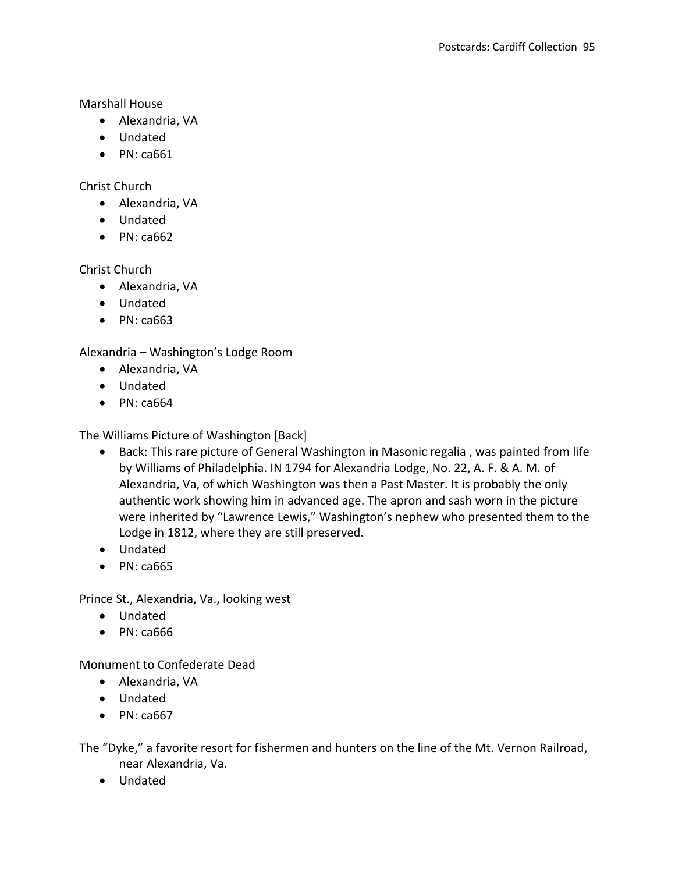Marshall House

- Alexandria, VA
- Undated
- $\bullet$  PN: ca661

Christ Church

- Alexandria, VA
- Undated
- $\bullet$  PN: ca662

Christ Church

- Alexandria, VA
- Undated
- PN: ca663

Alexandria – Washington's Lodge Room

- Alexandria, VA
- Undated
- $\bullet$  PN: ca664

The Williams Picture of Washington [Back]

- Back: This rare picture of General Washington in Masonic regalia , was painted from life by Williams of Philadelphia. IN 1794 for Alexandria Lodge, No. 22, A. F. & A. M. of Alexandria, Va, of which Washington was then a Past Master. It is probably the only authentic work showing him in advanced age. The apron and sash worn in the picture were inherited by "Lawrence Lewis," Washington's nephew who presented them to the Lodge in 1812, where they are still preserved.
- Undated
- PN: ca665

Prince St., Alexandria, Va., looking west

- Undated
- PN: ca666

Monument to Confederate Dead

- Alexandria, VA
- Undated
- $\bullet$  PN: ca667

The "Dyke," a favorite resort for fishermen and hunters on the line of the Mt. Vernon Railroad, near Alexandria, Va.

Undated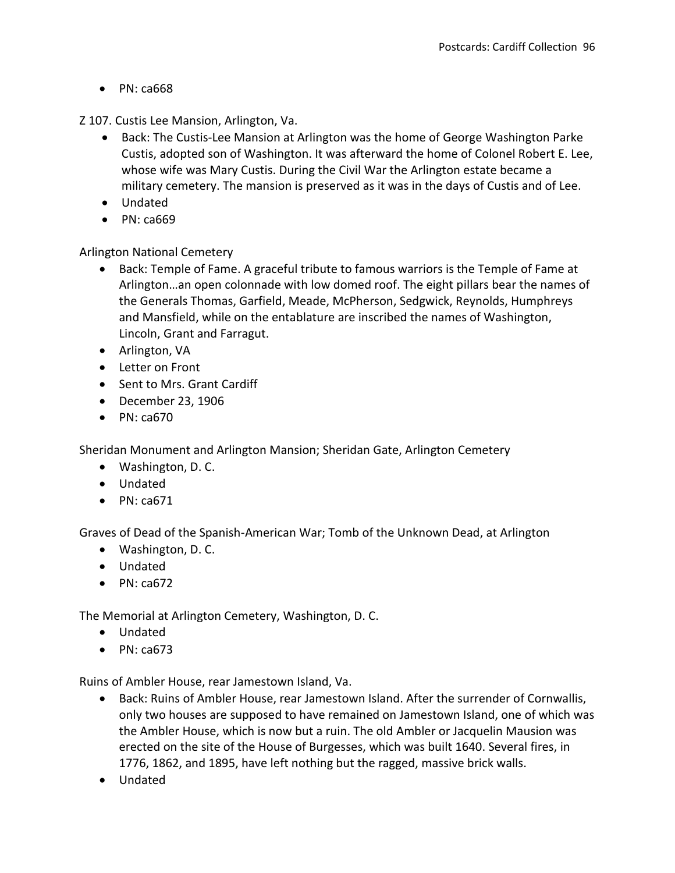• PN: ca668

Z 107. Custis Lee Mansion, Arlington, Va.

- Back: The Custis-Lee Mansion at Arlington was the home of George Washington Parke Custis, adopted son of Washington. It was afterward the home of Colonel Robert E. Lee, whose wife was Mary Custis. During the Civil War the Arlington estate became a military cemetery. The mansion is preserved as it was in the days of Custis and of Lee.
- Undated
- PN: ca669

Arlington National Cemetery

- Back: Temple of Fame. A graceful tribute to famous warriors is the Temple of Fame at Arlington…an open colonnade with low domed roof. The eight pillars bear the names of the Generals Thomas, Garfield, Meade, McPherson, Sedgwick, Reynolds, Humphreys and Mansfield, while on the entablature are inscribed the names of Washington, Lincoln, Grant and Farragut.
- Arlington, VA
- Letter on Front
- Sent to Mrs. Grant Cardiff
- December 23, 1906
- PN: ca670

Sheridan Monument and Arlington Mansion; Sheridan Gate, Arlington Cemetery

- Washington, D. C.
- Undated
- $\bullet$  PN: ca671

Graves of Dead of the Spanish-American War; Tomb of the Unknown Dead, at Arlington

- Washington, D. C.
- Undated
- $\bullet$  PN: ca672

The Memorial at Arlington Cemetery, Washington, D. C.

- Undated
- PN: ca673

Ruins of Ambler House, rear Jamestown Island, Va.

- Back: Ruins of Ambler House, rear Jamestown Island. After the surrender of Cornwallis, only two houses are supposed to have remained on Jamestown Island, one of which was the Ambler House, which is now but a ruin. The old Ambler or Jacquelin Mausion was erected on the site of the House of Burgesses, which was built 1640. Several fires, in 1776, 1862, and 1895, have left nothing but the ragged, massive brick walls.
- Undated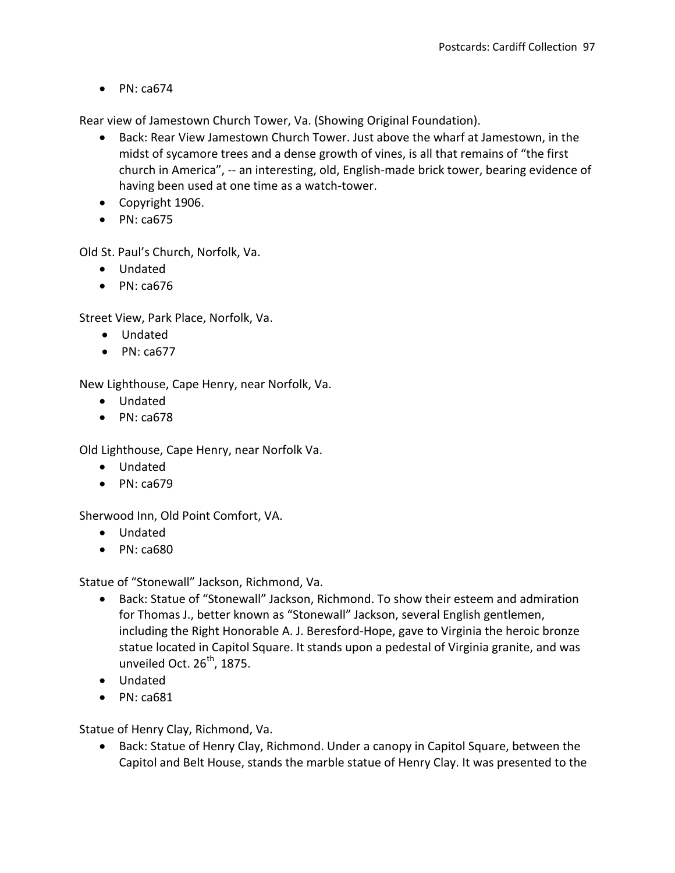$\bullet$  PN: ca674

Rear view of Jamestown Church Tower, Va. (Showing Original Foundation).

- Back: Rear View Jamestown Church Tower. Just above the wharf at Jamestown, in the midst of sycamore trees and a dense growth of vines, is all that remains of "the first church in America", -- an interesting, old, English-made brick tower, bearing evidence of having been used at one time as a watch-tower.
- Copyright 1906.
- $\bullet$  PN: ca675

Old St. Paul's Church, Norfolk, Va.

- Undated
- PN: ca676

Street View, Park Place, Norfolk, Va.

- Undated
- $\bullet$  PN: ca677

New Lighthouse, Cape Henry, near Norfolk, Va.

- Undated
- $\bullet$  PN: ca678

Old Lighthouse, Cape Henry, near Norfolk Va.

- Undated
- $\bullet$  PN: ca679

Sherwood Inn, Old Point Comfort, VA.

- Undated
- PN: ca680

Statue of "Stonewall" Jackson, Richmond, Va.

- Back: Statue of "Stonewall" Jackson, Richmond. To show their esteem and admiration for Thomas J., better known as "Stonewall" Jackson, several English gentlemen, including the Right Honorable A. J. Beresford-Hope, gave to Virginia the heroic bronze statue located in Capitol Square. It stands upon a pedestal of Virginia granite, and was unveiled Oct.  $26^{th}$ , 1875.
- Undated
- PN: ca681

Statue of Henry Clay, Richmond, Va.

 Back: Statue of Henry Clay, Richmond. Under a canopy in Capitol Square, between the Capitol and Belt House, stands the marble statue of Henry Clay. It was presented to the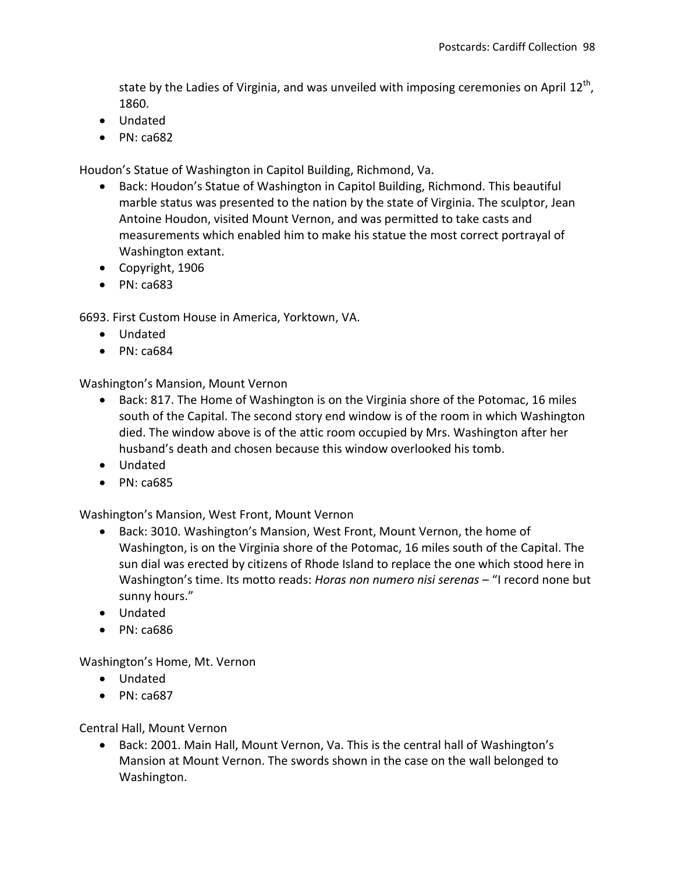state by the Ladies of Virginia, and was unveiled with imposing ceremonies on April  $12^{\text{th}}$ , 1860.

- Undated
- $\bullet$  PN: ca682

Houdon's Statue of Washington in Capitol Building, Richmond, Va.

- Back: Houdon's Statue of Washington in Capitol Building, Richmond. This beautiful marble status was presented to the nation by the state of Virginia. The sculptor, Jean Antoine Houdon, visited Mount Vernon, and was permitted to take casts and measurements which enabled him to make his statue the most correct portrayal of Washington extant.
- Copyright, 1906
- $\bullet$  PN: ca683

6693. First Custom House in America, Yorktown, VA.

- Undated
- $\bullet$  PN: ca684

Washington's Mansion, Mount Vernon

- Back: 817. The Home of Washington is on the Virginia shore of the Potomac, 16 miles south of the Capital. The second story end window is of the room in which Washington died. The window above is of the attic room occupied by Mrs. Washington after her husband's death and chosen because this window overlooked his tomb.
- Undated
- PN: ca685

Washington's Mansion, West Front, Mount Vernon

- Back: 3010. Washington's Mansion, West Front, Mount Vernon, the home of Washington, is on the Virginia shore of the Potomac, 16 miles south of the Capital. The sun dial was erected by citizens of Rhode Island to replace the one which stood here in Washington's time. Its motto reads: *Horas non numero nisi serenas* – "I record none but sunny hours."
- Undated
- $\bullet$  PN: ca686

Washington's Home, Mt. Vernon

- Undated
- $\bullet$  PN: ca687

Central Hall, Mount Vernon

 Back: 2001. Main Hall, Mount Vernon, Va. This is the central hall of Washington's Mansion at Mount Vernon. The swords shown in the case on the wall belonged to Washington.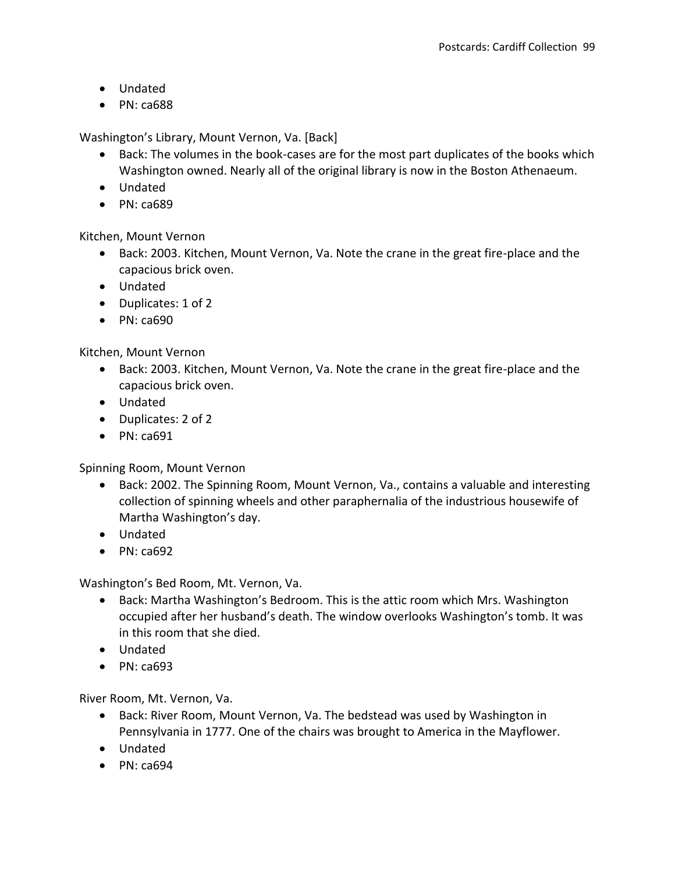- Undated
- $\bullet$  PN: ca688

Washington's Library, Mount Vernon, Va. [Back]

- Back: The volumes in the book-cases are for the most part duplicates of the books which Washington owned. Nearly all of the original library is now in the Boston Athenaeum.
- Undated
- $\bullet$  PN: ca689

Kitchen, Mount Vernon

- Back: 2003. Kitchen, Mount Vernon, Va. Note the crane in the great fire-place and the capacious brick oven.
- Undated
- Duplicates: 1 of 2
- $\bullet$  PN: ca690

Kitchen, Mount Vernon

- Back: 2003. Kitchen, Mount Vernon, Va. Note the crane in the great fire-place and the capacious brick oven.
- Undated
- Duplicates: 2 of 2
- PN: ca691

Spinning Room, Mount Vernon

- Back: 2002. The Spinning Room, Mount Vernon, Va., contains a valuable and interesting collection of spinning wheels and other paraphernalia of the industrious housewife of Martha Washington's day.
- Undated
- $\bullet$  PN: ca692

Washington's Bed Room, Mt. Vernon, Va.

- Back: Martha Washington's Bedroom. This is the attic room which Mrs. Washington occupied after her husband's death. The window overlooks Washington's tomb. It was in this room that she died.
- Undated
- PN: ca693

River Room, Mt. Vernon, Va.

- Back: River Room, Mount Vernon, Va. The bedstead was used by Washington in Pennsylvania in 1777. One of the chairs was brought to America in the Mayflower.
- Undated
- $\bullet$  PN: ca694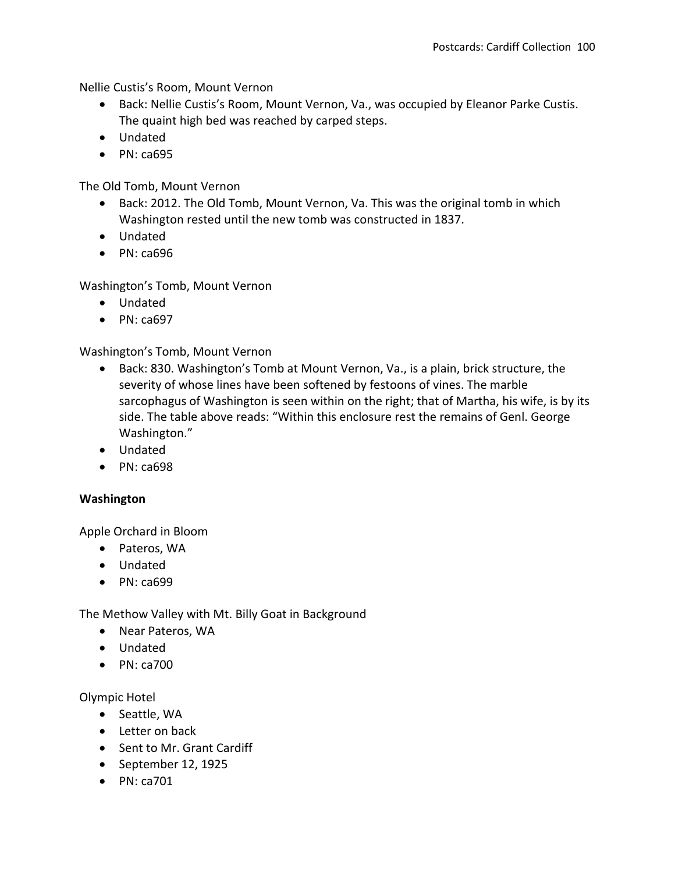Nellie Custis's Room, Mount Vernon

- Back: Nellie Custis's Room, Mount Vernon, Va., was occupied by Eleanor Parke Custis. The quaint high bed was reached by carped steps.
- Undated
- $\bullet$  PN: ca695

The Old Tomb, Mount Vernon

- Back: 2012. The Old Tomb, Mount Vernon, Va. This was the original tomb in which Washington rested until the new tomb was constructed in 1837.
- Undated
- PN: ca696

Washington's Tomb, Mount Vernon

- Undated
- PN: ca697

Washington's Tomb, Mount Vernon

- Back: 830. Washington's Tomb at Mount Vernon, Va., is a plain, brick structure, the severity of whose lines have been softened by festoons of vines. The marble sarcophagus of Washington is seen within on the right; that of Martha, his wife, is by its side. The table above reads: "Within this enclosure rest the remains of Genl. George Washington."
- Undated
- $\bullet$  PN: ca698

# **Washington**

Apple Orchard in Bloom

- Pateros, WA
- Undated
- PN: ca699

The Methow Valley with Mt. Billy Goat in Background

- Near Pateros, WA
- Undated
- $\bullet$  PN: ca700

Olympic Hotel

- Seattle, WA
- Letter on back
- Sent to Mr. Grant Cardiff
- September 12, 1925
- $\bullet$  PN: ca701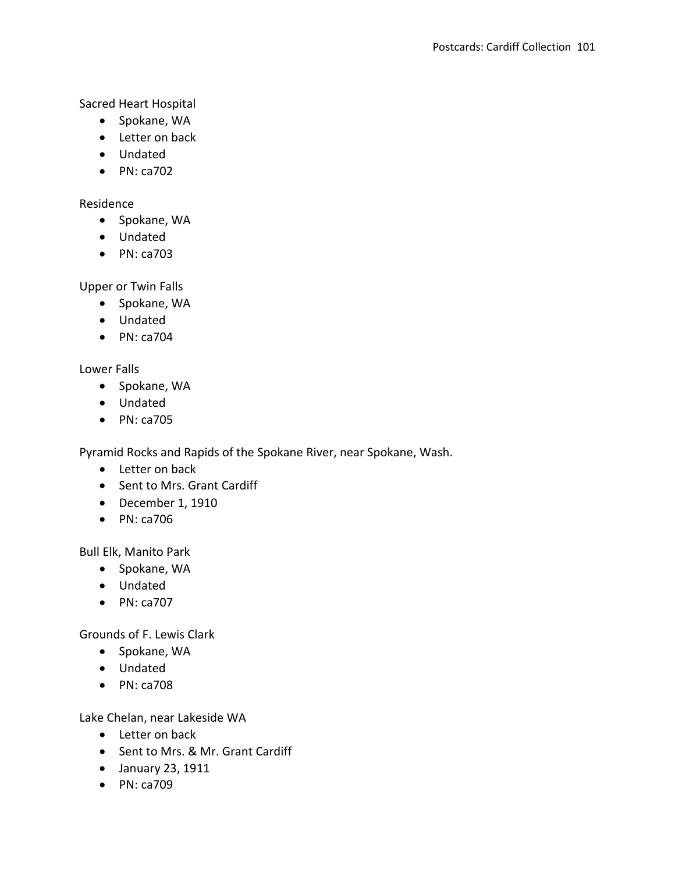Sacred Heart Hospital

- Spokane, WA
- Letter on back
- Undated
- $\bullet$  PN: ca702

## Residence

- Spokane, WA
- Undated
- PN: ca703

## Upper or Twin Falls

- Spokane, WA
- Undated
- $\bullet$  PN: ca704

## Lower Falls

- Spokane, WA
- Undated
- PN: ca705

Pyramid Rocks and Rapids of the Spokane River, near Spokane, Wash.

- Letter on back
- Sent to Mrs. Grant Cardiff
- December 1, 1910
- PN: ca706

Bull Elk, Manito Park

- Spokane, WA
- Undated
- PN: ca707

Grounds of F. Lewis Clark

- Spokane, WA
- Undated
- PN: ca708

Lake Chelan, near Lakeside WA

- Letter on back
- Sent to Mrs. & Mr. Grant Cardiff
- January 23, 1911
- PN: ca709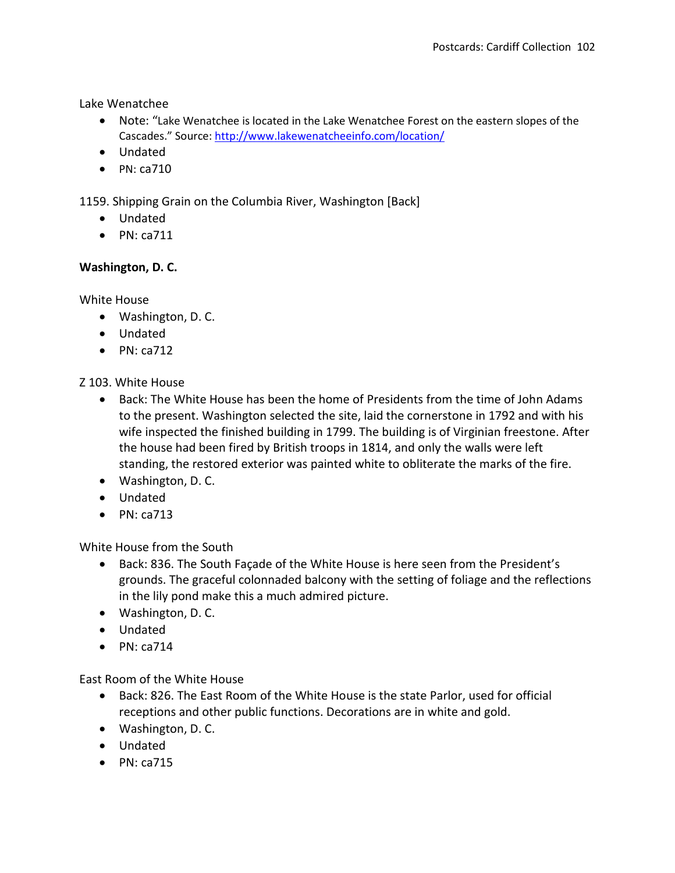Lake Wenatchee

- Note: "Lake Wenatchee is located in the Lake Wenatchee Forest on the eastern slopes of the Cascades." Source: <http://www.lakewenatcheeinfo.com/location/>
- Undated
- $\bullet$  PN: ca710

1159. Shipping Grain on the Columbia River, Washington [Back]

- Undated
- $\bullet$  PN: ca711

# **Washington, D. C.**

White House

- Washington, D. C.
- Undated
- $\bullet$  PN: ca712

Z 103. White House

- Back: The White House has been the home of Presidents from the time of John Adams to the present. Washington selected the site, laid the cornerstone in 1792 and with his wife inspected the finished building in 1799. The building is of Virginian freestone. After the house had been fired by British troops in 1814, and only the walls were left standing, the restored exterior was painted white to obliterate the marks of the fire.
- Washington, D. C.
- Undated
- $\bullet$  PN: ca713

White House from the South

- Back: 836. The South Façade of the White House is here seen from the President's grounds. The graceful colonnaded balcony with the setting of foliage and the reflections in the lily pond make this a much admired picture.
- Washington, D. C.
- Undated
- $\bullet$  PN: ca714

East Room of the White House

- Back: 826. The East Room of the White House is the state Parlor, used for official receptions and other public functions. Decorations are in white and gold.
- Washington, D. C.
- Undated
- $\bullet$  PN: ca715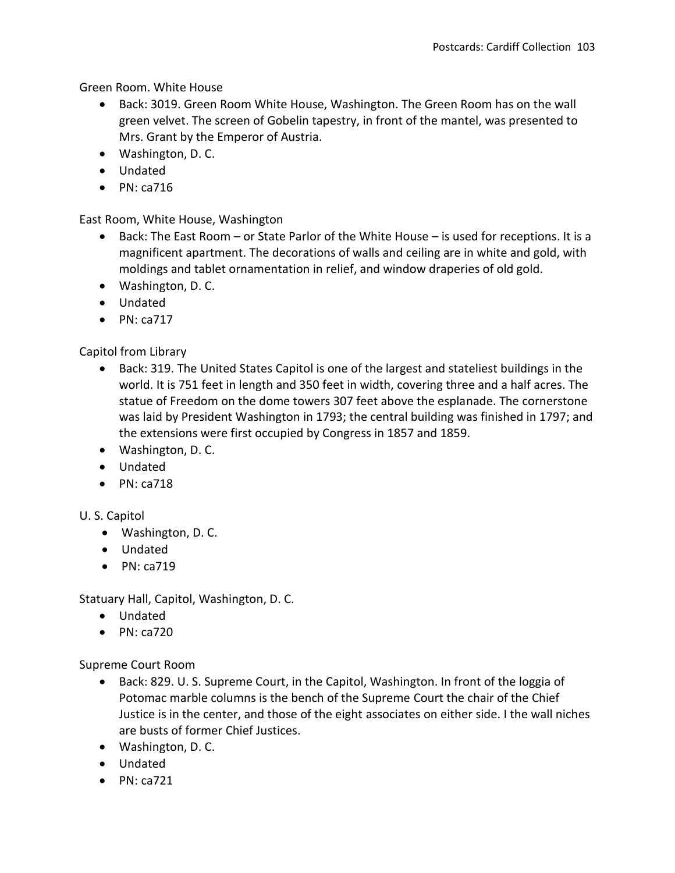Green Room. White House

- Back: 3019. Green Room White House, Washington. The Green Room has on the wall green velvet. The screen of Gobelin tapestry, in front of the mantel, was presented to Mrs. Grant by the Emperor of Austria.
- Washington, D. C.
- Undated
- $\bullet$  PN: ca716

East Room, White House, Washington

- Back: The East Room or State Parlor of the White House is used for receptions. It is a magnificent apartment. The decorations of walls and ceiling are in white and gold, with moldings and tablet ornamentation in relief, and window draperies of old gold.
- Washington, D. C.
- Undated
- $\bullet$  PN: ca717

Capitol from Library

- Back: 319. The United States Capitol is one of the largest and stateliest buildings in the world. It is 751 feet in length and 350 feet in width, covering three and a half acres. The statue of Freedom on the dome towers 307 feet above the esplanade. The cornerstone was laid by President Washington in 1793; the central building was finished in 1797; and the extensions were first occupied by Congress in 1857 and 1859.
- Washington, D. C.
- Undated
- $\bullet$  PN: ca718

U. S. Capitol

- Washington, D. C.
- Undated
- $\bullet$  PN: ca719

Statuary Hall, Capitol, Washington, D. C.

- Undated
- $\bullet$  PN: ca720

Supreme Court Room

- Back: 829. U. S. Supreme Court, in the Capitol, Washington. In front of the loggia of Potomac marble columns is the bench of the Supreme Court the chair of the Chief Justice is in the center, and those of the eight associates on either side. I the wall niches are busts of former Chief Justices.
- Washington, D. C.
- Undated
- $\bullet$  PN: ca721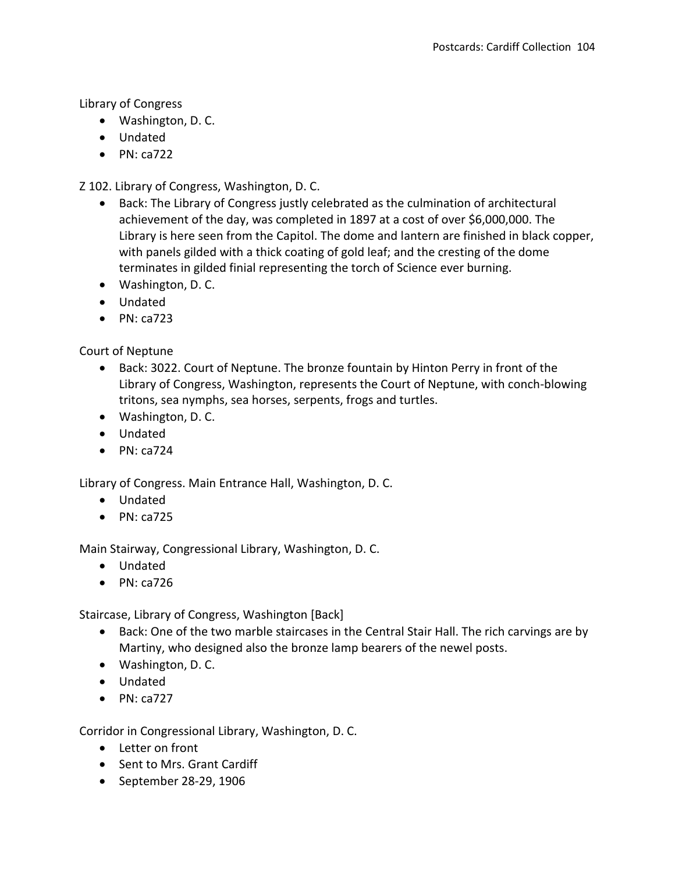Library of Congress

- Washington, D. C.
- Undated
- $\bullet$  PN: ca722

Z 102. Library of Congress, Washington, D. C.

- Back: The Library of Congress justly celebrated as the culmination of architectural achievement of the day, was completed in 1897 at a cost of over \$6,000,000. The Library is here seen from the Capitol. The dome and lantern are finished in black copper, with panels gilded with a thick coating of gold leaf; and the cresting of the dome terminates in gilded finial representing the torch of Science ever burning.
- Washington, D. C.
- Undated
- $\bullet$  PN: ca723

Court of Neptune

- Back: 3022. Court of Neptune. The bronze fountain by Hinton Perry in front of the Library of Congress, Washington, represents the Court of Neptune, with conch-blowing tritons, sea nymphs, sea horses, serpents, frogs and turtles.
- Washington, D. C.
- Undated
- $\bullet$  PN: ca724

Library of Congress. Main Entrance Hall, Washington, D. C.

- Undated
- $\bullet$  PN: ca725

Main Stairway, Congressional Library, Washington, D. C.

- Undated
- $\bullet$  PN: ca726

Staircase, Library of Congress, Washington [Back]

- Back: One of the two marble staircases in the Central Stair Hall. The rich carvings are by Martiny, who designed also the bronze lamp bearers of the newel posts.
- Washington, D. C.
- Undated
- $\bullet$  PN: ca727

Corridor in Congressional Library, Washington, D. C.

- Letter on front
- Sent to Mrs. Grant Cardiff
- September 28-29, 1906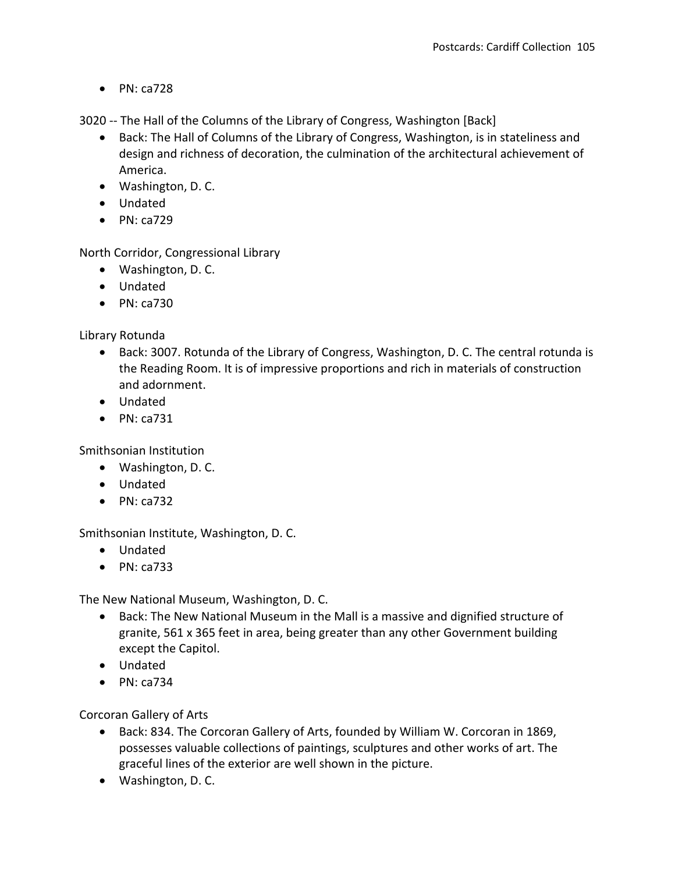$\bullet$  PN: ca728

3020 -- The Hall of the Columns of the Library of Congress, Washington [Back]

- Back: The Hall of Columns of the Library of Congress, Washington, is in stateliness and design and richness of decoration, the culmination of the architectural achievement of America.
- Washington, D. C.
- Undated
- $\bullet$  PN: ca729

North Corridor, Congressional Library

- Washington, D. C.
- Undated
- $\bullet$  PN: ca730

Library Rotunda

- Back: 3007. Rotunda of the Library of Congress, Washington, D. C. The central rotunda is the Reading Room. It is of impressive proportions and rich in materials of construction and adornment.
- Undated
- $\bullet$  PN: ca731

Smithsonian Institution

- Washington, D. C.
- Undated
- $\bullet$  PN: ca732

Smithsonian Institute, Washington, D. C.

- Undated
- $\bullet$  PN: ca733

The New National Museum, Washington, D. C.

- Back: The New National Museum in the Mall is a massive and dignified structure of granite, 561 x 365 feet in area, being greater than any other Government building except the Capitol.
- Undated
- $\bullet$  PN: ca734

Corcoran Gallery of Arts

- Back: 834. The Corcoran Gallery of Arts, founded by William W. Corcoran in 1869, possesses valuable collections of paintings, sculptures and other works of art. The graceful lines of the exterior are well shown in the picture.
- Washington, D. C.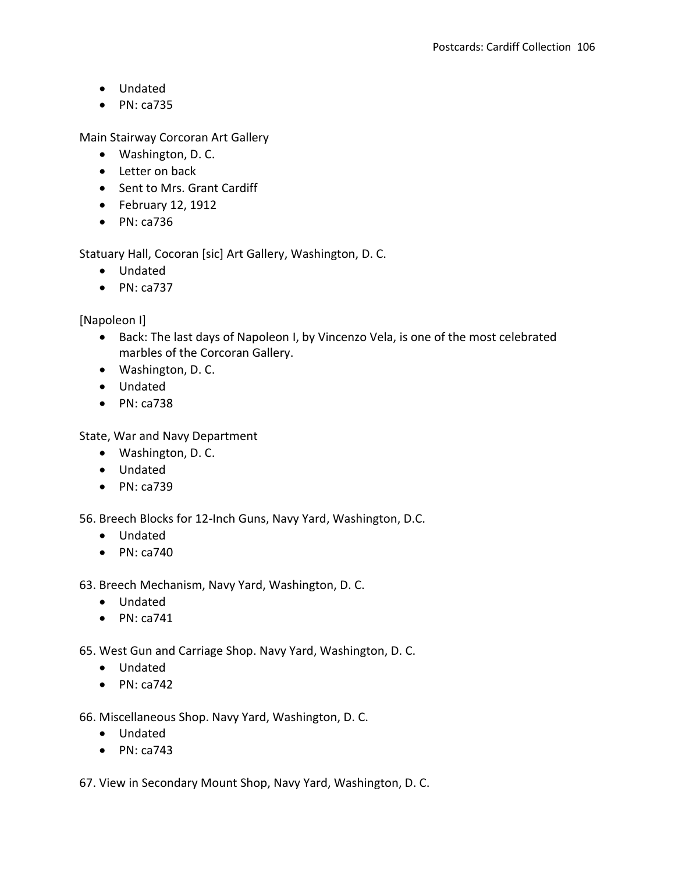- Undated
- $\bullet$  PN: ca735

Main Stairway Corcoran Art Gallery

- Washington, D. C.
- Letter on back
- Sent to Mrs. Grant Cardiff
- $\bullet$  February 12, 1912
- $\bullet$  PN: ca736

Statuary Hall, Cocoran [sic] Art Gallery, Washington, D. C.

- Undated
- $\bullet$  PN: ca737

[Napoleon I]

- Back: The last days of Napoleon I, by Vincenzo Vela, is one of the most celebrated marbles of the Corcoran Gallery.
- Washington, D. C.
- Undated
- $\bullet$  PN: ca738

State, War and Navy Department

- Washington, D. C.
- Undated
- PN: ca739

56. Breech Blocks for 12-Inch Guns, Navy Yard, Washington, D.C.

- Undated
- $\bullet$  PN: ca740

63. Breech Mechanism, Navy Yard, Washington, D. C.

- Undated
- $\bullet$  PN: ca741

65. West Gun and Carriage Shop. Navy Yard, Washington, D. C.

- Undated
- $\bullet$  PN: ca742

66. Miscellaneous Shop. Navy Yard, Washington, D. C.

- Undated
- $\bullet$  PN: ca743

67. View in Secondary Mount Shop, Navy Yard, Washington, D. C.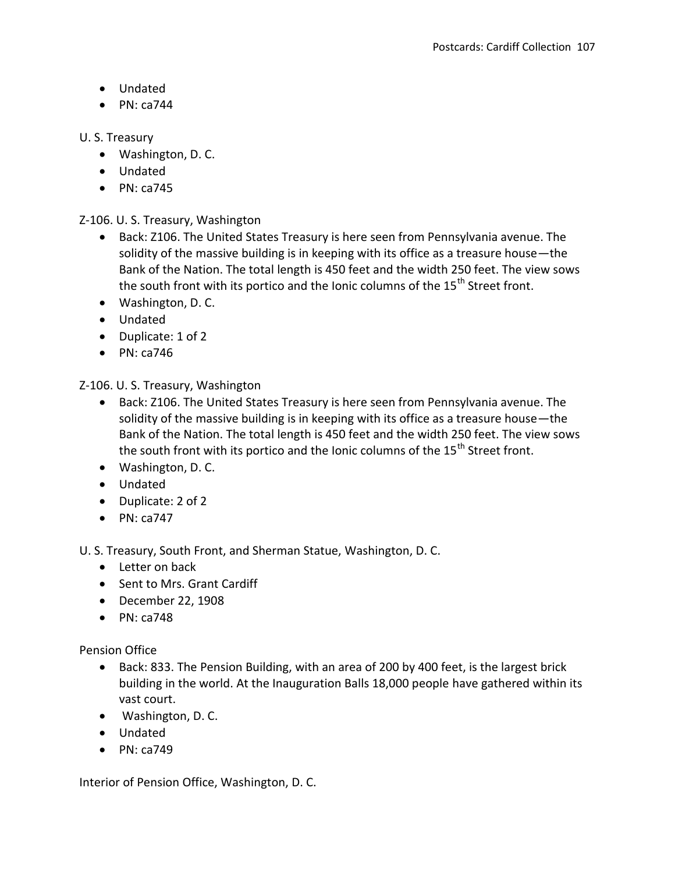- Undated
- $\bullet$  PN: ca744

## U. S. Treasury

- Washington, D. C.
- Undated
- $\bullet$  PN: ca745

Z-106. U. S. Treasury, Washington

- Back: Z106. The United States Treasury is here seen from Pennsylvania avenue. The solidity of the massive building is in keeping with its office as a treasure house—the Bank of the Nation. The total length is 450 feet and the width 250 feet. The view sows the south front with its portico and the Ionic columns of the 15<sup>th</sup> Street front.
- Washington, D. C.
- Undated
- Duplicate: 1 of 2
- $\bullet$  PN: ca746

Z-106. U. S. Treasury, Washington

- Back: Z106. The United States Treasury is here seen from Pennsylvania avenue. The solidity of the massive building is in keeping with its office as a treasure house—the Bank of the Nation. The total length is 450 feet and the width 250 feet. The view sows the south front with its portico and the Ionic columns of the  $15<sup>th</sup>$  Street front.
- Washington, D. C.
- Undated
- Duplicate: 2 of 2
- $\bullet$  PN: ca747

U. S. Treasury, South Front, and Sherman Statue, Washington, D. C.

- Letter on back
- Sent to Mrs. Grant Cardiff
- December 22, 1908
- $\bullet$  PN: ca748

Pension Office

- Back: 833. The Pension Building, with an area of 200 by 400 feet, is the largest brick building in the world. At the Inauguration Balls 18,000 people have gathered within its vast court.
- Washington, D. C.
- Undated
- $\bullet$  PN: ca749

Interior of Pension Office, Washington, D. C.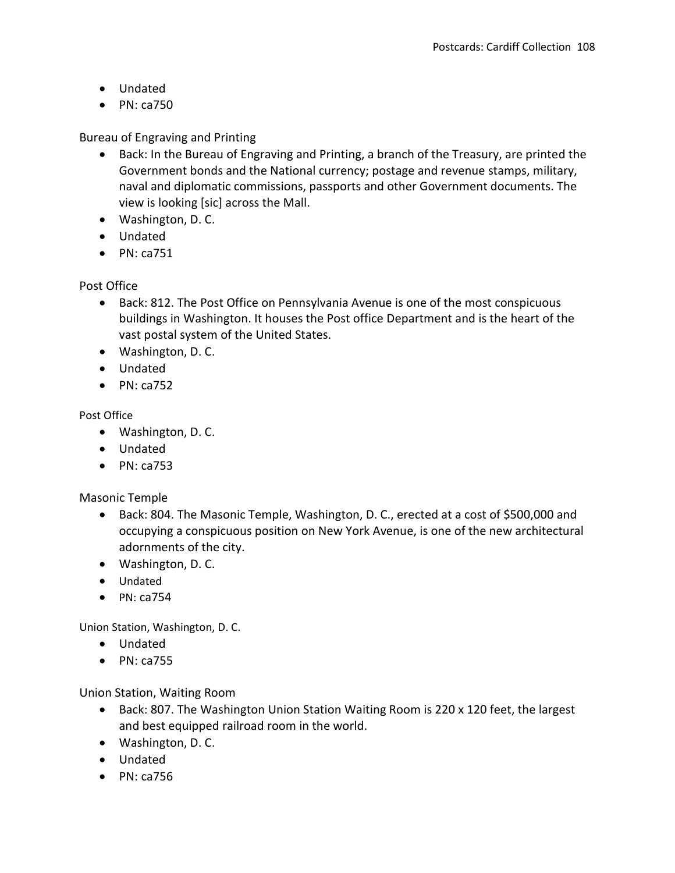- Undated
- $\bullet$  PN: ca750

Bureau of Engraving and Printing

- Back: In the Bureau of Engraving and Printing, a branch of the Treasury, are printed the Government bonds and the National currency; postage and revenue stamps, military, naval and diplomatic commissions, passports and other Government documents. The view is looking [sic] across the Mall.
- Washington, D. C.
- Undated
- $\bullet$  PN: ca751

# Post Office

- Back: 812. The Post Office on Pennsylvania Avenue is one of the most conspicuous buildings in Washington. It houses the Post office Department and is the heart of the vast postal system of the United States.
- Washington, D. C.
- Undated
- $\bullet$  PN: ca752

## Post Office

- Washington, D. C.
- Undated
- $\bullet$  PN: ca753

Masonic Temple

- Back: 804. The Masonic Temple, Washington, D. C., erected at a cost of \$500,000 and occupying a conspicuous position on New York Avenue, is one of the new architectural adornments of the city.
- Washington, D. C.
- Undated
- $\bullet$  PN: ca754

Union Station, Washington, D. C.

- Undated
- $\bullet$  PN: ca755

Union Station, Waiting Room

- Back: 807. The Washington Union Station Waiting Room is 220 x 120 feet, the largest and best equipped railroad room in the world.
- Washington, D. C.
- Undated
- $\bullet$  PN: ca756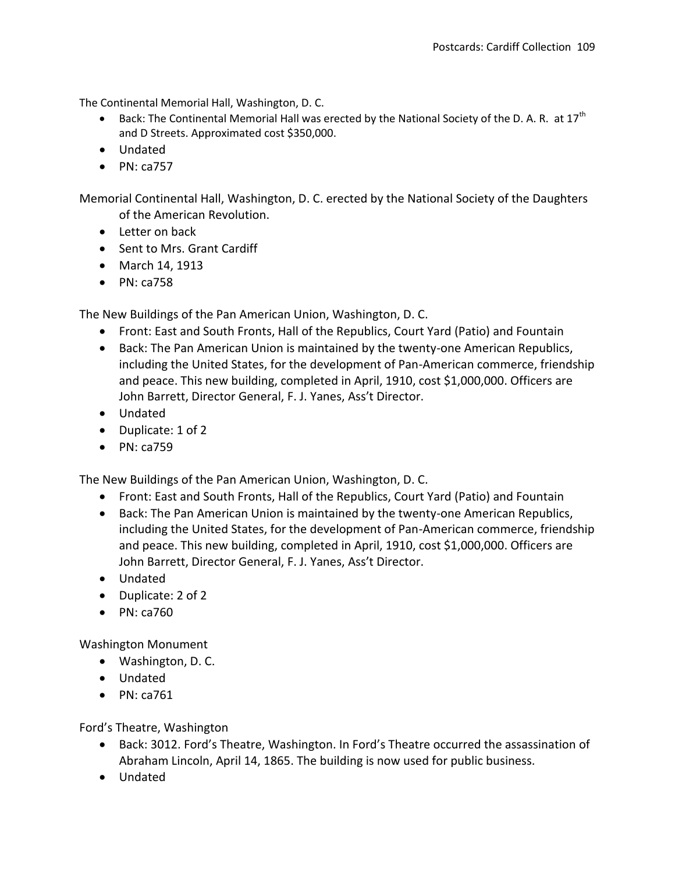The Continental Memorial Hall, Washington, D. C.

- Back: The Continental Memorial Hall was erected by the National Society of the D. A. R. at  $17<sup>th</sup>$ and D Streets. Approximated cost \$350,000.
- Undated
- $\bullet$  PN: ca757

Memorial Continental Hall, Washington, D. C. erected by the National Society of the Daughters of the American Revolution.

- Letter on back
- Sent to Mrs. Grant Cardiff
- March 14, 1913
- $\bullet$  PN: ca758

The New Buildings of the Pan American Union, Washington, D. C.

- Front: East and South Fronts, Hall of the Republics, Court Yard (Patio) and Fountain
- Back: The Pan American Union is maintained by the twenty-one American Republics, including the United States, for the development of Pan-American commerce, friendship and peace. This new building, completed in April, 1910, cost \$1,000,000. Officers are John Barrett, Director General, F. J. Yanes, Ass't Director.
- Undated
- Duplicate: 1 of 2
- $\bullet$  PN: ca759

The New Buildings of the Pan American Union, Washington, D. C.

- Front: East and South Fronts, Hall of the Republics, Court Yard (Patio) and Fountain
- Back: The Pan American Union is maintained by the twenty-one American Republics, including the United States, for the development of Pan-American commerce, friendship and peace. This new building, completed in April, 1910, cost \$1,000,000. Officers are John Barrett, Director General, F. J. Yanes, Ass't Director.
- Undated
- Duplicate: 2 of 2
- PN: ca760

Washington Monument

- Washington, D. C.
- Undated
- $\bullet$  PN: ca761

Ford's Theatre, Washington

- Back: 3012. Ford's Theatre, Washington. In Ford's Theatre occurred the assassination of Abraham Lincoln, April 14, 1865. The building is now used for public business.
- Undated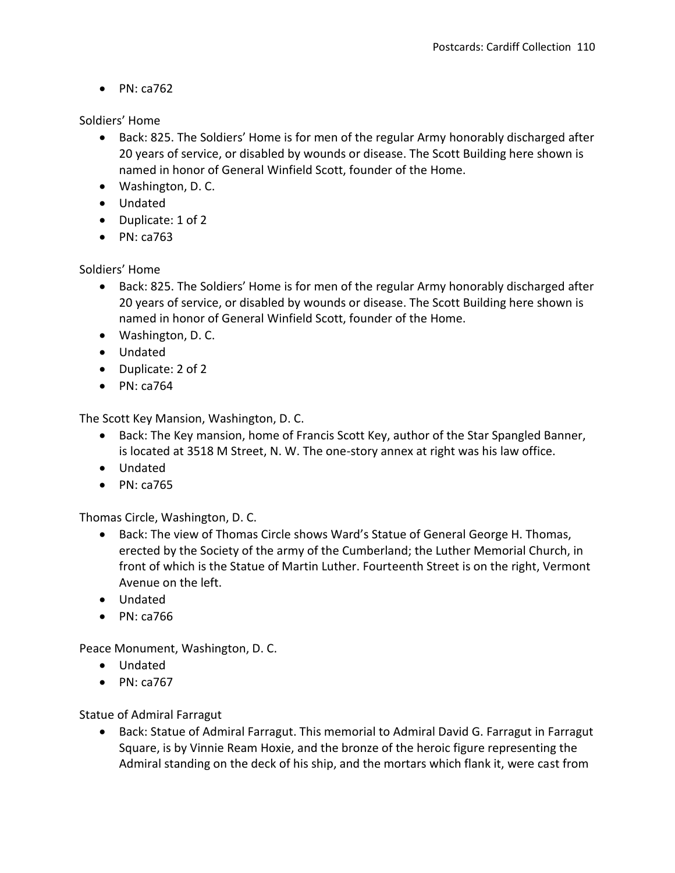$\bullet$  PN: ca762

Soldiers' Home

- Back: 825. The Soldiers' Home is for men of the regular Army honorably discharged after 20 years of service, or disabled by wounds or disease. The Scott Building here shown is named in honor of General Winfield Scott, founder of the Home.
- Washington, D. C.
- Undated
- Duplicate: 1 of 2
- $\bullet$  PN: ca763

Soldiers' Home

- Back: 825. The Soldiers' Home is for men of the regular Army honorably discharged after 20 years of service, or disabled by wounds or disease. The Scott Building here shown is named in honor of General Winfield Scott, founder of the Home.
- Washington, D. C.
- Undated
- Duplicate: 2 of 2
- $\bullet$  PN: ca764

The Scott Key Mansion, Washington, D. C.

- Back: The Key mansion, home of Francis Scott Key, author of the Star Spangled Banner, is located at 3518 M Street, N. W. The one-story annex at right was his law office.
- Undated
- $\bullet$  PN: ca765

Thomas Circle, Washington, D. C.

- Back: The view of Thomas Circle shows Ward's Statue of General George H. Thomas, erected by the Society of the army of the Cumberland; the Luther Memorial Church, in front of which is the Statue of Martin Luther. Fourteenth Street is on the right, Vermont Avenue on the left.
- Undated
- $\bullet$  PN: ca766

Peace Monument, Washington, D. C.

- Undated
- $\bullet$  PN: ca767

Statue of Admiral Farragut

• Back: Statue of Admiral Farragut. This memorial to Admiral David G. Farragut in Farragut Square, is by Vinnie Ream Hoxie, and the bronze of the heroic figure representing the Admiral standing on the deck of his ship, and the mortars which flank it, were cast from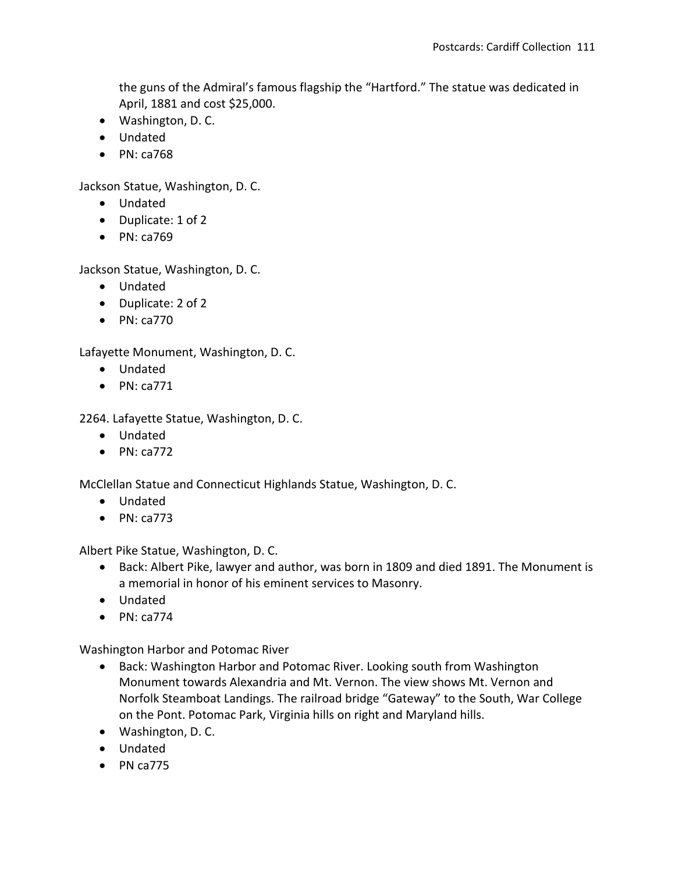the guns of the Admiral's famous flagship the "Hartford." The statue was dedicated in April, 1881 and cost \$25,000.

- Washington, D. C.
- Undated
- $\bullet$  PN: ca768

Jackson Statue, Washington, D. C.

- Undated
- Duplicate: 1 of 2
- $\bullet$  PN: ca769

Jackson Statue, Washington, D. C.

- Undated
- Duplicate: 2 of 2
- $\bullet$  PN: ca770

Lafayette Monument, Washington, D. C.

- Undated
- $\bullet$  PN: ca771

2264. Lafayette Statue, Washington, D. C.

- Undated
- $\bullet$  PN: ca772

McClellan Statue and Connecticut Highlands Statue, Washington, D. C.

- Undated
- $\bullet$  PN: ca773

Albert Pike Statue, Washington, D. C.

- Back: Albert Pike, lawyer and author, was born in 1809 and died 1891. The Monument is a memorial in honor of his eminent services to Masonry.
- Undated
- $\bullet$  PN: ca774

Washington Harbor and Potomac River

- Back: Washington Harbor and Potomac River. Looking south from Washington Monument towards Alexandria and Mt. Vernon. The view shows Mt. Vernon and Norfolk Steamboat Landings. The railroad bridge "Gateway" to the South, War College on the Pont. Potomac Park, Virginia hills on right and Maryland hills.
- Washington, D. C.
- Undated
- $\bullet$  PN ca775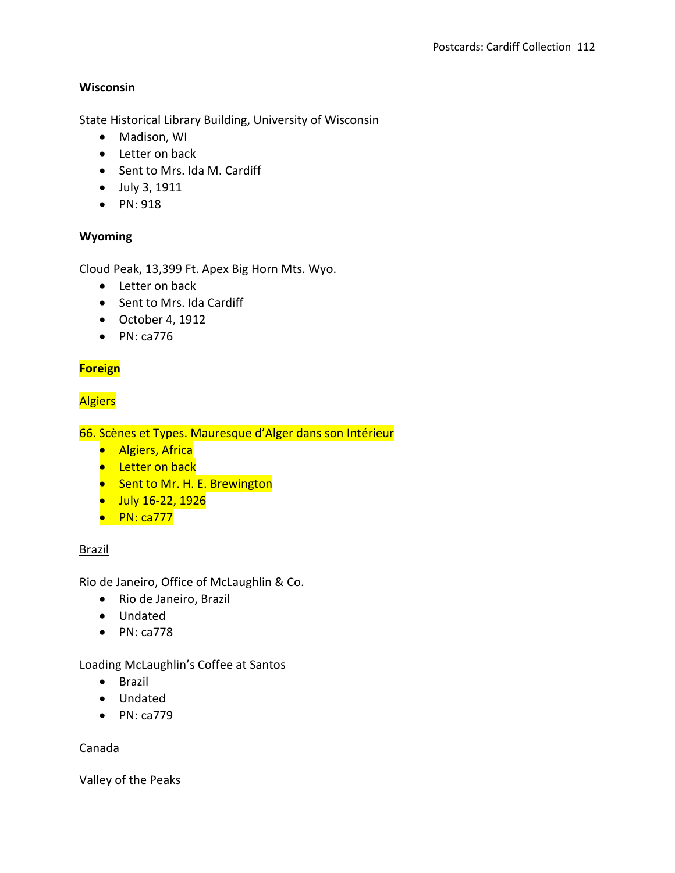# **Wisconsin**

State Historical Library Building, University of Wisconsin

- Madison, WI
- Letter on back
- Sent to Mrs. Ida M. Cardiff
- July 3, 1911
- PN: 918

# **Wyoming**

Cloud Peak, 13,399 Ft. Apex Big Horn Mts. Wyo.

- Letter on back
- Sent to Mrs. Ida Cardiff
- October 4, 1912
- $\bullet$  PN: ca776

# **Foreign**

# **Algiers**

66. Scènes et Types. Mauresque d'Alger dans son Intérieur

- **•** Algiers, Africa
- **•** Letter on back
- Sent to Mr. H. E. Brewington
- July 16-22, 1926
- $\bullet$  PN: ca777

# Brazil

Rio de Janeiro, Office of McLaughlin & Co.

- Rio de Janeiro, Brazil
- Undated
- $\bullet$  PN: ca778

# Loading McLaughlin's Coffee at Santos

- Brazil
- Undated
- PN: ca779

#### Canada

Valley of the Peaks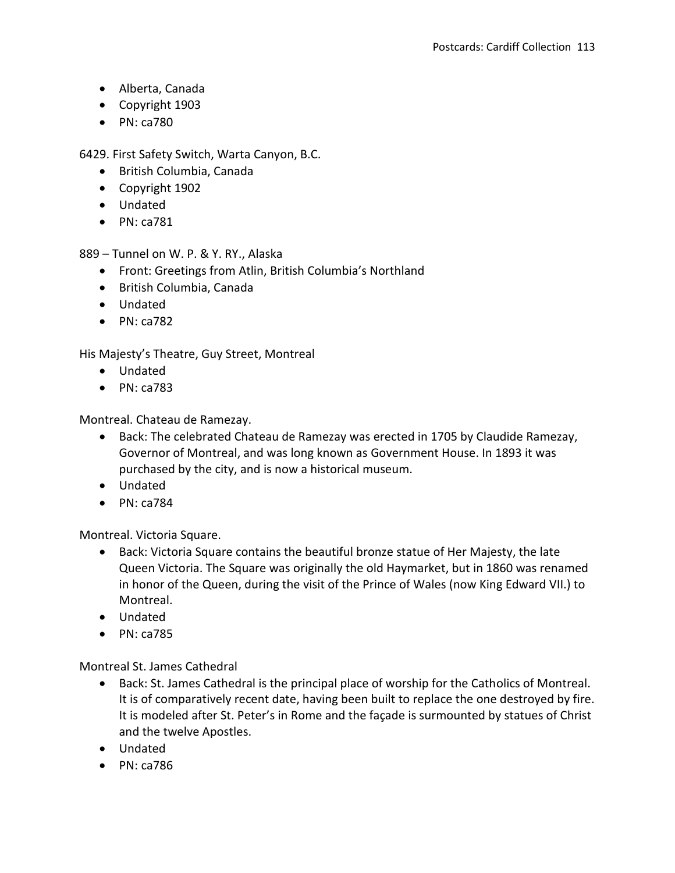- Alberta, Canada
- Copyright 1903
- PN: ca780

6429. First Safety Switch, Warta Canyon, B.C.

- British Columbia, Canada
- Copyright 1902
- Undated
- $\bullet$  PN: ca781

889 – Tunnel on W. P. & Y. RY., Alaska

- Front: Greetings from Atlin, British Columbia's Northland
- British Columbia, Canada
- Undated
- $\bullet$  PN: ca782

His Majesty's Theatre, Guy Street, Montreal

- Undated
- $\bullet$  PN: ca783

Montreal. Chateau de Ramezay.

- Back: The celebrated Chateau de Ramezay was erected in 1705 by Claudide Ramezay, Governor of Montreal, and was long known as Government House. In 1893 it was purchased by the city, and is now a historical museum.
- Undated
- $\bullet$  PN: ca784

Montreal. Victoria Square.

- Back: Victoria Square contains the beautiful bronze statue of Her Majesty, the late Queen Victoria. The Square was originally the old Haymarket, but in 1860 was renamed in honor of the Queen, during the visit of the Prince of Wales (now King Edward VII.) to Montreal.
- Undated
- $\bullet$  PN: ca785

Montreal St. James Cathedral

- Back: St. James Cathedral is the principal place of worship for the Catholics of Montreal. It is of comparatively recent date, having been built to replace the one destroyed by fire. It is modeled after St. Peter's in Rome and the façade is surmounted by statues of Christ and the twelve Apostles.
- Undated
- $\bullet$  PN: ca786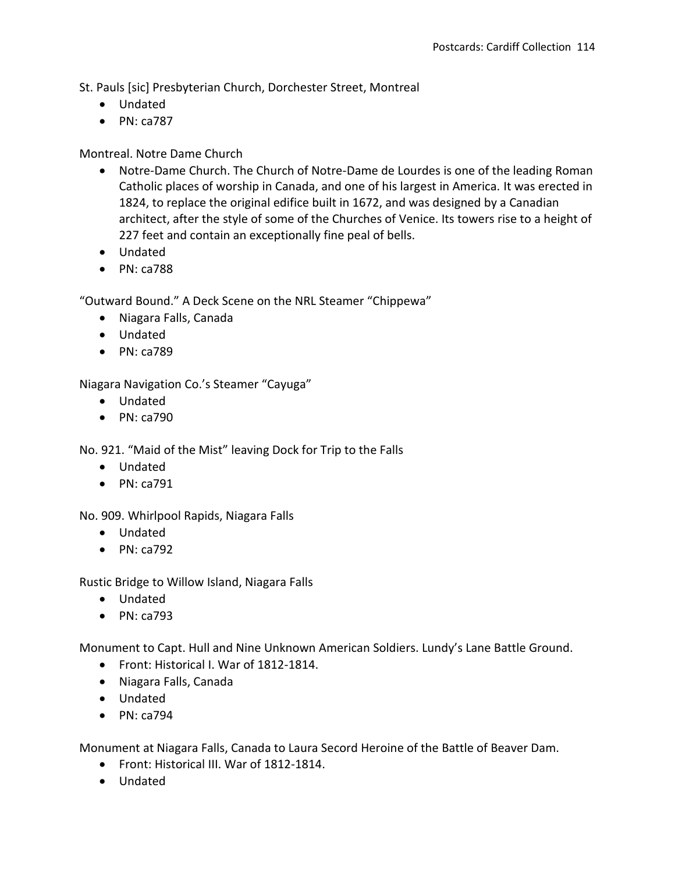St. Pauls [sic] Presbyterian Church, Dorchester Street, Montreal

- Undated
- $\bullet$  PN: ca787

# Montreal. Notre Dame Church

- Notre-Dame Church. The Church of Notre-Dame de Lourdes is one of the leading Roman Catholic places of worship in Canada, and one of his largest in America. It was erected in 1824, to replace the original edifice built in 1672, and was designed by a Canadian architect, after the style of some of the Churches of Venice. Its towers rise to a height of 227 feet and contain an exceptionally fine peal of bells.
- Undated
- $\bullet$  PN: ca788

"Outward Bound." A Deck Scene on the NRL Steamer "Chippewa"

- Niagara Falls, Canada
- Undated
- PN: ca789

Niagara Navigation Co.'s Steamer "Cayuga"

- Undated
- $\bullet$  PN: ca790

No. 921. "Maid of the Mist" leaving Dock for Trip to the Falls

- Undated
- $\bullet$  PN: ca791

No. 909. Whirlpool Rapids, Niagara Falls

- Undated
- $\bullet$  PN: ca792

Rustic Bridge to Willow Island, Niagara Falls

- Undated
- $\bullet$  PN: ca793

Monument to Capt. Hull and Nine Unknown American Soldiers. Lundy's Lane Battle Ground.

- Front: Historical I. War of 1812-1814.
- Niagara Falls, Canada
- Undated
- $\bullet$  PN: ca794

Monument at Niagara Falls, Canada to Laura Secord Heroine of the Battle of Beaver Dam.

- Front: Historical III. War of 1812-1814.
- Undated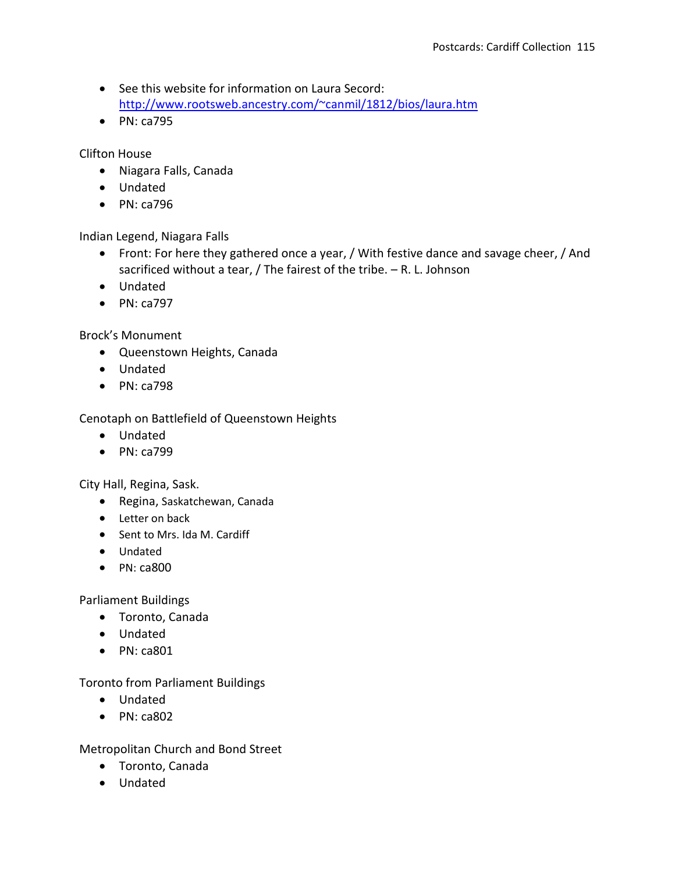- See this website for information on Laura Secord: <http://www.rootsweb.ancestry.com/~canmil/1812/bios/laura.htm>
- PN: ca795

Clifton House

- Niagara Falls, Canada
- Undated
- PN: ca796

Indian Legend, Niagara Falls

- Front: For here they gathered once a year, / With festive dance and savage cheer, / And sacrificed without a tear, / The fairest of the tribe. – R. L. Johnson
- Undated
- $\bullet$  PN: ca797

#### Brock's Monument

- Queenstown Heights, Canada
- Undated
- PN: ca798

Cenotaph on Battlefield of Queenstown Heights

- Undated
- PN: ca799

City Hall, Regina, Sask.

- Regina, Saskatchewan, Canada
- Letter on back
- Sent to Mrs. Ida M. Cardiff
- Undated
- $\bullet$  PN: ca800

Parliament Buildings

- Toronto, Canada
- Undated
- $\bullet$  PN: ca801

Toronto from Parliament Buildings

- Undated
- $\bullet$  PN: ca802

Metropolitan Church and Bond Street

- Toronto, Canada
- Undated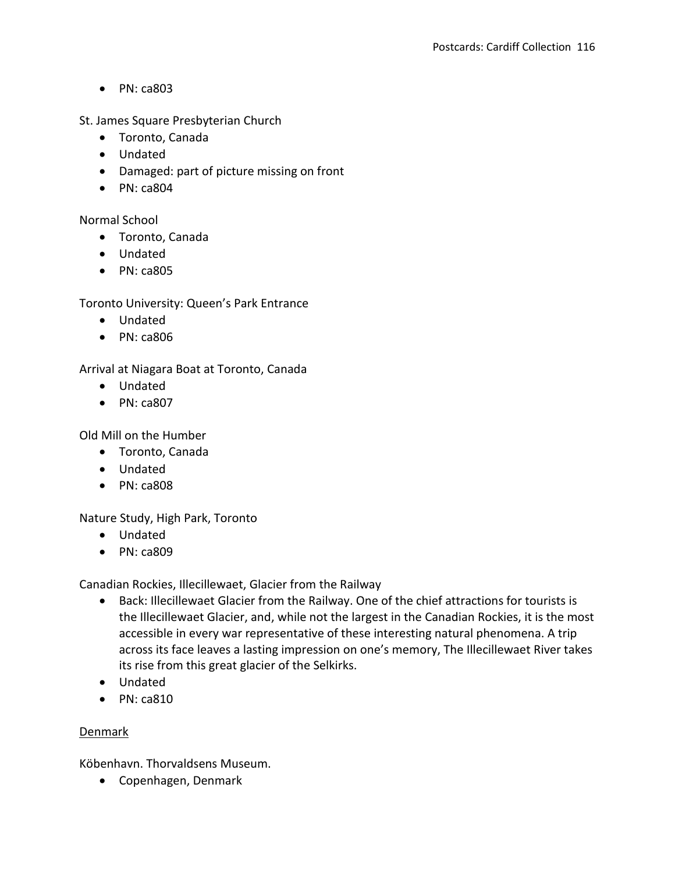$\bullet$  PN: ca803

St. James Square Presbyterian Church

- Toronto, Canada
- Undated
- Damaged: part of picture missing on front
- $\bullet$  PN: ca804

Normal School

- Toronto, Canada
- Undated
- $\bullet$  PN: ca805

Toronto University: Queen's Park Entrance

- Undated
- PN: ca806

Arrival at Niagara Boat at Toronto, Canada

- Undated
- $\bullet$  PN: ca807

Old Mill on the Humber

- Toronto, Canada
- Undated
- PN: ca808

Nature Study, High Park, Toronto

- Undated
- PN: ca809

Canadian Rockies, Illecillewaet, Glacier from the Railway

- Back: Illecillewaet Glacier from the Railway. One of the chief attractions for tourists is the Illecillewaet Glacier, and, while not the largest in the Canadian Rockies, it is the most accessible in every war representative of these interesting natural phenomena. A trip across its face leaves a lasting impression on one's memory, The Illecillewaet River takes its rise from this great glacier of the Selkirks.
- Undated
- $\bullet$  PN: ca810

#### Denmark

Köbenhavn. Thorvaldsens Museum.

Copenhagen, Denmark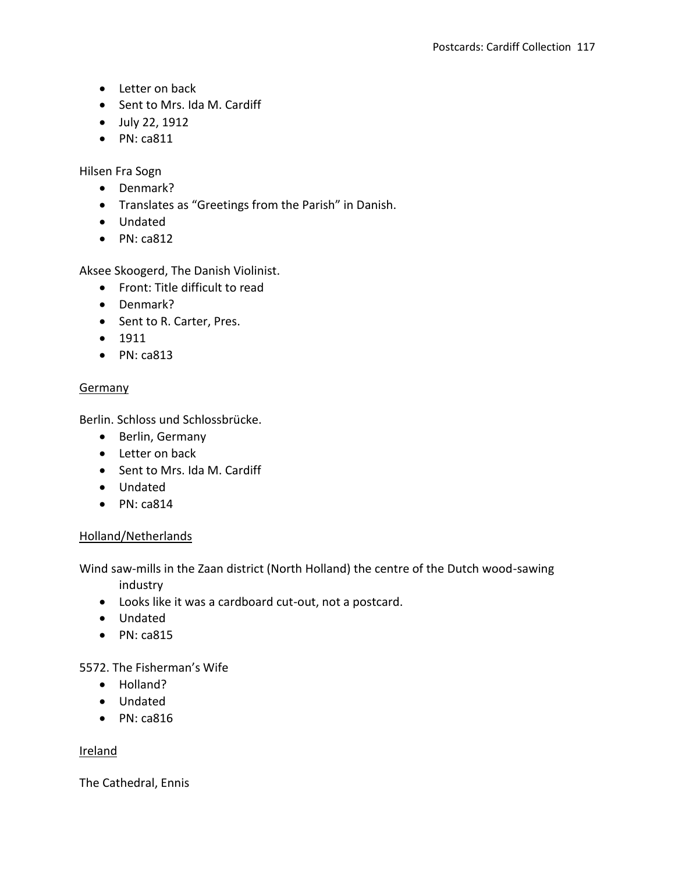- Letter on back
- Sent to Mrs. Ida M. Cardiff
- July 22, 1912
- $\bullet$  PN: ca811

Hilsen Fra Sogn

- Denmark?
- Translates as "Greetings from the Parish" in Danish.
- Undated
- $\bullet$  PN: ca812

Aksee Skoogerd, The Danish Violinist.

- Front: Title difficult to read
- Denmark?
- Sent to R. Carter, Pres.
- $1911$
- $\bullet$  PN: ca813

# **Germany**

Berlin. Schloss und Schlossbrücke.

- Berlin, Germany
- Letter on back
- Sent to Mrs. Ida M. Cardiff
- Undated
- $\bullet$  PN: ca814

# Holland/Netherlands

Wind saw-mills in the Zaan district (North Holland) the centre of the Dutch wood-sawing industry

- Looks like it was a cardboard cut-out, not a postcard.
- Undated
- $\bullet$  PN: ca815

5572. The Fisherman's Wife

- Holland?
- Undated
- $\bullet$  PN: ca816

# **Ireland**

The Cathedral, Ennis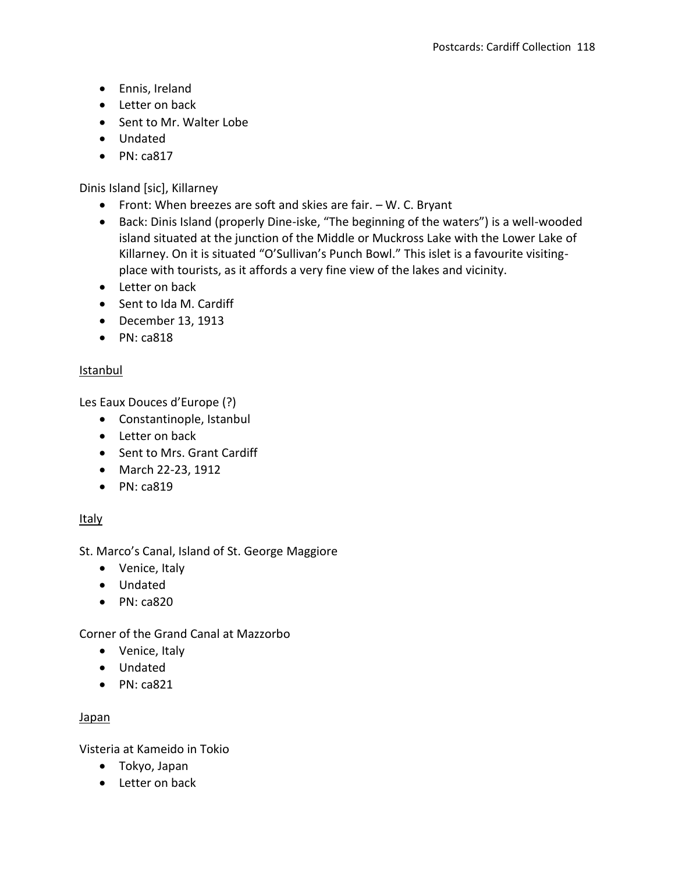- Ennis, Ireland
- Letter on back
- Sent to Mr. Walter Lobe
- Undated
- $\bullet$  PN: ca817

Dinis Island [sic], Killarney

- Front: When breezes are soft and skies are fair.  $-$  W. C. Bryant
- Back: Dinis Island (properly Dine-iske, "The beginning of the waters") is a well-wooded island situated at the junction of the Middle or Muckross Lake with the Lower Lake of Killarney. On it is situated "O'Sullivan's Punch Bowl." This islet is a favourite visitingplace with tourists, as it affords a very fine view of the lakes and vicinity.
- Letter on back
- Sent to Ida M. Cardiff
- $\bullet$  December 13, 1913
- $\bullet$  PN: ca818

# Istanbul

Les Eaux Douces d'Europe (?)

- Constantinople, Istanbul
- Letter on back
- Sent to Mrs. Grant Cardiff
- March 22-23, 1912
- PN: ca819

# **Italy**

St. Marco's Canal, Island of St. George Maggiore

- Venice, Italy
- Undated
- $\bullet$  PN: ca820

Corner of the Grand Canal at Mazzorbo

- Venice, Italy
- Undated
- $\bullet$  PN: ca821

# Japan

Visteria at Kameido in Tokio

- Tokyo, Japan
- Letter on back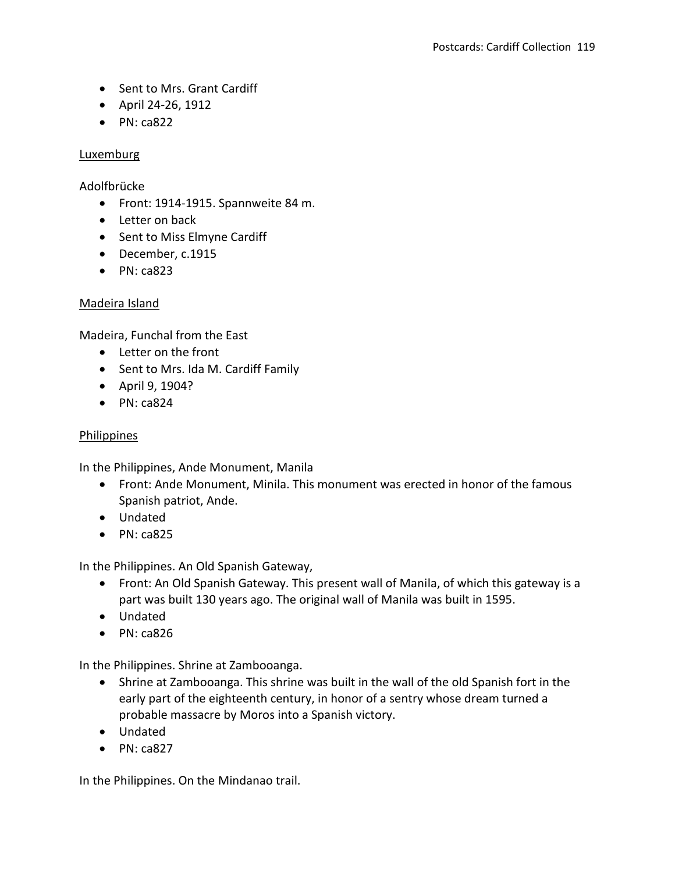- Sent to Mrs. Grant Cardiff
- April 24-26, 1912
- $\bullet$  PN: ca822

#### **Luxemburg**

Adolfbrücke

- Front: 1914-1915. Spannweite 84 m.
- Letter on back
- Sent to Miss Elmyne Cardiff
- December, c.1915
- $\bullet$  PN: ca823

# Madeira Island

Madeira, Funchal from the East

- Letter on the front
- Sent to Mrs. Ida M. Cardiff Family
- April 9, 1904?
- $\bullet$  PN: ca824

#### Philippines

In the Philippines, Ande Monument, Manila

- Front: Ande Monument, Minila. This monument was erected in honor of the famous Spanish patriot, Ande.
- Undated
- $\bullet$  PN: ca825

In the Philippines. An Old Spanish Gateway,

- Front: An Old Spanish Gateway. This present wall of Manila, of which this gateway is a part was built 130 years ago. The original wall of Manila was built in 1595.
- Undated
- $\bullet$  PN: ca826

In the Philippines. Shrine at Zambooanga.

- Shrine at Zambooanga. This shrine was built in the wall of the old Spanish fort in the early part of the eighteenth century, in honor of a sentry whose dream turned a probable massacre by Moros into a Spanish victory.
- Undated
- $\bullet$  PN: ca827

In the Philippines. On the Mindanao trail.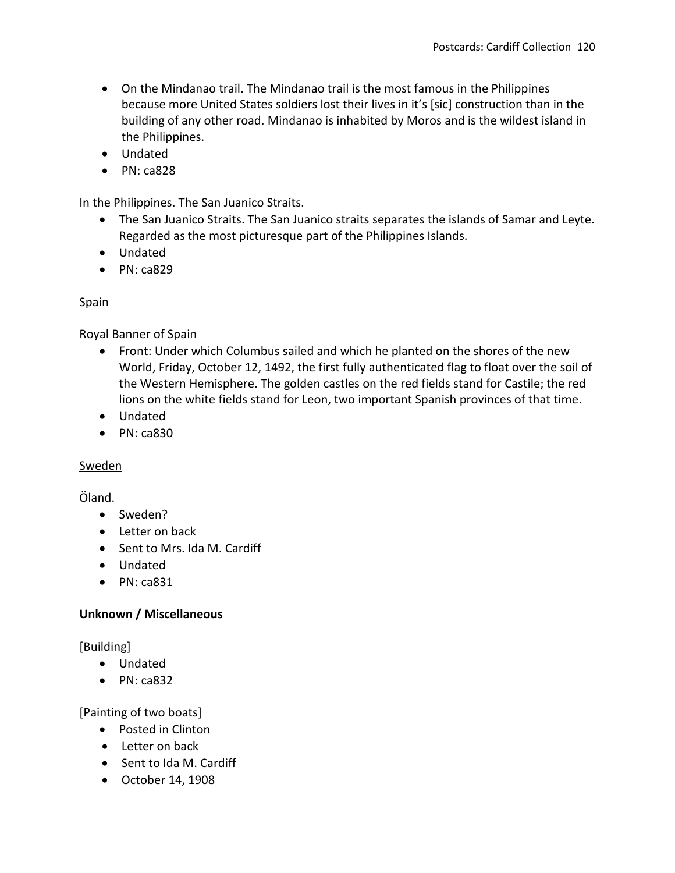- On the Mindanao trail. The Mindanao trail is the most famous in the Philippines because more United States soldiers lost their lives in it's [sic] construction than in the building of any other road. Mindanao is inhabited by Moros and is the wildest island in the Philippines.
- Undated
- $\bullet$  PN: ca828

In the Philippines. The San Juanico Straits.

- The San Juanico Straits. The San Juanico straits separates the islands of Samar and Leyte. Regarded as the most picturesque part of the Philippines Islands.
- Undated
- $\bullet$  PN: ca829

#### Spain

Royal Banner of Spain

- Front: Under which Columbus sailed and which he planted on the shores of the new World, Friday, October 12, 1492, the first fully authenticated flag to float over the soil of the Western Hemisphere. The golden castles on the red fields stand for Castile; the red lions on the white fields stand for Leon, two important Spanish provinces of that time.
- Undated
- $\bullet$  PN: ca830

#### Sweden

#### Öland.

- Sweden?
- Letter on back
- Sent to Mrs. Ida M. Cardiff
- Undated
- $\bullet$  PN: ca831

# **Unknown / Miscellaneous**

[Building]

- Undated
- $\bullet$  PN: ca832

[Painting of two boats]

- Posted in Clinton
- Letter on back
- Sent to Ida M. Cardiff
- October 14, 1908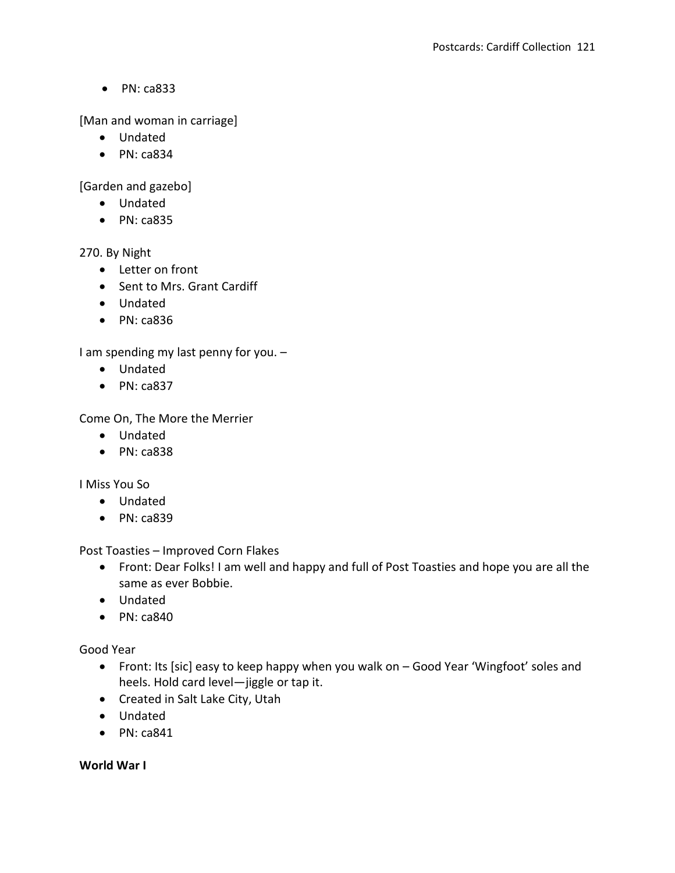• PN: ca833

[Man and woman in carriage]

- Undated
- $\bullet$  PN: ca834

[Garden and gazebo]

- Undated
- PN: ca835

270. By Night

- Letter on front
- Sent to Mrs. Grant Cardiff
- Undated
- PN: ca836

I am spending my last penny for you. –

- Undated
- $\bullet$  PN: ca837

Come On, The More the Merrier

- Undated
- $\bullet$  PN: ca838

I Miss You So

- Undated
- PN: ca839

Post Toasties – Improved Corn Flakes

- Front: Dear Folks! I am well and happy and full of Post Toasties and hope you are all the same as ever Bobbie.
- Undated
- $\bullet$  PN: ca840

Good Year

- Front: Its [sic] easy to keep happy when you walk on Good Year 'Wingfoot' soles and heels. Hold card level—jiggle or tap it.
- Created in Salt Lake City, Utah
- Undated
- $\bullet$  PN: ca841

**World War I**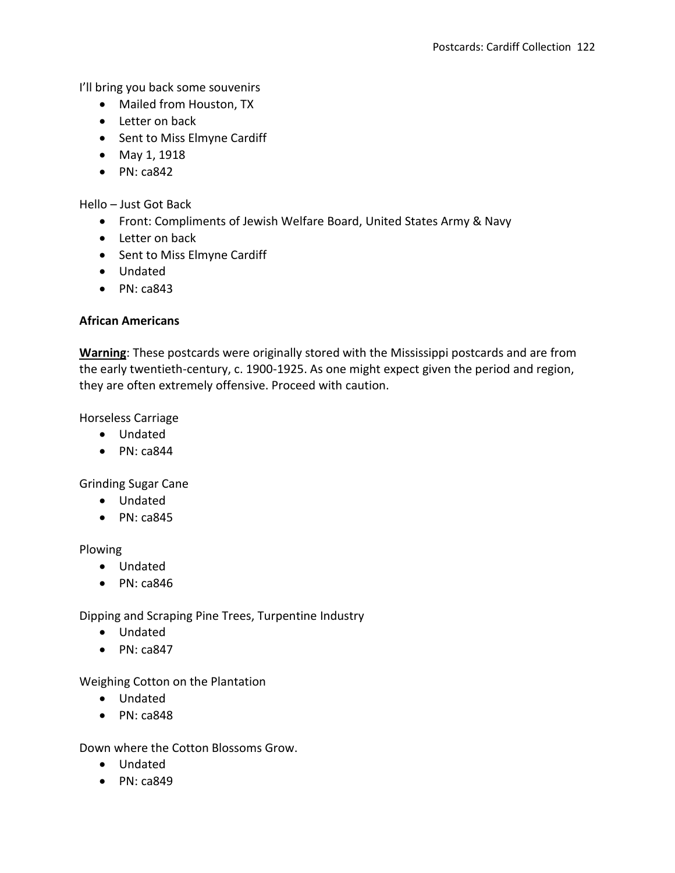I'll bring you back some souvenirs

- Mailed from Houston, TX
- Letter on back
- Sent to Miss Elmyne Cardiff
- May 1, 1918
- $\bullet$  PN: ca842

Hello – Just Got Back

- Front: Compliments of Jewish Welfare Board, United States Army & Navy
- Letter on back
- Sent to Miss Elmyne Cardiff
- Undated
- $\bullet$  PN: ca843

#### **African Americans**

**Warning**: These postcards were originally stored with the Mississippi postcards and are from the early twentieth-century, c. 1900-1925. As one might expect given the period and region, they are often extremely offensive. Proceed with caution.

Horseless Carriage

- Undated
- $\bullet$  PN: ca844

Grinding Sugar Cane

- Undated
- $\bullet$  PN: ca845

Plowing

- Undated
- $\bullet$  PN: ca846

Dipping and Scraping Pine Trees, Turpentine Industry

- Undated
- $\bullet$  PN: ca847

Weighing Cotton on the Plantation

- Undated
- $\bullet$  PN: ca848

Down where the Cotton Blossoms Grow.

- Undated
- $\bullet$  PN: ca849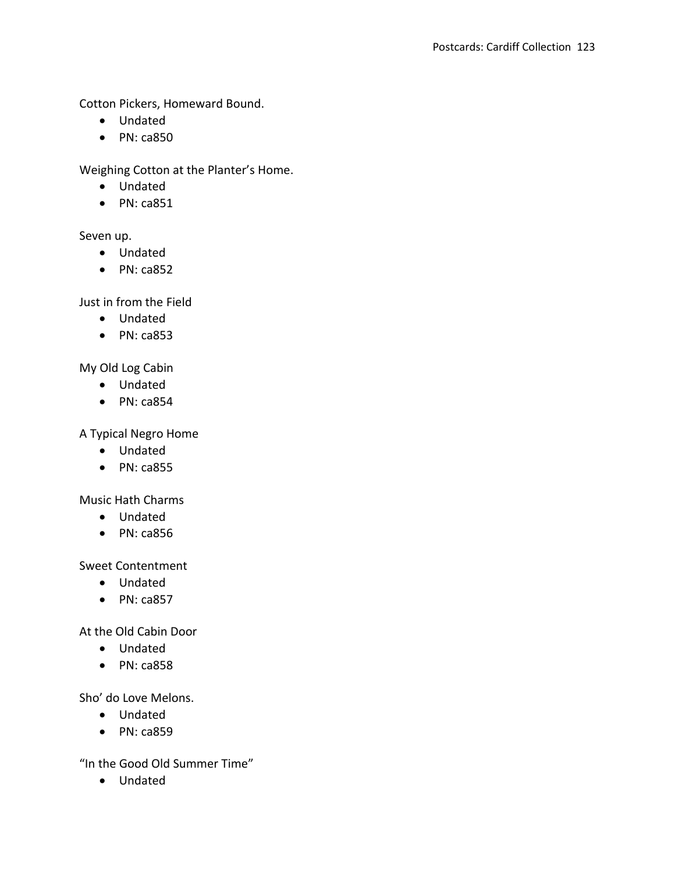Cotton Pickers, Homeward Bound.

- Undated
- PN: ca850

Weighing Cotton at the Planter's Home.

- Undated
- $\bullet$  PN: ca851

# Seven up.

- Undated
- $\bullet$  PN: ca852

Just in from the Field

- Undated
- PN: ca853

My Old Log Cabin

- Undated
- $\bullet$  PN: ca854

# A Typical Negro Home

- Undated
- PN: ca855

Music Hath Charms

- Undated
- PN: ca856

Sweet Contentment

- Undated
- $\bullet$  PN: ca857

At the Old Cabin Door

- Undated
- PN: ca858

Sho' do Love Melons.

- Undated
- PN: ca859

"In the Good Old Summer Time"

Undated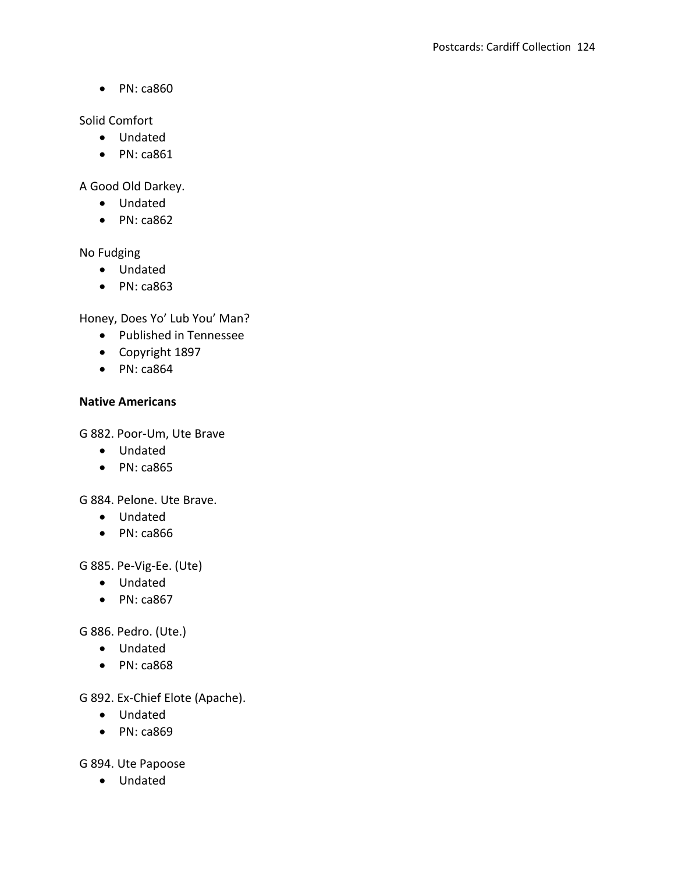• PN: ca860

Solid Comfort

- Undated
- PN: ca861

A Good Old Darkey.

- Undated
- $\bullet$  PN: ca862

No Fudging

- Undated
- PN: ca863

Honey, Does Yo' Lub You' Man?

- Published in Tennessee
- Copyright 1897
- PN: ca864

#### **Native Americans**

G 882. Poor-Um, Ute Brave

- Undated
- PN: ca865

G 884. Pelone. Ute Brave.

- Undated
- PN: ca866

G 885. Pe-Vig-Ee. (Ute)

- Undated
- $\bullet$  PN: ca867

G 886. Pedro. (Ute.)

- Undated
- PN: ca868

G 892. Ex-Chief Elote (Apache).

- Undated
- PN: ca869

G 894. Ute Papoose

Undated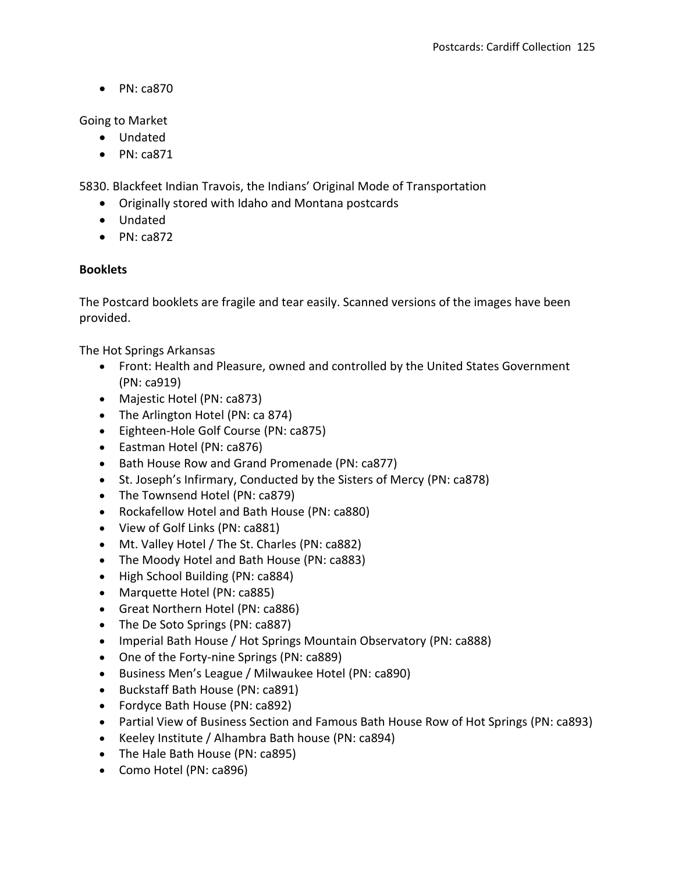$\bullet$  PN: ca870

Going to Market

- Undated
- PN: ca871

5830. Blackfeet Indian Travois, the Indians' Original Mode of Transportation

- Originally stored with Idaho and Montana postcards
- Undated
- $\bullet$  PN: ca872

# **Booklets**

The Postcard booklets are fragile and tear easily. Scanned versions of the images have been provided.

The Hot Springs Arkansas

- Front: Health and Pleasure, owned and controlled by the United States Government (PN: ca919)
- Majestic Hotel (PN: ca873)
- The Arlington Hotel (PN: ca 874)
- Eighteen-Hole Golf Course (PN: ca875)
- Eastman Hotel (PN: ca876)
- Bath House Row and Grand Promenade (PN: ca877)
- St. Joseph's Infirmary, Conducted by the Sisters of Mercy (PN: ca878)
- The Townsend Hotel (PN: ca879)
- Rockafellow Hotel and Bath House (PN: ca880)
- View of Golf Links (PN: ca881)
- Mt. Valley Hotel / The St. Charles (PN: ca882)
- The Moody Hotel and Bath House (PN: ca883)
- High School Building (PN: ca884)
- Marquette Hotel (PN: ca885)
- Great Northern Hotel (PN: ca886)
- The De Soto Springs (PN: ca887)
- Imperial Bath House / Hot Springs Mountain Observatory (PN: ca888)
- One of the Forty-nine Springs (PN: ca889)
- Business Men's League / Milwaukee Hotel (PN: ca890)
- Buckstaff Bath House (PN: ca891)
- Fordyce Bath House (PN: ca892)
- Partial View of Business Section and Famous Bath House Row of Hot Springs (PN: ca893)
- Keeley Institute / Alhambra Bath house (PN: ca894)
- The Hale Bath House (PN: ca895)
- Como Hotel (PN: ca896)